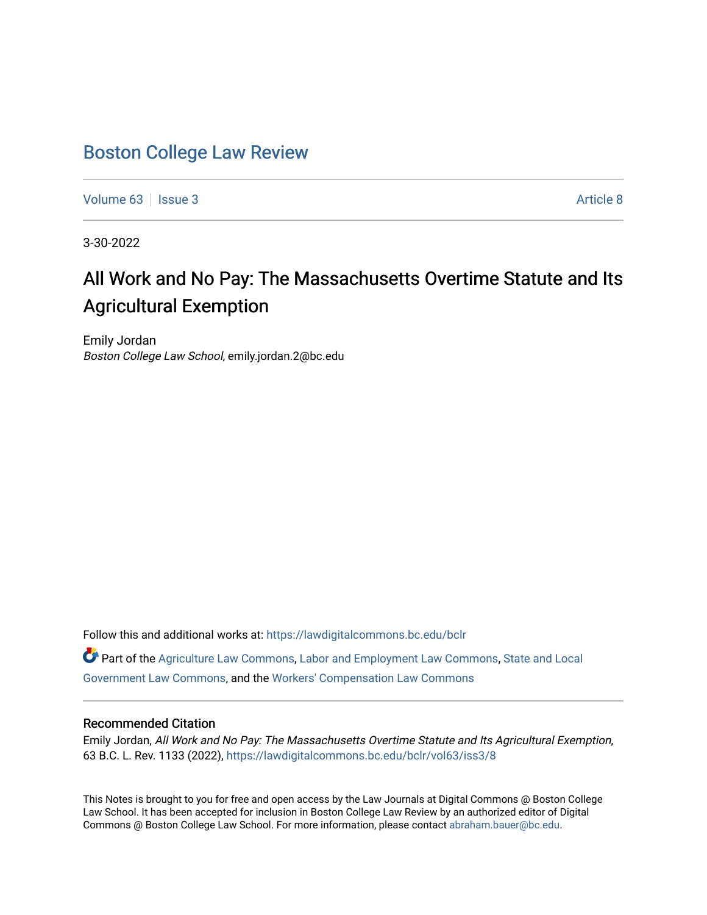## [Boston College Law Review](https://lawdigitalcommons.bc.edu/bclr)

[Volume 63](https://lawdigitalcommons.bc.edu/bclr/vol63) | [Issue 3](https://lawdigitalcommons.bc.edu/bclr/vol63/iss3) [Article 8](https://lawdigitalcommons.bc.edu/bclr/vol63/iss3/8) Article 8

3-30-2022

# All Work and No Pay: The Massachusetts Overtime Statute and Its Agricultural Exemption

Emily Jordan Boston College Law School, emily.jordan.2@bc.edu

Follow this and additional works at: [https://lawdigitalcommons.bc.edu/bclr](https://lawdigitalcommons.bc.edu/bclr?utm_source=lawdigitalcommons.bc.edu%2Fbclr%2Fvol63%2Fiss3%2F8&utm_medium=PDF&utm_campaign=PDFCoverPages) 

Part of the [Agriculture Law Commons](http://network.bepress.com/hgg/discipline/581?utm_source=lawdigitalcommons.bc.edu%2Fbclr%2Fvol63%2Fiss3%2F8&utm_medium=PDF&utm_campaign=PDFCoverPages), [Labor and Employment Law Commons,](http://network.bepress.com/hgg/discipline/909?utm_source=lawdigitalcommons.bc.edu%2Fbclr%2Fvol63%2Fiss3%2F8&utm_medium=PDF&utm_campaign=PDFCoverPages) [State and Local](http://network.bepress.com/hgg/discipline/879?utm_source=lawdigitalcommons.bc.edu%2Fbclr%2Fvol63%2Fiss3%2F8&utm_medium=PDF&utm_campaign=PDFCoverPages) [Government Law Commons,](http://network.bepress.com/hgg/discipline/879?utm_source=lawdigitalcommons.bc.edu%2Fbclr%2Fvol63%2Fiss3%2F8&utm_medium=PDF&utm_campaign=PDFCoverPages) and the [Workers' Compensation Law Commons](http://network.bepress.com/hgg/discipline/889?utm_source=lawdigitalcommons.bc.edu%2Fbclr%2Fvol63%2Fiss3%2F8&utm_medium=PDF&utm_campaign=PDFCoverPages) 

#### Recommended Citation

Emily Jordan, All Work and No Pay: The Massachusetts Overtime Statute and Its Agricultural Exemption, 63 B.C. L. Rev. 1133 (2022), [https://lawdigitalcommons.bc.edu/bclr/vol63/iss3/8](https://lawdigitalcommons.bc.edu/bclr/vol63/iss3/8?utm_source=lawdigitalcommons.bc.edu%2Fbclr%2Fvol63%2Fiss3%2F8&utm_medium=PDF&utm_campaign=PDFCoverPages) 

This Notes is brought to you for free and open access by the Law Journals at Digital Commons @ Boston College Law School. It has been accepted for inclusion in Boston College Law Review by an authorized editor of Digital Commons @ Boston College Law School. For more information, please contact [abraham.bauer@bc.edu.](mailto:abraham.bauer@bc.edu)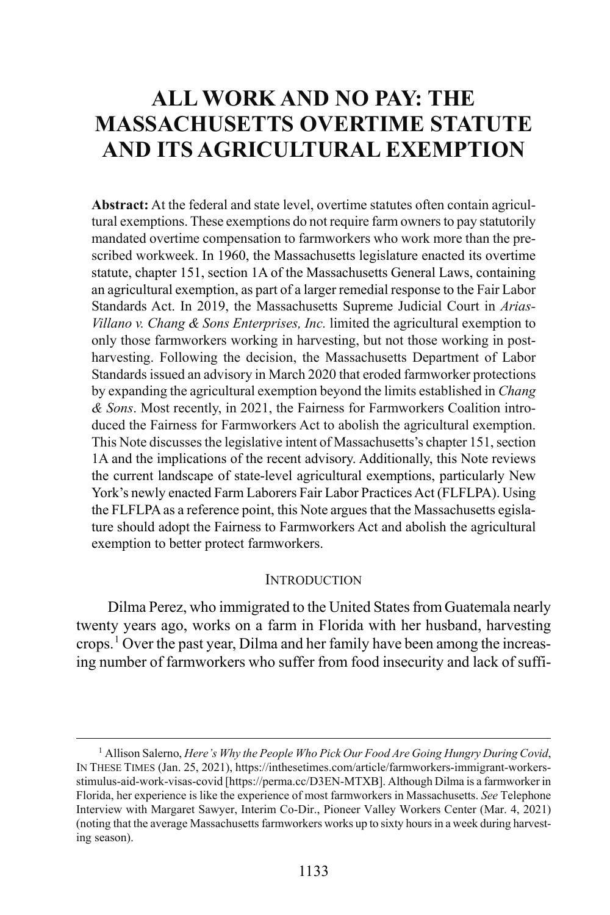## **ALL WORK AND NO PAY: THE MASSACHUSETTS OVERTIME STATUTE AND ITS AGRICULTURAL EXEMPTION**

**Abstract:** At the federal and state level, overtime statutes often contain agricultural exemptions. These exemptions do not require farm owners to pay statutorily mandated overtime compensation to farmworkers who work more than the prescribed workweek. In 1960, the Massachusetts legislature enacted its overtime statute, chapter 151, section 1A of the Massachusetts General Laws, containing an agricultural exemption, as part of a larger remedial response to the Fair Labor Standards Act. In 2019, the Massachusetts Supreme Judicial Court in *Arias-Villano v. Chang & Sons Enterprises, Inc.* limited the agricultural exemption to only those farmworkers working in harvesting, but not those working in postharvesting. Following the decision, the Massachusetts Department of Labor Standards issued an advisory in March 2020 that eroded farmworker protections by expanding the agricultural exemption beyond the limits established in *Chang & Sons*. Most recently, in 2021, the Fairness for Farmworkers Coalition introduced the Fairness for Farmworkers Act to abolish the agricultural exemption. This Note discusses the legislative intent of Massachusetts's chapter 151, section 1A and the implications of the recent advisory. Additionally, this Note reviews the current landscape of state-level agricultural exemptions, particularly New York's newly enacted Farm Laborers Fair Labor Practices Act (FLFLPA). Using the FLFLPA as a reference point, this Note argues that the Massachusetts egislature should adopt the Fairness to Farmworkers Act and abolish the agricultural exemption to better protect farmworkers.

#### **INTRODUCTION**

<span id="page-1-1"></span>Dilma Perez, who immigrated to the United States from Guatemala nearly twenty years ago, works on a farm in Florida with her husband, harvesting crops.<sup>[1](#page-1-0)</sup> Over the past year, Dilma and her family have been among the increasing number of farmworkers who suffer from food insecurity and lack of suffi-

<span id="page-1-0"></span><sup>&</sup>lt;sup>1</sup> Allison Salerno, *Here's Why the People Who Pick Our Food Are Going Hungry During Covid*, IN THESE TIMES (Jan. 25, 2021), https://inthesetimes.com/article/farmworkers-immigrant-workersstimulus-aid-work-visas-covid [https://perma.cc/D3EN-MTXB]. Although Dilma is a farmworker in Florida, her experience is like the experience of most farmworkers in Massachusetts. *See* Telephone Interview with Margaret Sawyer, Interim Co-Dir., Pioneer Valley Workers Center (Mar. 4, 2021) (noting that the average Massachusetts farmworkers works up to sixty hours in a week during harvesting season).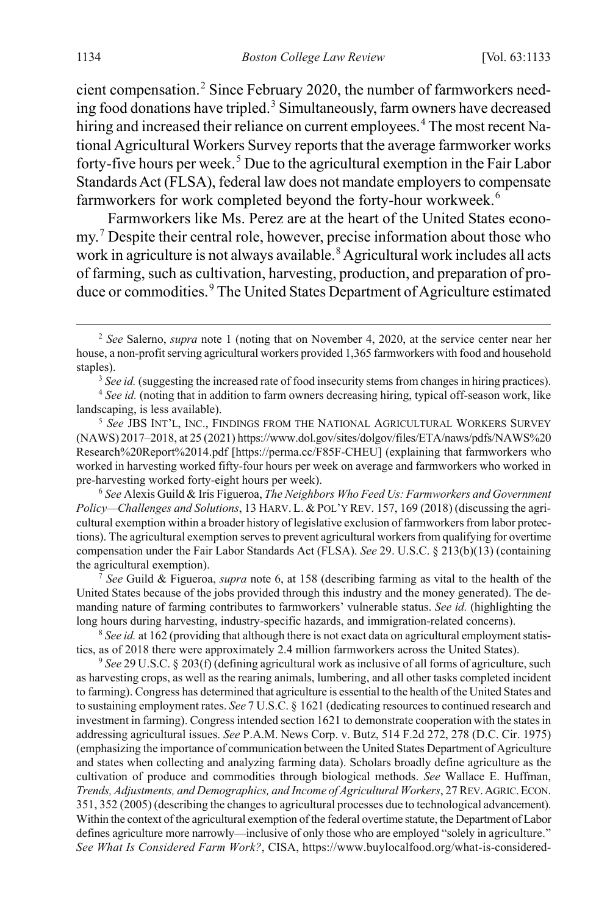cient compensation.[2](#page-2-1) Since February 2020, the number of farmworkers need-ing food donations have tripled.<sup>[3](#page-2-2)</sup> Simultaneously, farm owners have decreased hiring and increased their reliance on current employees.<sup>[4](#page-2-3)</sup> The most recent National Agricultural Workers Survey reports that the average farmworker works forty-five hours per week.<sup>[5](#page-2-4)</sup> Due to the agricultural exemption in the Fair Labor Standards Act (FLSA), federal law does not mandate employers to compensate farmworkers for work completed beyond the forty-hour workweek.<sup>[6](#page-2-5)</sup>

<span id="page-2-0"></span>Farmworkers like Ms. Perez are at the heart of the United States econo-my.<sup>[7](#page-2-6)</sup> Despite their central role, however, precise information about those who work in agriculture is not always available.<sup>[8](#page-2-7)</sup> Agricultural work includes all acts of farming, such as cultivation, harvesting, production, and preparation of pro-duce or commodities.<sup>[9](#page-2-8)</sup> The United States Department of Agriculture estimated

<span id="page-2-5"></span>6  *See* Alexis Guild & Iris Figueroa, *The Neighbors Who Feed Us: Farmworkers and Government Policy—Challenges and Solutions*, 13 HARV. L. & POL'Y REV. 157, 169 (2018) (discussing the agricultural exemption within a broader history of legislative exclusion of farmworkers from labor protections). The agricultural exemption serves to prevent agricultural workers from qualifying for overtime compensation under the Fair Labor Standards Act (FLSA). *See* 29. U.S.C. § 213(b)(13) (containing the agricultural exemption).

<span id="page-2-6"></span> *See* Guild & Figueroa, *supra* not[e 6,](#page-2-0) at 158 (describing farming as vital to the health of the United States because of the jobs provided through this industry and the money generated). The demanding nature of farming contributes to farmworkers' vulnerable status. *See id.* (highlighting the long hours during harvesting, industry-specific hazards, and immigration-related concerns).

<span id="page-2-7"></span><sup>8</sup> See id. at 162 (providing that although there is not exact data on agricultural employment statistics, as of 2018 there were approximately 2.4 million farmworkers across the United States).

<span id="page-2-8"></span><sup>9</sup> See 29 U.S.C. § 203(f) (defining agricultural work as inclusive of all forms of agriculture, such as harvesting crops, as well as the rearing animals, lumbering, and all other tasks completed incident to farming). Congress has determined that agriculture is essential to the health of the United States and to sustaining employment rates. *See* 7 U.S.C. § 1621 (dedicating resources to continued research and investment in farming). Congress intended section 1621 to demonstrate cooperation with the states in addressing agricultural issues. *See* P.A.M. News Corp. v. Butz, 514 F.2d 272, 278 (D.C. Cir. 1975) (emphasizing the importance of communication between the United States Department of Agriculture and states when collecting and analyzing farming data). Scholars broadly define agriculture as the cultivation of produce and commodities through biological methods. *See* Wallace E. Huffman, *Trends, Adjustments, and Demographics, and Income of Agricultural Workers*, 27 REV.AGRIC.ECON. 351, 352 (2005) (describing the changes to agricultural processes due to technological advancement). Within the context of the agricultural exemption of the federal overtime statute, the Department of Labor defines agriculture more narrowly—inclusive of only those who are employed "solely in agriculture." *See What Is Considered Farm Work?*, CISA, https://www.buylocalfood.org/what-is-considered-

<span id="page-2-1"></span> <sup>2</sup>  *See* Salerno, *supra* note [1](#page-1-1) (noting that on November 4, 2020, at the service center near her house, a non-profit serving agricultural workers provided 1,365 farmworkers with food and household staples).

<sup>&</sup>lt;sup>3</sup> See id. (suggesting the increased rate of food insecurity stems from changes in hiring practices).

<span id="page-2-3"></span><span id="page-2-2"></span><sup>4</sup> *See id.* (noting that in addition to farm owners decreasing hiring, typical off-season work, like landscaping, is less available).

<span id="page-2-4"></span><sup>5</sup>  *See* JBS INT'L, INC., FINDINGS FROM THE NATIONAL AGRICULTURAL WORKERS SURVEY (NAWS) 2017–2018, at 25 (2021) https://www.dol.gov/sites/dolgov/files/ETA/naws/pdfs/NAWS%20 Research%20Report%2014.pdf [https://perma.cc/F85F-CHEU] (explaining that farmworkers who worked in harvesting worked fifty-four hours per week on average and farmworkers who worked in pre-harvesting worked forty-eight hours per week).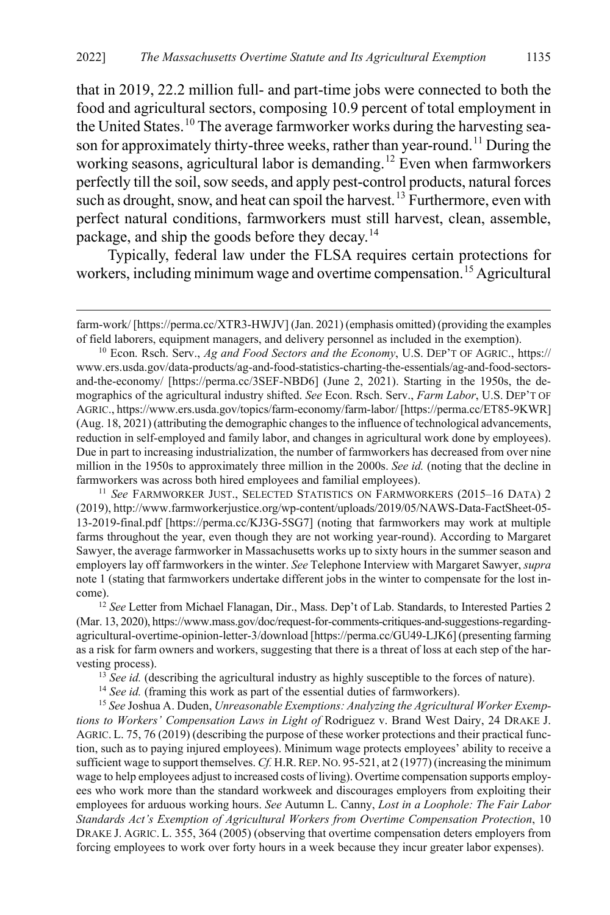<span id="page-3-6"></span>that in 2019, 22.2 million full- and part-time jobs were connected to both the food and agricultural sectors, composing 10.9 percent of total employment in the United States.<sup>[10](#page-3-0)</sup> The average farmworker works during the harvesting sea-son for approximately thirty-three weeks, rather than year-round.<sup>[11](#page-3-1)</sup> During the working seasons, agricultural labor is demanding.<sup>[12](#page-3-2)</sup> Even when farmworkers perfectly till the soil, sow seeds, and apply pest-control products, natural forces such as drought, snow, and heat can spoil the harvest.<sup>[13](#page-3-3)</sup> Furthermore, even with perfect natural conditions, farmworkers must still harvest, clean, assemble, package, and ship the goods before they decay.<sup>[14](#page-3-4)</sup>

<span id="page-3-7"></span>Typically, federal law under the FLSA requires certain protections for workers, including minimum wage and overtime compensation.<sup>[15](#page-3-5)</sup> Agricultural

 $\overline{a}$ 

<span id="page-3-1"></span><sup>11</sup> *See* FARMWORKER JUST., SELECTED STATISTICS ON FARMWORKERS (2015–16 DATA) 2 (2019), http://www.farmworkerjustice.org/wp-content/uploads/2019/05/NAWS-Data-FactSheet-05- 13-2019-final.pdf [https://perma.cc/KJ3G-5SG7] (noting that farmworkers may work at multiple farms throughout the year, even though they are not working year-round). According to Margaret Sawyer, the average farmworker in Massachusetts works up to sixty hours in the summer season and employers lay off farmworkers in the winter. *See* Telephone Interview with Margaret Sawyer, *supra*  not[e 1](#page-1-1) (stating that farmworkers undertake different jobs in the winter to compensate for the lost income). 12 *See* Letter from Michael Flanagan, Dir., Mass. Dep't of Lab. Standards, to Interested Parties 2

<span id="page-3-2"></span>(Mar. 13, 2020), https://www.mass.gov/doc/request-for-comments-critiques-and-suggestions-regardingagricultural-overtime-opinion-letter-3/download [https://perma.cc/GU49-LJK6] (presenting farming as a risk for farm owners and workers, suggesting that there is a threat of loss at each step of the harvesting process).

<sup>13</sup> *See id.* (describing the agricultural industry as highly susceptible to the forces of nature).

<sup>14</sup> See id. (framing this work as part of the essential duties of farmworkers).

<span id="page-3-5"></span><span id="page-3-4"></span><span id="page-3-3"></span>15 *See* Joshua A. Duden, *Unreasonable Exemptions: Analyzing the Agricultural Worker Exemptions to Workers' Compensation Laws in Light of* Rodriguez v. Brand West Dairy, 24 DRAKE J. AGRIC. L. 75, 76 (2019) (describing the purpose of these worker protections and their practical function, such as to paying injured employees). Minimum wage protects employees' ability to receive a sufficient wage to support themselves. Cf. H.R. REP. NO. 95-521, at 2 (1977) (increasing the minimum wage to help employees adjust to increased costs of living). Overtime compensation supports employees who work more than the standard workweek and discourages employers from exploiting their employees for arduous working hours. *See* Autumn L. Canny, *Lost in a Loophole: The Fair Labor Standards Act's Exemption of Agricultural Workers from Overtime Compensation Protection*, 10 DRAKE J. AGRIC. L. 355, 364 (2005) (observing that overtime compensation deters employers from forcing employees to work over forty hours in a week because they incur greater labor expenses).

farm-work/ [https://perma.cc/XTR3-HWJV] (Jan. 2021) (emphasis omitted) (providing the examples of field laborers, equipment managers, and delivery personnel as included in the exemption). 10 Econ. Rsch. Serv., *Ag and Food Sectors and the Economy*, U.S. DEP'T OF AGRIC., https://

<span id="page-3-0"></span>www.ers.usda.gov/data-products/ag-and-food-statistics-charting-the-essentials/ag-and-food-sectorsand-the-economy/ [https://perma.cc/3SEF-NBD6] (June 2, 2021). Starting in the 1950s, the demographics of the agricultural industry shifted. *See* Econ. Rsch. Serv., *Farm Labor*, U.S. DEP'T OF AGRIC., https://www.ers.usda.gov/topics/farm-economy/farm-labor/ [https://perma.cc/ET85-9KWR] (Aug. 18, 2021) (attributing the demographic changes to the influence of technological advancements, reduction in self-employed and family labor, and changes in agricultural work done by employees). Due in part to increasing industrialization, the number of farmworkers has decreased from over nine million in the 1950s to approximately three million in the 2000s. *See id.* (noting that the decline in farmworkers was across both hired employees and familial employees).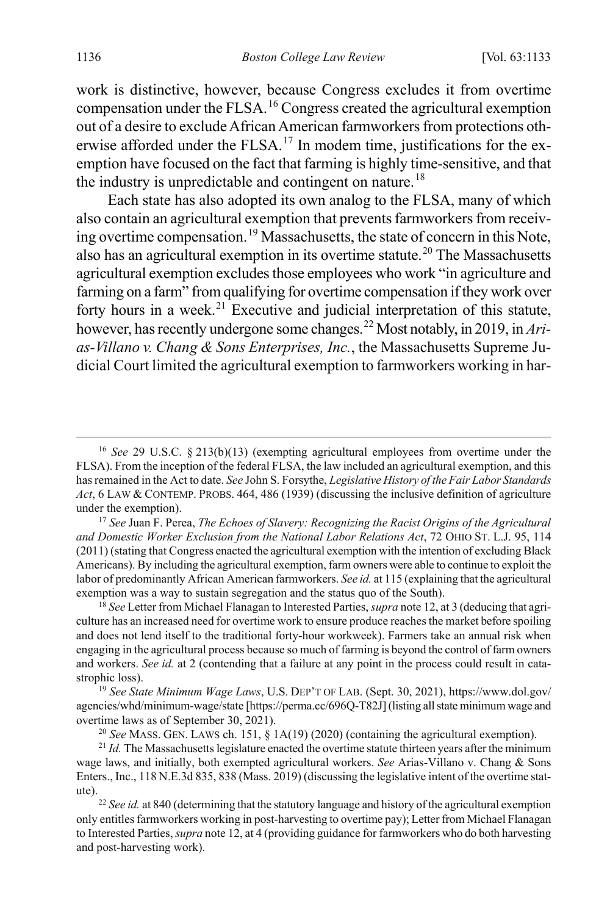<span id="page-4-8"></span><span id="page-4-7"></span>work is distinctive, however, because Congress excludes it from overtime compensation under the FLSA.[16](#page-4-0) Congress created the agricultural exemption out of a desire to exclude African American farmworkers from protections oth-erwise afforded under the FLSA.<sup>[17](#page-4-1)</sup> In modem time, justifications for the exemption have focused on the fact that farming is highly time-sensitive, and that the industry is unpredictable and contingent on nature.<sup>[18](#page-4-2)</sup>

<span id="page-4-9"></span>Each state has also adopted its own analog to the FLSA, many of which also contain an agricultural exemption that prevents farmworkers from receiving overtime compensation.[19](#page-4-3) Massachusetts, the state of concern in this Note, also has an agricultural exemption in its overtime statute.<sup>[20](#page-4-4)</sup> The Massachusetts agricultural exemption excludes those employees who work "in agriculture and farming on a farm" from qualifying for overtime compensation if they work over forty hours in a week.<sup>[21](#page-4-5)</sup> Executive and judicial interpretation of this statute, however, has recently undergone some changes.[22](#page-4-6) Most notably, in 2019, in *Arias-Villano v. Chang & Sons Enterprises, Inc.*, the Massachusetts Supreme Judicial Court limited the agricultural exemption to farmworkers working in har-

<span id="page-4-2"></span>18 *See* Letter from Michael Flanagan to Interested Parties, *supra* not[e 12,](#page-3-6) at 3 (deducing that agriculture has an increased need for overtime work to ensure produce reaches the market before spoiling and does not lend itself to the traditional forty-hour workweek). Farmers take an annual risk when engaging in the agricultural process because so much of farming is beyond the control of farm owners and workers. *See id.* at 2 (contending that a failure at any point in the process could result in catastrophic loss).

<span id="page-4-3"></span><sup>19</sup> *See State Minimum Wage Laws*, U.S. DEP'T OF LAB. (Sept. 30, 2021), https://www.dol.gov/ agencies/whd/minimum-wage/state [https://perma.cc/696Q-T82J] (listing all state minimum wage and overtime laws as of September 30, 2021).

<sup>20</sup> *See* MASS. GEN. LAWS ch. 151, § 1A(19) (2020) (containing the agricultural exemption).

<span id="page-4-5"></span><span id="page-4-4"></span><sup>21</sup> *Id.* The Massachusetts legislature enacted the overtime statute thirteen years after the minimum wage laws, and initially, both exempted agricultural workers. *See* Arias-Villano v. Chang & Sons Enters., Inc., 118 N.E.3d 835, 838 (Mass. 2019) (discussing the legislative intent of the overtime statute). 22 *See id.* at 840 (determining that the statutory language and history of the agricultural exemption

<span id="page-4-6"></span>only entitles farmworkers working in post-harvesting to overtime pay); Letter from Michael Flanagan to Interested Parties, *supra* not[e 12,](#page-3-6) at 4 (providing guidance for farmworkers who do both harvesting and post-harvesting work).

<span id="page-4-0"></span> <sup>16</sup> *See* 29 U.S.C. § 213(b)(13) (exempting agricultural employees from overtime under the FLSA). From the inception of the federal FLSA, the law included an agricultural exemption, and this has remained in the Act to date. *See* John S. Forsythe, *Legislative History of the Fair Labor Standards Act*, 6 LAW & CONTEMP. PROBS. 464, 486 (1939) (discussing the inclusive definition of agriculture under the exemption). 17 *See* Juan F. Perea, *The Echoes of Slavery: Recognizing the Racist Origins of the Agricultural* 

<span id="page-4-1"></span>*and Domestic Worker Exclusion from the National Labor Relations Act*, 72 OHIO ST. L.J. 95, 114 (2011) (stating that Congress enacted the agricultural exemption with the intention of excluding Black Americans). By including the agricultural exemption, farm owners were able to continue to exploit the labor of predominantly African American farmworkers. *See id.* at 115 (explaining that the agricultural exemption was a way to sustain segregation and the status quo of the South).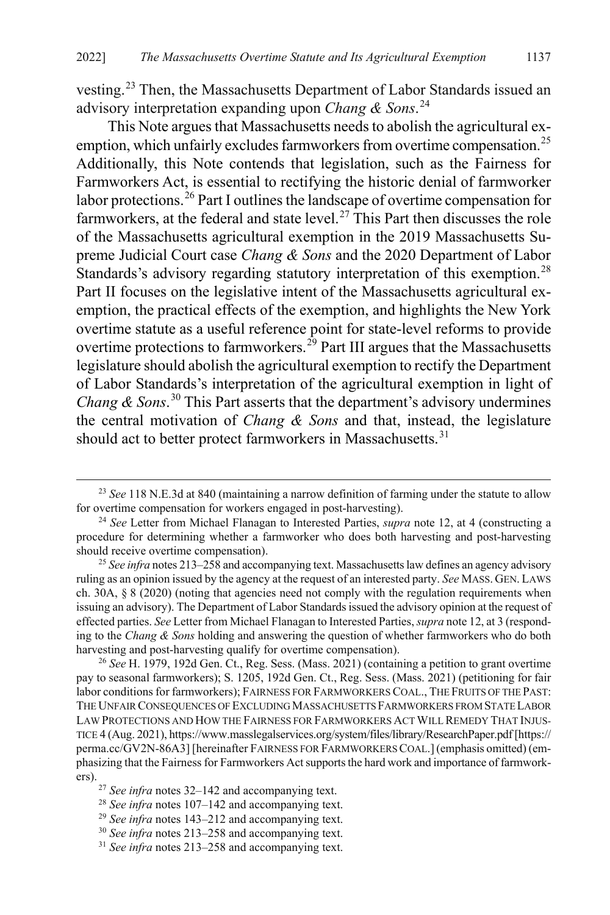vesting.[23](#page-5-0) Then, the Massachusetts Department of Labor Standards issued an advisory interpretation expanding upon *Chang & Sons*. [24](#page-5-1)

<span id="page-5-9"></span>This Note argues that Massachusetts needs to abolish the agricultural ex-emption, which unfairly excludes farmworkers from overtime compensation.<sup>[25](#page-5-2)</sup> Additionally, this Note contends that legislation, such as the Fairness for Farmworkers Act, is essential to rectifying the historic denial of farmworker labor protections.<sup>[26](#page-5-3)</sup> Part I outlines the landscape of overtime compensation for farmworkers, at the federal and state level.<sup>[27](#page-5-4)</sup> This Part then discusses the role of the Massachusetts agricultural exemption in the 2019 Massachusetts Supreme Judicial Court case *Chang & Sons* and the 2020 Department of Labor Standards's advisory regarding statutory interpretation of this exemption.<sup>[28](#page-5-5)</sup> Part II focuses on the legislative intent of the Massachusetts agricultural exemption, the practical effects of the exemption, and highlights the New York overtime statute as a useful reference point for state-level reforms to provide overtime protections to farmworkers.<sup>[29](#page-5-6)</sup> Part III argues that the Massachusetts legislature should abolish the agricultural exemption to rectify the Department of Labor Standards's interpretation of the agricultural exemption in light of *Chang & Sons.*<sup>[30](#page-5-7)</sup> This Part asserts that the department's advisory undermines the central motivation of *Chang & Sons* and that, instead, the legislature should act to better protect farmworkers in Massachusetts.<sup>[31](#page-5-8)</sup>

<span id="page-5-0"></span><sup>&</sup>lt;sup>23</sup> See 118 N.E.3d at 840 (maintaining a narrow definition of farming under the statute to allow for overtime compensation for workers engaged in post-harvesting).

<span id="page-5-1"></span>for overtime compensation for workers engaged in post-harvesting). 24 *See* Letter from Michael Flanagan to Interested Parties, *supra* note [12,](#page-3-6) at 4 (constructing a procedure for determining whether a farmworker who does both harvesting and post-harvesting should receive overtime compensation).

<span id="page-5-2"></span><sup>25</sup> *See infra* note[s 213](#page-35-0)[–258](#page-43-0) and accompanying text. Massachusetts law defines an agency advisory ruling as an opinion issued by the agency at the request of an interested party. *See* MASS. GEN. LAWS ch. 30A, § 8 (2020) (noting that agencies need not comply with the regulation requirements when issuing an advisory). The Department of Labor Standards issued the advisory opinion at the request of effected parties. *See* Letter from Michael Flanagan to Interested Parties, *supra* not[e 12,](#page-3-6) at 3 (responding to the *Chang & Sons* holding and answering the question of whether farmworkers who do both harvesting and post-harvesting qualify for overtime compensation).

<span id="page-5-3"></span><sup>26</sup> *See* H. 1979, 192d Gen. Ct., Reg. Sess. (Mass. 2021) (containing a petition to grant overtime pay to seasonal farmworkers); S. 1205, 192d Gen. Ct., Reg. Sess. (Mass. 2021) (petitioning for fair labor conditions for farmworkers); FAIRNESS FOR FARMWORKERS COAL., THE FRUITS OF THE PAST: THE UNFAIR CONSEQUENCES OF EXCLUDING MASSACHUSETTS FARMWORKERS FROM STATE LABOR LAW PROTECTIONS AND HOW THE FAIRNESS FOR FARMWORKERS ACT WILL REMEDY THAT INJUS-TICE 4 (Aug. 2021), https://www.masslegalservices.org/system/files/library/ResearchPaper.pdf[https:// perma.cc/GV2N-86A3] [hereinafter FAIRNESS FOR FARMWORKERS COAL.](emphasis omitted) (emphasizing that the Fairness for Farmworkers Act supports the hard work and importance of farmworkers).

<span id="page-5-4"></span><sup>27</sup> *See infra* note[s 32–](#page-6-0)[142](#page-24-0) and accompanying text.

<span id="page-5-5"></span><sup>28</sup> *See infra* note[s 107](#page-18-0)[–142](#page-24-0) and accompanying text.

<span id="page-5-6"></span><sup>29</sup> *See infra* note[s 143](#page-24-1)[–212](#page-35-1) and accompanying text.

<span id="page-5-7"></span><sup>30</sup> *See infra* note[s 213](#page-35-0)[–258](#page-43-0) and accompanying text.

<span id="page-5-8"></span><sup>31</sup> *See infra* note[s 213](#page-35-0)[–258](#page-43-0) and accompanying text.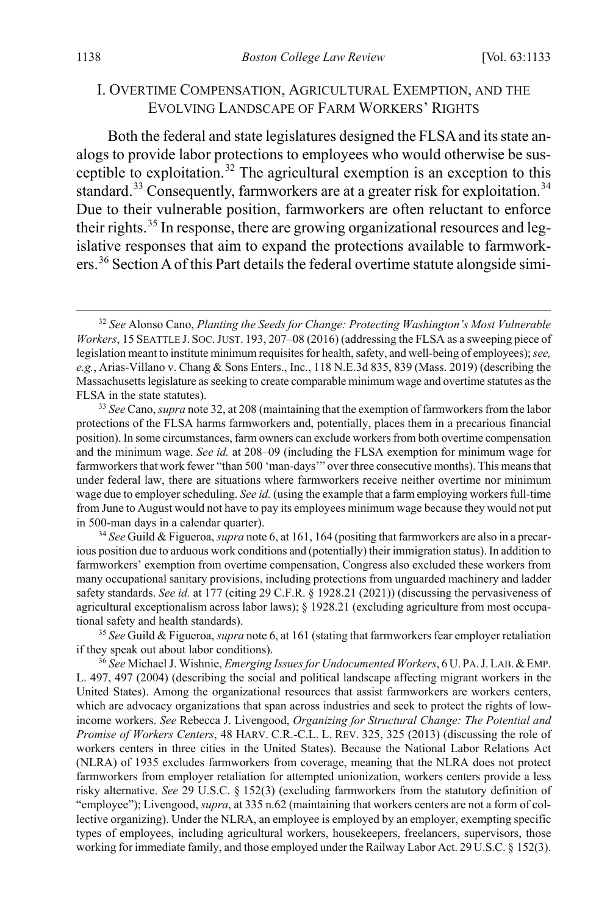#### <span id="page-6-0"></span>I. OVERTIME COMPENSATION, AGRICULTURAL EXEMPTION, AND THE EVOLVING LANDSCAPE OF FARM WORKERS' RIGHTS

Both the federal and state legislatures designed the FLSA and its state analogs to provide labor protections to employees who would otherwise be sus-ceptible to exploitation.<sup>[32](#page-6-1)</sup> The agricultural exemption is an exception to this standard.<sup>[33](#page-6-2)</sup> Consequently, farmworkers are at a greater risk for exploitation.<sup>[34](#page-6-3)</sup> Due to their vulnerable position, farmworkers are often reluctant to enforce their rights.<sup>[35](#page-6-4)</sup> In response, there are growing organizational resources and legislative responses that aim to expand the protections available to farmworkers.[36](#page-6-5) Section A of this Part details the federal overtime statute alongside simi-

<span id="page-6-3"></span>34 *See* Guild & Figueroa, *supra* not[e 6,](#page-2-0) at 161, 164 (positing that farmworkers are also in a precarious position due to arduous work conditions and (potentially) their immigration status). In addition to farmworkers' exemption from overtime compensation, Congress also excluded these workers from many occupational sanitary provisions, including protections from unguarded machinery and ladder safety standards. *See id.* at 177 (citing 29 C.F.R. § 1928.21 (2021)) (discussing the pervasiveness of agricultural exceptionalism across labor laws); § 1928.21 (excluding agriculture from most occupational safety and health standards). 35 *See* Guild & Figueroa, *supra* not[e 6,](#page-2-0) at 161 (stating that farmworkers fear employer retaliation

<span id="page-6-4"></span>if they speak out about labor conditions).

<span id="page-6-5"></span><sup>36</sup> *See* Michael J. Wishnie, *Emerging Issues for Undocumented Workers*, 6U. PA.J.LAB.&EMP. L. 497, 497 (2004) (describing the social and political landscape affecting migrant workers in the United States). Among the organizational resources that assist farmworkers are workers centers, which are advocacy organizations that span across industries and seek to protect the rights of lowincome workers. *See* Rebecca J. Livengood, *Organizing for Structural Change: The Potential and Promise of Workers Centers*, 48 HARV. C.R.-C.L. L. REV. 325, 325 (2013) (discussing the role of workers centers in three cities in the United States). Because the National Labor Relations Act (NLRA) of 1935 excludes farmworkers from coverage, meaning that the NLRA does not protect farmworkers from employer retaliation for attempted unionization, workers centers provide a less risky alternative. *See* 29 U.S.C. § 152(3) (excluding farmworkers from the statutory definition of "employee"); Livengood, *supra*, at 335 n.62 (maintaining that workers centers are not a form of collective organizing). Under the NLRA, an employee is employed by an employer, exempting specific types of employees, including agricultural workers, housekeepers, freelancers, supervisors, those working for immediate family, and those employed under the Railway Labor Act. 29 U.S.C. § 152(3).

<span id="page-6-1"></span> <sup>32</sup> *See* Alonso Cano, *Planting the Seeds for Change: Protecting Washington's Most Vulnerable Workers*, 15 SEATTLE J. SOC.JUST. 193, 207–08 (2016) (addressing the FLSA as a sweeping piece of legislation meant to institute minimum requisites for health, safety, and well-being of employees); *see, e.g.*, Arias-Villano v. Chang & Sons Enters., Inc., 118 N.E.3d 835, 839 (Mass. 2019) (describing the Massachusetts legislature as seeking to create comparable minimum wage and overtime statutes as the FLSA in the state statutes).

<span id="page-6-2"></span><sup>33</sup> *See* Cano, *supra* not[e 32,](#page-6-0) at 208 (maintaining that the exemption of farmworkers from the labor protections of the FLSA harms farmworkers and, potentially, places them in a precarious financial position). In some circumstances, farm owners can exclude workers from both overtime compensation and the minimum wage. *See id.* at 208–09 (including the FLSA exemption for minimum wage for farmworkers that work fewer "than 500 'man-days'" over three consecutive months). This means that under federal law, there are situations where farmworkers receive neither overtime nor minimum wage due to employer scheduling. *See id.* (using the example that a farm employing workers full-time from June to August would not have to pay its employees minimum wage because they would not put in 500-man days in a calendar quarter).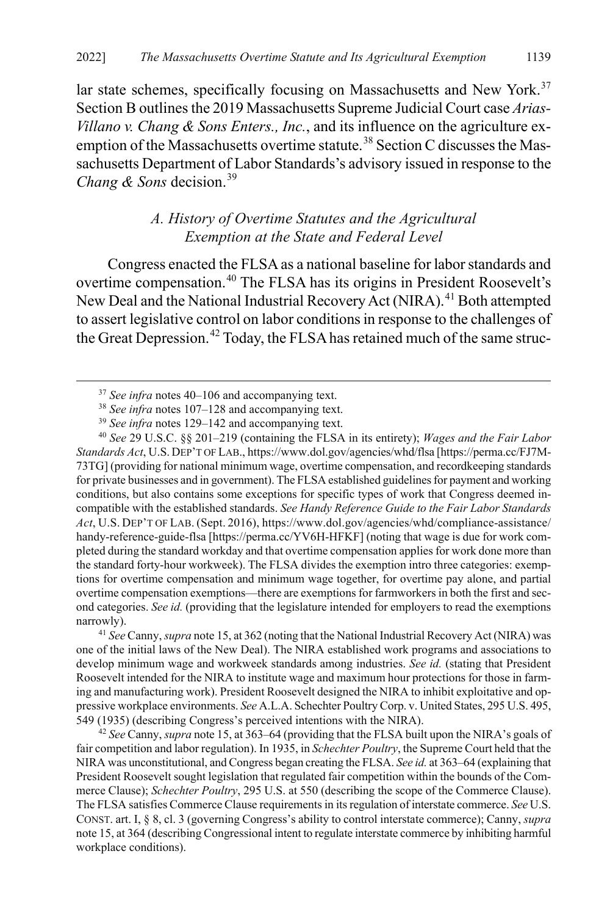lar state schemes, specifically focusing on Massachusetts and New York.<sup>[37](#page-7-1)</sup> Section B outlines the 2019 Massachusetts Supreme Judicial Court case *Arias-Villano v. Chang & Sons Enters., Inc.*, and its influence on the agriculture ex-emption of the Massachusetts overtime statute.<sup>[38](#page-7-2)</sup> Section C discusses the Massachusetts Department of Labor Standards's advisory issued in response to the *Chang & Sons* decision.<sup>[39](#page-7-3)</sup>

### <span id="page-7-0"></span>*A. History of Overtime Statutes and the Agricultural Exemption at the State and Federal Level*

Congress enacted the FLSA as a national baseline for labor standards and overtime compensation.[40](#page-7-4) The FLSA has its origins in President Roosevelt's New Deal and the National Industrial Recovery Act (NIRA).<sup>[41](#page-7-5)</sup> Both attempted to assert legislative control on labor conditions in response to the challenges of the Great Depression.<sup>[42](#page-7-6)</sup> Today, the FLSA has retained much of the same struc-

<span id="page-7-4"></span><span id="page-7-3"></span><span id="page-7-2"></span><span id="page-7-1"></span><sup>40</sup> *See* 29 U.S.C. §§ 201–219 (containing the FLSA in its entirety); *Wages and the Fair Labor Standards Act*, U.S. DEP'T OF LAB., https://www.dol.gov/agencies/whd/flsa [https://perma.cc/FJ7M-73TG] (providing for national minimum wage, overtime compensation, and recordkeeping standards for private businesses and in government). The FLSA established guidelines for payment and working conditions, but also contains some exceptions for specific types of work that Congress deemed incompatible with the established standards. *See Handy Reference Guide to the Fair Labor Standards Act*, U.S. DEP'T OF LAB. (Sept. 2016), https://www.dol.gov/agencies/whd/compliance-assistance/ handy-reference-guide-flsa [https://perma.cc/YV6H-HFKF] (noting that wage is due for work completed during the standard workday and that overtime compensation applies for work done more than the standard forty-hour workweek). The FLSA divides the exemption intro three categories: exemptions for overtime compensation and minimum wage together, for overtime pay alone, and partial overtime compensation exemptions—there are exemptions for farmworkers in both the first and second categories. *See id.* (providing that the legislature intended for employers to read the exemptions narrowly). 41 *See* Canny, *supra* not[e 15,](#page-3-7) at 362 (noting that the National Industrial Recovery Act (NIRA) was

<span id="page-7-5"></span>one of the initial laws of the New Deal). The NIRA established work programs and associations to develop minimum wage and workweek standards among industries. *See id.* (stating that President Roosevelt intended for the NIRA to institute wage and maximum hour protections for those in farming and manufacturing work). President Roosevelt designed the NIRA to inhibit exploitative and oppressive workplace environments. *See* A.L.A. Schechter Poultry Corp. v. United States, 295 U.S. 495, 549 (1935) (describing Congress's perceived intentions with the NIRA).

<span id="page-7-6"></span><sup>42</sup> *See* Canny, *supra* not[e 15,](#page-3-7) at 363–64 (providing that the FLSA built upon the NIRA's goals of fair competition and labor regulation). In 1935, in *Schechter Poultry*, the Supreme Court held that the NIRA was unconstitutional, and Congress began creating the FLSA. *See id.* at 363–64 (explaining that President Roosevelt sought legislation that regulated fair competition within the bounds of the Commerce Clause); *Schechter Poultry*, 295 U.S. at 550 (describing the scope of the Commerce Clause). The FLSA satisfies Commerce Clause requirements in its regulation of interstate commerce. *See* U.S. CONST. art. I, § 8, cl. 3 (governing Congress's ability to control interstate commerce); Canny, *supra*  not[e 15,](#page-3-7) at 364 (describing Congressional intent to regulate interstate commerce by inhibiting harmful workplace conditions).

 <sup>37</sup> *See infra* note[s 40–](#page-7-0)[106](#page-18-1) and accompanying text.

<sup>38</sup> *See infra* note[s 107](#page-18-0)[–128](#page-21-0) and accompanying text.

<sup>39</sup> *See infra* note[s 129](#page-22-0)[–142](#page-24-0) and accompanying text.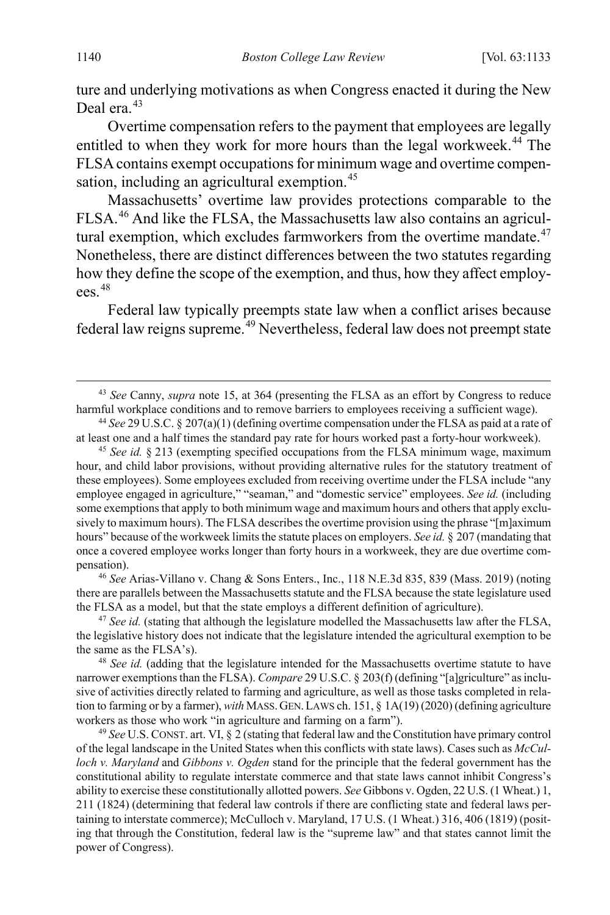ture and underlying motivations as when Congress enacted it during the New Deal era.<sup>[43](#page-8-0)</sup>

Overtime compensation refers to the payment that employees are legally entitled to when they work for more hours than the legal workweek.<sup>[44](#page-8-1)</sup> The FLSA contains exempt occupations for minimum wage and overtime compen-sation, including an agricultural exemption.<sup>[45](#page-8-2)</sup>

Massachusetts' overtime law provides protections comparable to the FLSA.[46](#page-8-3) And like the FLSA, the Massachusetts law also contains an agricultural exemption, which excludes farmworkers from the overtime mandate. $47$ Nonetheless, there are distinct differences between the two statutes regarding how they define the scope of the exemption, and thus, how they affect employ- $\rho$ ees.  $48$ 

Federal law typically preempts state law when a conflict arises because federal law reigns supreme.<sup>[49](#page-8-6)</sup> Nevertheless, federal law does not preempt state

<span id="page-8-2"></span><sup>45</sup> *See id.* § 213 (exempting specified occupations from the FLSA minimum wage, maximum hour, and child labor provisions, without providing alternative rules for the statutory treatment of these employees). Some employees excluded from receiving overtime under the FLSA include "any employee engaged in agriculture," "seaman," and "domestic service" employees. *See id.* (including some exemptions that apply to both minimum wage and maximum hours and others that apply exclusively to maximum hours). The FLSA describes the overtime provision using the phrase "[m]aximum hours" because of the workweek limits the statute places on employers. *See id.* § 207 (mandating that once a covered employee works longer than forty hours in a workweek, they are due overtime compensation).

<span id="page-8-3"></span><sup>46</sup> *See* Arias-Villano v. Chang & Sons Enters., Inc., 118 N.E.3d 835, 839 (Mass. 2019) (noting there are parallels between the Massachusetts statute and the FLSA because the state legislature used the FLSA as a model, but that the state employs a different definition of agriculture).

<span id="page-8-4"></span><sup>47</sup> *See id.* (stating that although the legislature modelled the Massachusetts law after the FLSA, the legislative history does not indicate that the legislature intended the agricultural exemption to be

<span id="page-8-5"></span>the same as the FLSA's). 48 *See id.* (adding that the legislature intended for the Massachusetts overtime statute to have narrower exemptions than the FLSA). *Compare* 29 U.S.C. § 203(f) (defining "[a]griculture" as inclusive of activities directly related to farming and agriculture, as well as those tasks completed in relation to farming or by a farmer), *with* MASS.GEN.LAWS ch. 151, § 1A(19) (2020) (defining agriculture workers as those who work "in agriculture and farming on a farm").

<span id="page-8-6"></span><sup>49</sup> *See* U.S. CONST. art. VI, § 2 (stating that federal law and the Constitution have primary control of the legal landscape in the United States when this conflicts with state laws). Cases such as *McCulloch v. Maryland* and *Gibbons v. Ogden* stand for the principle that the federal government has the constitutional ability to regulate interstate commerce and that state laws cannot inhibit Congress's ability to exercise these constitutionally allotted powers. *See* Gibbons v. Ogden, 22 U.S. (1 Wheat.) 1, 211 (1824) (determining that federal law controls if there are conflicting state and federal laws pertaining to interstate commerce); McCulloch v. Maryland, 17 U.S. (1 Wheat.) 316, 406 (1819) (positing that through the Constitution, federal law is the "supreme law" and that states cannot limit the power of Congress).

<span id="page-8-0"></span> <sup>43</sup> *See* Canny, *supra* note [15,](#page-3-7) at 364 (presenting the FLSA as an effort by Congress to reduce harmful workplace conditions and to remove barriers to employees receiving a sufficient wage).

<span id="page-8-1"></span><sup>44</sup> *See* 29 U.S.C. § 207(a)(1) (defining overtime compensation under the FLSA as paid at a rate of at least one and a half times the standard pay rate for hours worked past a forty-hour workweek).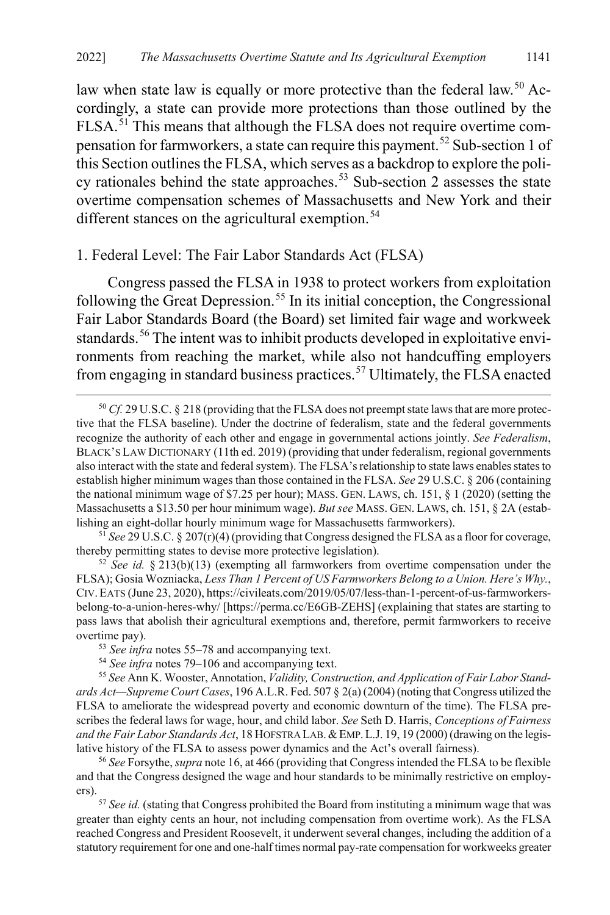<span id="page-9-9"></span>law when state law is equally or more protective than the federal law.<sup>[50](#page-9-1)</sup> Accordingly, a state can provide more protections than those outlined by the FLSA.[51](#page-9-2) This means that although the FLSA does not require overtime com-pensation for farmworkers, a state can require this payment.<sup>[52](#page-9-3)</sup> Sub-section 1 of this Section outlines the FLSA, which serves as a backdrop to explore the poli-cy rationales behind the state approaches.<sup>[53](#page-9-4)</sup> Sub-section 2 assesses the state overtime compensation schemes of Massachusetts and New York and their different stances on the agricultural exemption.<sup>[54](#page-9-5)</sup>

#### 1. Federal Level: The Fair Labor Standards Act (FLSA)

<span id="page-9-0"></span>Congress passed the FLSA in 1938 to protect workers from exploitation following the Great Depression.<sup>[55](#page-9-6)</sup> In its initial conception, the Congressional Fair Labor Standards Board (the Board) set limited fair wage and workweek standards.<sup>[56](#page-9-7)</sup> The intent was to inhibit products developed in exploitative environments from reaching the market, while also not handcuffing employers from engaging in standard business practices.<sup>[57](#page-9-8)</sup> Ultimately, the FLSA enacted

<span id="page-9-2"></span><sup>51</sup> *See* 29 U.S.C. § 207(r)(4) (providing that Congress designed the FLSA as a floor for coverage, thereby permitting states to devise more protective legislation). 52 *See id.* § 213(b)(13) (exempting all farmworkers from overtime compensation under the

<span id="page-9-3"></span>FLSA); Gosia Wozniacka, *Less Than 1 Percent of US Farmworkers Belong to a Union. Here's Why.*, CIV.EATS (June 23, 2020), https://civileats.com/2019/05/07/less-than-1-percent-of-us-farmworkersbelong-to-a-union-heres-why/ [https://perma.cc/E6GB-ZEHS] (explaining that states are starting to pass laws that abolish their agricultural exemptions and, therefore, permit farmworkers to receive overtime pay).

<span id="page-9-6"></span><span id="page-9-5"></span><span id="page-9-4"></span>55 *See* Ann K. Wooster, Annotation, *Validity, Construction, and Application of Fair Labor Standards Act—Supreme Court Cases*, 196 A.L.R. Fed. 507 § 2(a) (2004) (noting that Congress utilized the FLSA to ameliorate the widespread poverty and economic downturn of the time). The FLSA prescribes the federal laws for wage, hour, and child labor. *See* Seth D. Harris, *Conceptions of Fairness and the Fair Labor Standards Act*, 18 HOFSTRA LAB.&EMP.L.J. 19, 19 (2000) (drawing on the legislative history of the FLSA to assess power dynamics and the Act's overall fairness).

<span id="page-9-7"></span><sup>56</sup> *See* Forsythe, *supra* not[e 16,](#page-4-7) at 466 (providing that Congress intended the FLSA to be flexible and that the Congress designed the wage and hour standards to be minimally restrictive on employers).

<span id="page-9-8"></span><sup>57</sup> See id. (stating that Congress prohibited the Board from instituting a minimum wage that was greater than eighty cents an hour, not including compensation from overtime work). As the FLSA reached Congress and President Roosevelt, it underwent several changes, including the addition of a statutory requirement for one and one-half times normal pay-rate compensation for workweeks greater

<span id="page-9-1"></span> <sup>50</sup> *Cf.* 29 U.S.C. § 218 (providing that the FLSA does not preempt state laws that are more protective that the FLSA baseline). Under the doctrine of federalism, state and the federal governments recognize the authority of each other and engage in governmental actions jointly. *See Federalism*, BLACK'S LAW DICTIONARY (11th ed. 2019) (providing that under federalism, regional governments also interact with the state and federal system). The FLSA's relationship to state laws enables states to establish higher minimum wages than those contained in the FLSA. *See* 29 U.S.C. § 206 (containing the national minimum wage of \$7.25 per hour); MASS. GEN. LAWS, ch. 151, § 1 (2020) (setting the Massachusetts a \$13.50 per hour minimum wage). *But see* MASS. GEN. LAWS, ch. 151, § 2A (establishing an eight-dollar hourly minimum wage for Massachusetts farmworkers).

<sup>53</sup> *See infra* note[s 55–](#page-9-0)[78](#page-13-0) and accompanying text.

<sup>54</sup> *See infra* note[s 79–](#page-13-1)[106](#page-18-1) and accompanying text.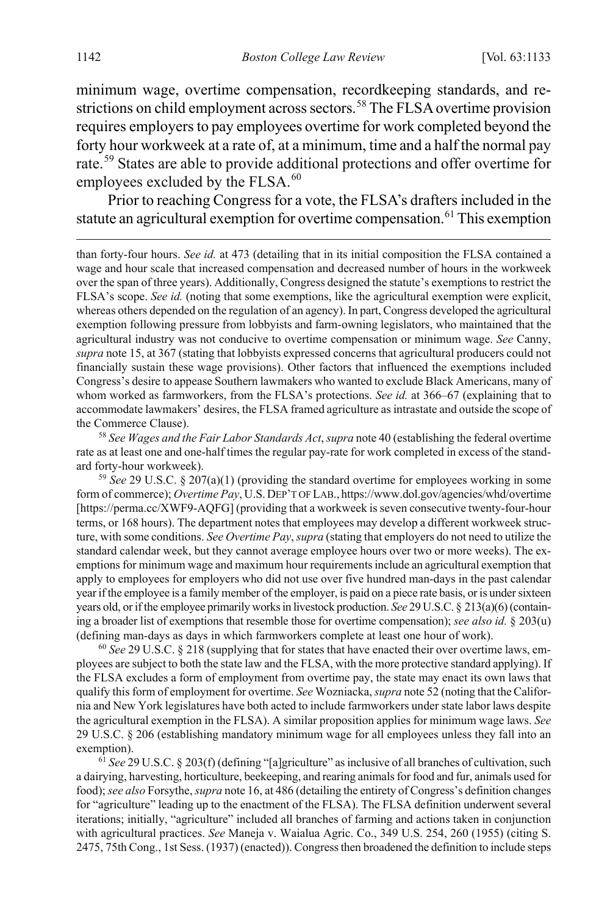minimum wage, overtime compensation, recordkeeping standards, and re-strictions on child employment across sectors.<sup>[58](#page-10-0)</sup> The FLSA overtime provision requires employers to pay employees overtime for work completed beyond the forty hour workweek at a rate of, at a minimum, time and a half the normal pay rate.[59](#page-10-1) States are able to provide additional protections and offer overtime for employees excluded by the FLSA.<sup>[60](#page-10-2)</sup>

Prior to reaching Congress for a vote, the FLSA's drafters included in the statute an agricultural exemption for overtime compensation.<sup>[61](#page-10-3)</sup> This exemption

than forty-four hours. *See id.* at 473 (detailing that in its initial composition the FLSA contained a wage and hour scale that increased compensation and decreased number of hours in the workweek over the span of three years). Additionally, Congress designed the statute's exemptions to restrict the FLSA's scope. *See id.* (noting that some exemptions, like the agricultural exemption were explicit, whereas others depended on the regulation of an agency). In part, Congress developed the agricultural exemption following pressure from lobbyists and farm-owning legislators, who maintained that the agricultural industry was not conducive to overtime compensation or minimum wage. *See* Canny, *supra* not[e 15,](#page-3-7) at 367 (stating that lobbyists expressed concerns that agricultural producers could not financially sustain these wage provisions). Other factors that influenced the exemptions included Congress's desire to appease Southern lawmakers who wanted to exclude Black Americans, many of whom worked as farmworkers, from the FLSA's protections. *See id.* at 366–67 (explaining that to accommodate lawmakers' desires, the FLSA framed agriculture as intrastate and outside the scope of the Commerce Clause).

<span id="page-10-0"></span><sup>58</sup> *See Wages and the Fair Labor Standards Act*, *supra* not[e 40 \(](#page-7-0)establishing the federal overtime rate as at least one and one-half times the regular pay-rate for work completed in excess of the standard forty-hour workweek).

<span id="page-10-1"></span><sup>59</sup> *See* 29 U.S.C. § 207(a)(1) (providing the standard overtime for employees working in some form of commerce); *Overtime Pay*, U.S.DEP'T OF LAB., https://www.dol.gov/agencies/whd/overtime [https://perma.cc/XWF9-AQFG] (providing that a workweek is seven consecutive twenty-four-hour terms, or 168 hours). The department notes that employees may develop a different workweek structure, with some conditions. *See Overtime Pay*, *supra* (stating that employers do not need to utilize the standard calendar week, but they cannot average employee hours over two or more weeks). The exemptions for minimum wage and maximum hour requirements include an agricultural exemption that apply to employees for employers who did not use over five hundred man-days in the past calendar year if the employee is a family member of the employer, is paid on a piece rate basis, or is under sixteen years old, or if the employee primarily works in livestock production. *See* 29 U.S.C. § 213(a)(6)(containing a broader list of exemptions that resemble those for overtime compensation); *see also id.* § 203(u) (defining man-days as days in which farmworkers complete at least one hour of work).

<span id="page-10-2"></span><sup>60</sup> *See* 29 U.S.C. § 218 (supplying that for states that have enacted their over overtime laws, employees are subject to both the state law and the FLSA, with the more protective standard applying). If the FLSA excludes a form of employment from overtime pay, the state may enact its own laws that qualify this form of employment for overtime. *See* Wozniacka, *supra* not[e 52](#page-9-9) (noting that the California and New York legislatures have both acted to include farmworkers under state labor laws despite the agricultural exemption in the FLSA). A similar proposition applies for minimum wage laws. *See*  29 U.S.C. § 206 (establishing mandatory minimum wage for all employees unless they fall into an exemption). 61 *See* 29 U.S.C. § 203(f) (defining "[a]griculture" as inclusive of all branches of cultivation, such

<span id="page-10-3"></span>a dairying, harvesting, horticulture, beekeeping, and rearing animals for food and fur, animals used for food); *see also* Forsythe, *supra* not[e 16,](#page-4-7) at 486 (detailing the entirety of Congress's definition changes for "agriculture" leading up to the enactment of the FLSA). The FLSA definition underwent several iterations; initially, "agriculture" included all branches of farming and actions taken in conjunction with agricultural practices. *See* Maneja v. Waialua Agric. Co., 349 U.S. 254, 260 (1955) (citing S. 2475, 75th Cong., 1st Sess. (1937) (enacted)). Congress then broadened the definition to include steps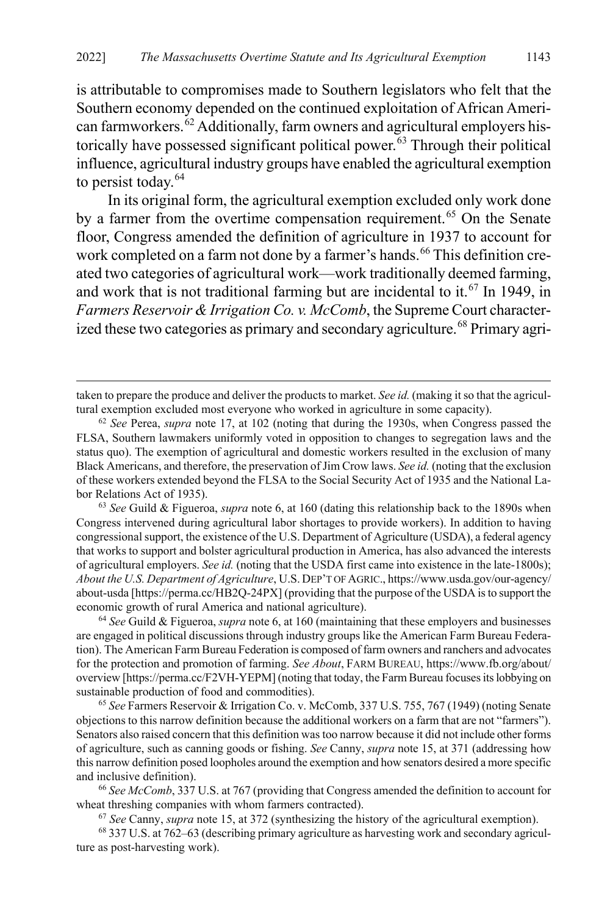is attributable to compromises made to Southern legislators who felt that the Southern economy depended on the continued exploitation of African Ameri-can farmworkers.<sup>[62](#page-11-0)</sup> Additionally, farm owners and agricultural employers his-torically have possessed significant political power.<sup>[63](#page-11-1)</sup> Through their political influence, agricultural industry groups have enabled the agricultural exemption to persist today. $64$ 

<span id="page-11-7"></span>In its original form, the agricultural exemption excluded only work done by a farmer from the overtime compensation requirement.<sup>[65](#page-11-3)</sup> On the Senate floor, Congress amended the definition of agriculture in 1937 to account for work completed on a farm not done by a farmer's hands.<sup>[66](#page-11-4)</sup> This definition created two categories of agricultural work—work traditionally deemed farming, and work that is not traditional farming but are incidental to it.<sup>[67](#page-11-5)</sup> In 1949, in *Farmers Reservoir & Irrigation Co. v. McComb*, the Supreme Court character-ized these two categories as primary and secondary agriculture.<sup>[68](#page-11-6)</sup> Primary agri-

taken to prepare the produce and deliver the products to market. *See id.* (making it so that the agricultural exemption excluded most everyone who worked in agriculture in some capacity).

 $\overline{a}$ 

<span id="page-11-1"></span><sup>63</sup> *See* Guild & Figueroa, *supra* note [6,](#page-2-0) at 160 (dating this relationship back to the 1890s when Congress intervened during agricultural labor shortages to provide workers). In addition to having congressional support, the existence of the U.S. Department of Agriculture (USDA), a federal agency that works to support and bolster agricultural production in America, has also advanced the interests of agricultural employers. *See id.* (noting that the USDA first came into existence in the late-1800s); *About the U.S. Department of Agriculture*, U.S. DEP'T OF AGRIC., https://www.usda.gov/our-agency/ about-usda [https://perma.cc/HB2Q-24PX] (providing that the purpose of the USDA is to support the economic growth of rural America and national agriculture). 64 *See* Guild & Figueroa, *supra* not[e 6,](#page-2-0) at 160 (maintaining that these employers and businesses

<span id="page-11-2"></span>are engaged in political discussions through industry groups like the American Farm Bureau Federation). The American Farm Bureau Federation is composed of farm owners and ranchers and advocates for the protection and promotion of farming. *See About*, FARM BUREAU, https://www.fb.org/about/ overview [https://perma.cc/F2VH-YEPM] (noting that today, the Farm Bureau focuses its lobbying on sustainable production of food and commodities).

<span id="page-11-3"></span><sup>65</sup> *See* Farmers Reservoir & Irrigation Co. v. McComb, 337 U.S. 755, 767 (1949) (noting Senate objections to this narrow definition because the additional workers on a farm that are not "farmers"). Senators also raised concern that this definition was too narrow because it did not include other forms of agriculture, such as canning goods or fishing. *See* Canny, *supra* not[e 15,](#page-3-7) at 371 (addressing how this narrow definition posed loopholes around the exemption and how senators desired a more specific and inclusive definition).

<span id="page-11-4"></span><sup>66</sup> *See McComb*, 337 U.S. at 767 (providing that Congress amended the definition to account for wheat threshing companies with whom farmers contracted).

<sup>67</sup> *See* Canny, *supra* not[e 15,](#page-3-7) at 372 (synthesizing the history of the agricultural exemption).

<span id="page-11-6"></span><span id="page-11-5"></span><sup>68</sup> 337 U.S. at 762–63 (describing primary agriculture as harvesting work and secondary agriculture as post-harvesting work).

<span id="page-11-0"></span><sup>62</sup> *See* Perea, *supra* not[e 17,](#page-4-8) at 102 (noting that during the 1930s, when Congress passed the FLSA, Southern lawmakers uniformly voted in opposition to changes to segregation laws and the status quo). The exemption of agricultural and domestic workers resulted in the exclusion of many Black Americans, and therefore, the preservation of Jim Crow laws. *See id.* (noting that the exclusion of these workers extended beyond the FLSA to the Social Security Act of 1935 and the National Labor Relations Act of 1935).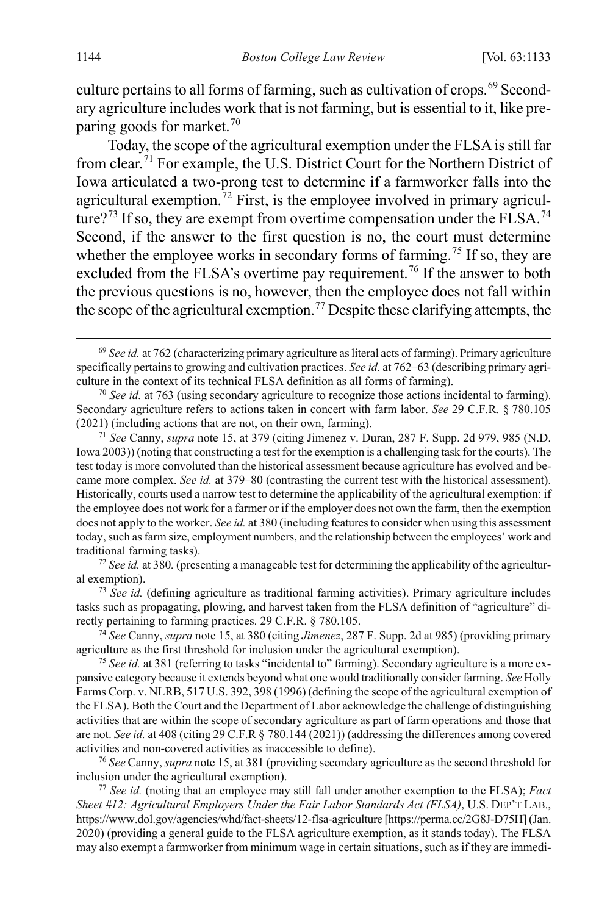culture pertains to all forms of farming, such as cultivation of crops.<sup>[69](#page-12-0)</sup> Secondary agriculture includes work that is not farming, but is essential to it, like pre-paring goods for market.<sup>[70](#page-12-1)</sup>

Today, the scope of the agricultural exemption under the FLSA is still far from clear.[71](#page-12-2) For example, the U.S. District Court for the Northern District of Iowa articulated a two-prong test to determine if a farmworker falls into the agricultural exemption. $72$  First, is the employee involved in primary agricul-ture?<sup>[73](#page-12-4)</sup> If so, they are exempt from overtime compensation under the FLSA.<sup>[74](#page-12-5)</sup> Second, if the answer to the first question is no, the court must determine whether the employee works in secondary forms of farming.<sup>[75](#page-12-6)</sup> If so, they are excluded from the FLSA's overtime pay requirement.<sup>[76](#page-12-7)</sup> If the answer to both the previous questions is no, however, then the employee does not fall within the scope of the agricultural exemption.<sup>[77](#page-12-8)</sup> Despite these clarifying attempts, the

<span id="page-12-3"></span>al exemption).

<span id="page-12-4"></span><sup>73</sup> *See id.* (defining agriculture as traditional farming activities). Primary agriculture includes tasks such as propagating, plowing, and harvest taken from the FLSA definition of "agriculture" directly pertaining to farming practices. 29 C.F.R. § 780.105. 74 *See* Canny, *supra* not[e 15,](#page-3-7) at 380 (citing *Jimenez*, 287 F. Supp. 2d at 985) (providing primary

<span id="page-12-5"></span>agriculture as the first threshold for inclusion under the agricultural exemption).

<span id="page-12-6"></span><sup>75</sup> *See id.* at 381 (referring to tasks "incidental to" farming). Secondary agriculture is a more expansive category because it extends beyond what one would traditionally consider farming. *See* Holly Farms Corp. v. NLRB, 517 U.S. 392, 398 (1996) (defining the scope of the agricultural exemption of the FLSA). Both the Court and the Department of Labor acknowledge the challenge of distinguishing activities that are within the scope of secondary agriculture as part of farm operations and those that are not. *See id.* at 408 (citing 29 C.F.R § 780.144 (2021)) (addressing the differences among covered activities and non-covered activities as inaccessible to define).

<span id="page-12-7"></span><sup>76</sup> *See* Canny, *supra* not[e 15,](#page-3-7) at 381 (providing secondary agriculture as the second threshold for inclusion under the agricultural exemption).

<span id="page-12-8"></span><sup>77</sup> *See id.* (noting that an employee may still fall under another exemption to the FLSA); *Fact Sheet #12: Agricultural Employers Under the Fair Labor Standards Act (FLSA)*, U.S. DEP'T LAB., https://www.dol.gov/agencies/whd/fact-sheets/12-flsa-agriculture [https://perma.cc/2G8J-D75H] (Jan. 2020) (providing a general guide to the FLSA agriculture exemption, as it stands today). The FLSA may also exempt a farmworker from minimum wage in certain situations, such as if they are immedi-

<span id="page-12-0"></span> <sup>69</sup> *See id.* at 762 (characterizing primary agriculture as literal acts of farming). Primary agriculture specifically pertains to growing and cultivation practices. *See id.* at 762–63 (describing primary agriculture in the context of its technical FLSA definition as all forms of farming).

<span id="page-12-1"></span><sup>70</sup> *See id.* at 763 (using secondary agriculture to recognize those actions incidental to farming). Secondary agriculture refers to actions taken in concert with farm labor. *See* 29 C.F.R. § 780.105 (2021) (including actions that are not, on their own, farming).

<span id="page-12-2"></span><sup>71</sup> *See* Canny, *supra* note [15,](#page-3-7) at 379 (citing Jimenez v. Duran, 287 F. Supp. 2d 979, 985 (N.D. Iowa 2003)) (noting that constructing a test for the exemption is a challenging task for the courts). The test today is more convoluted than the historical assessment because agriculture has evolved and became more complex. *See id.* at 379–80 (contrasting the current test with the historical assessment). Historically, courts used a narrow test to determine the applicability of the agricultural exemption: if the employee does not work for a farmer or if the employer does not own the farm, then the exemption does not apply to the worker. *See id.* at 380 (including features to consider when using this assessment today, such as farm size, employment numbers, and the relationship between the employees' work and traditional farming tasks). 72 *See id.* at 380*.* (presenting a manageable test for determining the applicability of the agricultur-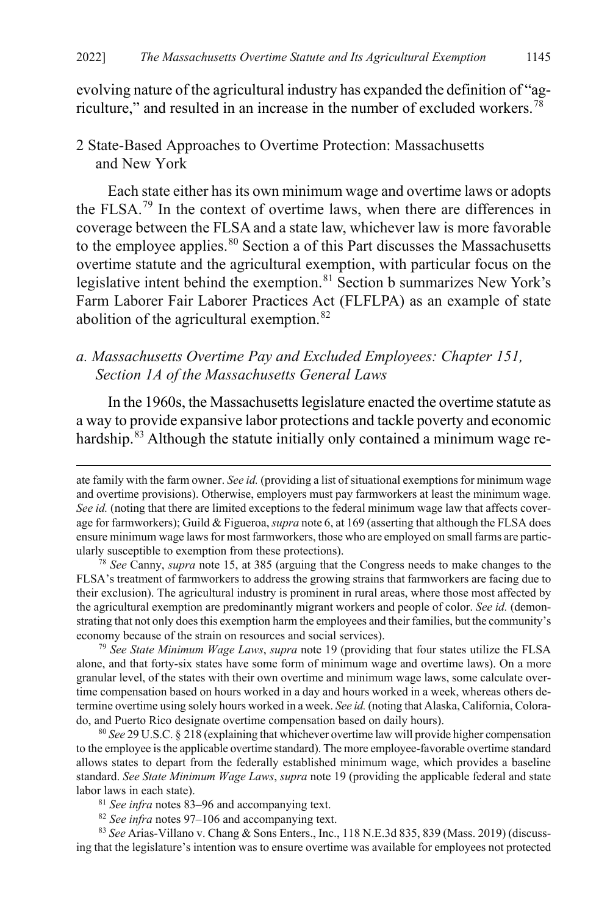<span id="page-13-0"></span>evolving nature of the agricultural industry has expanded the definition of "ag-riculture," and resulted in an increase in the number of excluded workers.<sup>[78](#page-13-3)</sup>

#### 2 State-Based Approaches to Overtime Protection: Massachusetts and New York

<span id="page-13-1"></span>Each state either has its own minimum wage and overtime laws or adopts the FLSA.[79](#page-13-4) In the context of overtime laws, when there are differences in coverage between the FLSA and a state law, whichever law is more favorable to the employee applies.<sup>[80](#page-13-5)</sup> Section a of this Part discusses the Massachusetts overtime statute and the agricultural exemption, with particular focus on the legislative intent behind the exemption.<sup>[81](#page-13-6)</sup> Section b summarizes New York's Farm Laborer Fair Laborer Practices Act (FLFLPA) as an example of state abolition of the agricultural exemption.<sup>[82](#page-13-7)</sup>

## *a. Massachusetts Overtime Pay and Excluded Employees: Chapter 151, Section 1A of the Massachusetts General Laws*

In the 1960s, the Massachusetts legislature enacted the overtime statute as a way to provide expansive labor protections and tackle poverty and economic hardship.<sup>[83](#page-13-8)</sup> Although the statute initially only contained a minimum wage re-

<span id="page-13-4"></span><sup>79</sup> *See State Minimum Wage Laws*, *supra* note [19](#page-4-9) (providing that four states utilize the FLSA alone, and that forty-six states have some form of minimum wage and overtime laws). On a more granular level, of the states with their own overtime and minimum wage laws, some calculate overtime compensation based on hours worked in a day and hours worked in a week, whereas others determine overtime using solely hours worked in a week. *See id.* (noting that Alaska, California, Colorado, and Puerto Rico designate overtime compensation based on daily hours).

<span id="page-13-5"></span><sup>80</sup> *See* 29 U.S.C. § 218 (explaining that whichever overtime law will provide higher compensation to the employee is the applicable overtime standard). The more employee-favorable overtime standard allows states to depart from the federally established minimum wage, which provides a baseline standard. *See State Minimum Wage Laws*, *supra* not[e 19](#page-4-9) (providing the applicable federal and state labor laws in each state).

<span id="page-13-2"></span> $\overline{a}$ 

<sup>82</sup> *See infra* note[s 97–](#page-16-1)[106](#page-18-1) and accompanying text.

<span id="page-13-8"></span><span id="page-13-7"></span><span id="page-13-6"></span><sup>83</sup> *See* Arias-Villano v. Chang & Sons Enters., Inc., 118 N.E.3d 835, 839 (Mass. 2019) (discussing that the legislature's intention was to ensure overtime was available for employees not protected

ate family with the farm owner. *See id.* (providing a list of situational exemptions for minimum wage and overtime provisions). Otherwise, employers must pay farmworkers at least the minimum wage. *See id.* (noting that there are limited exceptions to the federal minimum wage law that affects coverage for farmworkers); Guild & Figueroa, *supra* not[e 6,](#page-2-0) at 169 (asserting that although the FLSA does ensure minimum wage laws for most farmworkers, those who are employed on small farms are particularly susceptible to exemption from these protections).

<span id="page-13-3"></span><sup>78</sup> *See* Canny, *supra* note [15,](#page-3-7) at 385 (arguing that the Congress needs to make changes to the FLSA's treatment of farmworkers to address the growing strains that farmworkers are facing due to their exclusion). The agricultural industry is prominent in rural areas, where those most affected by the agricultural exemption are predominantly migrant workers and people of color. *See id.* (demonstrating that not only does this exemption harm the employees and their families, but the community's economy because of the strain on resources and social services).

<sup>81</sup> *See infra* note[s 83–](#page-13-2)[96](#page-16-0) and accompanying text.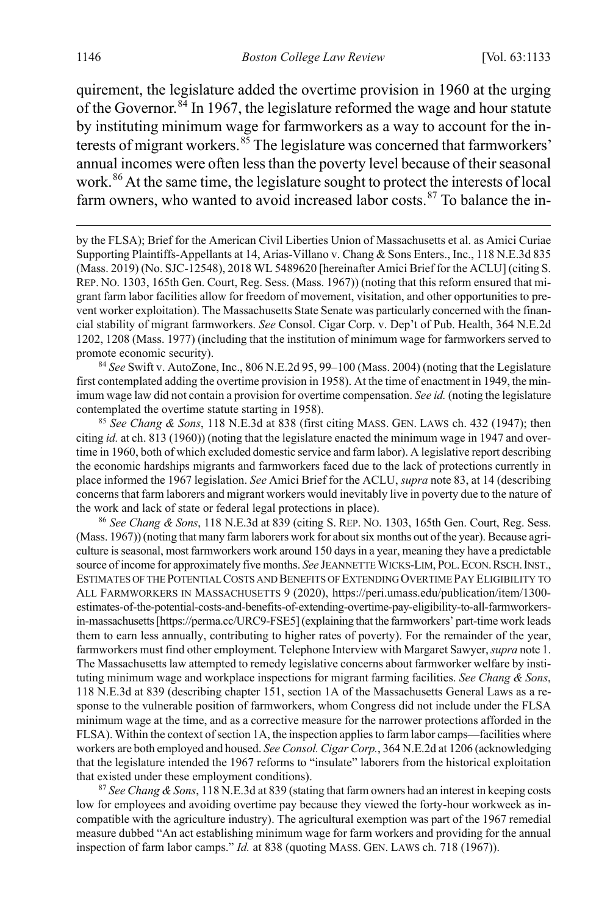quirement, the legislature added the overtime provision in 1960 at the urging of the Governor.  $84 \text{ In } 1967$  $84 \text{ In } 1967$ , the legislature reformed the wage and hour statute by instituting minimum wage for farmworkers as a way to account for the interests of migrant workers. $85$  The legislature was concerned that farmworkers' annual incomes were often less than the poverty level because of their seasonal work.<sup>[86](#page-14-2)</sup> At the same time, the legislature sought to protect the interests of local farm owners, who wanted to avoid increased labor costs. $87$  To balance the in-

<span id="page-14-4"></span>by the FLSA); Brief for the American Civil Liberties Union of Massachusetts et al. as Amici Curiae Supporting Plaintiffs-Appellants at 14, Arias-Villano v. Chang & Sons Enters., Inc., 118 N.E.3d 835 (Mass. 2019) (No. SJC-12548), 2018 WL 5489620 [hereinafter Amici Brief for the ACLU] (citing S. REP. NO. 1303, 165th Gen. Court, Reg. Sess. (Mass. 1967)) (noting that this reform ensured that migrant farm labor facilities allow for freedom of movement, visitation, and other opportunities to prevent worker exploitation). The Massachusetts State Senate was particularly concerned with the financial stability of migrant farmworkers. *See* Consol. Cigar Corp. v. Dep't of Pub. Health, 364 N.E.2d 1202, 1208 (Mass. 1977) (including that the institution of minimum wage for farmworkers served to promote economic security).

<span id="page-14-0"></span><sup>84</sup> *See* Swift v. AutoZone, Inc., 806 N.E.2d 95, 99–100 (Mass. 2004) (noting that the Legislature first contemplated adding the overtime provision in 1958). At the time of enactment in 1949, the minimum wage law did not contain a provision for overtime compensation. *See id.* (noting the legislature contemplated the overtime statute starting in 1958).

<span id="page-14-1"></span><sup>85</sup> *See Chang & Sons*, 118 N.E.3d at 838 (first citing MASS. GEN. LAWS ch. 432 (1947); then citing *id.* at ch. 813 (1960)) (noting that the legislature enacted the minimum wage in 1947 and overtime in 1960, both of which excluded domestic service and farm labor). A legislative report describing the economic hardships migrants and farmworkers faced due to the lack of protections currently in place informed the 1967 legislation. *See* Amici Brief for the ACLU, *supra* not[e 83,](#page-13-2) at 14 (describing concerns that farm laborers and migrant workers would inevitably live in poverty due to the nature of the work and lack of state or federal legal protections in place).

<span id="page-14-2"></span><sup>86</sup> *See Chang & Sons*, 118 N.E.3d at 839 (citing S. REP. NO. 1303, 165th Gen. Court, Reg. Sess. (Mass. 1967)) (noting that many farm laborers work for about six months out of the year). Because agriculture is seasonal, most farmworkers work around 150 days in a year, meaning they have a predictable source of income for approximately five months. See JEANNETTE WICKS-LIM, POL. ECON. RSCH. INST., ESTIMATES OF THE POTENTIAL COSTS AND BENEFITS OF EXTENDING OVERTIME PAY ELIGIBILITY TO ALL FARMWORKERS IN MASSACHUSETTS 9 (2020), https://peri.umass.edu/publication/item/1300 estimates-of-the-potential-costs-and-benefits-of-extending-overtime-pay-eligibility-to-all-farmworkersin-massachusetts [https://perma.cc/URC9-FSE5] (explaining that the farmworkers' part-time work leads them to earn less annually, contributing to higher rates of poverty). For the remainder of the year, farmworkers must find other employment. Telephone Interview with Margaret Sawyer, *supra* not[e 1.](#page-1-1) The Massachusetts law attempted to remedy legislative concerns about farmworker welfare by instituting minimum wage and workplace inspections for migrant farming facilities. *See Chang & Sons*, 118 N.E.3d at 839 (describing chapter 151, section 1A of the Massachusetts General Laws as a response to the vulnerable position of farmworkers, whom Congress did not include under the FLSA minimum wage at the time, and as a corrective measure for the narrower protections afforded in the FLSA). Within the context of section 1A, the inspection applies to farm labor camps—facilities where workers are both employed and housed. *See Consol. Cigar Corp.*, 364 N.E.2d at 1206 (acknowledging that the legislature intended the 1967 reforms to "insulate" laborers from the historical exploitation that existed under these employment conditions).

<span id="page-14-3"></span><sup>87</sup> *See Chang & Sons*, 118 N.E.3d at 839 (stating that farm owners had an interest in keeping costs low for employees and avoiding overtime pay because they viewed the forty-hour workweek as incompatible with the agriculture industry). The agricultural exemption was part of the 1967 remedial measure dubbed "An act establishing minimum wage for farm workers and providing for the annual inspection of farm labor camps." *Id.* at 838 (quoting MASS. GEN. LAWS ch. 718 (1967)).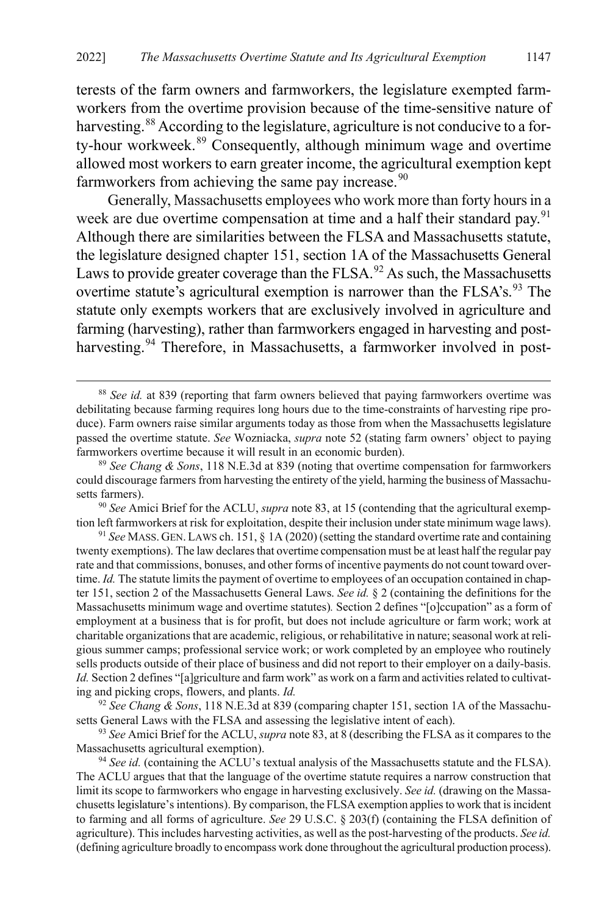terests of the farm owners and farmworkers, the legislature exempted farmworkers from the overtime provision because of the time-sensitive nature of harvesting.<sup>[88](#page-15-0)</sup> According to the legislature, agriculture is not conducive to a for-ty-hour workweek.<sup>[89](#page-15-1)</sup> Consequently, although minimum wage and overtime allowed most workers to earn greater income, the agricultural exemption kept farmworkers from achieving the same pay increase. $90$ 

Generally, Massachusetts employees who work more than forty hours in a week are due overtime compensation at time and a half their standard pay.<sup>[91](#page-15-3)</sup> Although there are similarities between the FLSA and Massachusetts statute, the legislature designed chapter 151, section 1A of the Massachusetts General Laws to provide greater coverage than the  $FLSA<sup>92</sup>$  $FLSA<sup>92</sup>$  $FLSA<sup>92</sup>$  As such, the Massachusetts overtime statute's agricultural exemption is narrower than the  $FLSA's$ .<sup>[93](#page-15-5)</sup> The statute only exempts workers that are exclusively involved in agriculture and farming (harvesting), rather than farmworkers engaged in harvesting and post-harvesting.<sup>[94](#page-15-6)</sup> Therefore, in Massachusetts, a farmworker involved in post-

<span id="page-15-0"></span> <sup>88</sup> *See id.* at 839 (reporting that farm owners believed that paying farmworkers overtime was debilitating because farming requires long hours due to the time-constraints of harvesting ripe produce). Farm owners raise similar arguments today as those from when the Massachusetts legislature passed the overtime statute. *See* Wozniacka, *supra* not[e 52](#page-9-9) (stating farm owners' object to paying farmworkers overtime because it will result in an economic burden).

<span id="page-15-1"></span><sup>89</sup> *See Chang & Sons*, 118 N.E.3d at 839 (noting that overtime compensation for farmworkers could discourage farmers from harvesting the entirety of the yield, harming the business of Massachusetts farmers).

<span id="page-15-2"></span><sup>90</sup> *See* Amici Brief for the ACLU, *supra* not[e 83,](#page-13-2) at 15 (contending that the agricultural exemption left farmworkers at risk for exploitation, despite their inclusion under state minimum wage laws).

<span id="page-15-3"></span><sup>91</sup> *See* MASS. GEN.LAWS ch. 151, § 1A (2020) (setting the standard overtime rate and containing twenty exemptions). The law declares that overtime compensation must be at least half the regular pay rate and that commissions, bonuses, and other forms of incentive payments do not count toward overtime. *Id.* The statute limits the payment of overtime to employees of an occupation contained in chapter 151, section 2 of the Massachusetts General Laws. *See id.* § 2 (containing the definitions for the Massachusetts minimum wage and overtime statutes)*.* Section 2 defines "[o]ccupation" as a form of employment at a business that is for profit, but does not include agriculture or farm work; work at charitable organizations that are academic, religious, or rehabilitative in nature; seasonal work at religious summer camps; professional service work; or work completed by an employee who routinely sells products outside of their place of business and did not report to their employer on a daily-basis. *Id.* Section 2 defines "[a]griculture and farm work" as work on a farm and activities related to cultivating and picking crops, flowers, and plants. *Id.*

<span id="page-15-4"></span><sup>92</sup> *See Chang & Sons*, 118 N.E.3d at 839 (comparing chapter 151, section 1A of the Massachusetts General Laws with the FLSA and assessing the legislative intent of each).

<span id="page-15-5"></span><sup>93</sup> *See* Amici Brief for the ACLU, *supra* not[e 83,](#page-13-2) at 8 (describing the FLSA as it compares to the Massachusetts agricultural exemption).

<span id="page-15-6"></span><sup>&</sup>lt;sup>94</sup> See id. (containing the ACLU's textual analysis of the Massachusetts statute and the FLSA). The ACLU argues that that the language of the overtime statute requires a narrow construction that limit its scope to farmworkers who engage in harvesting exclusively. *See id.* (drawing on the Massachusetts legislature's intentions). By comparison, the FLSA exemption applies to work that is incident to farming and all forms of agriculture. *See* 29 U.S.C. § 203(f) (containing the FLSA definition of agriculture). This includes harvesting activities, as well as the post-harvesting of the products. *See id.*  (defining agriculture broadly to encompass work done throughout the agricultural production process).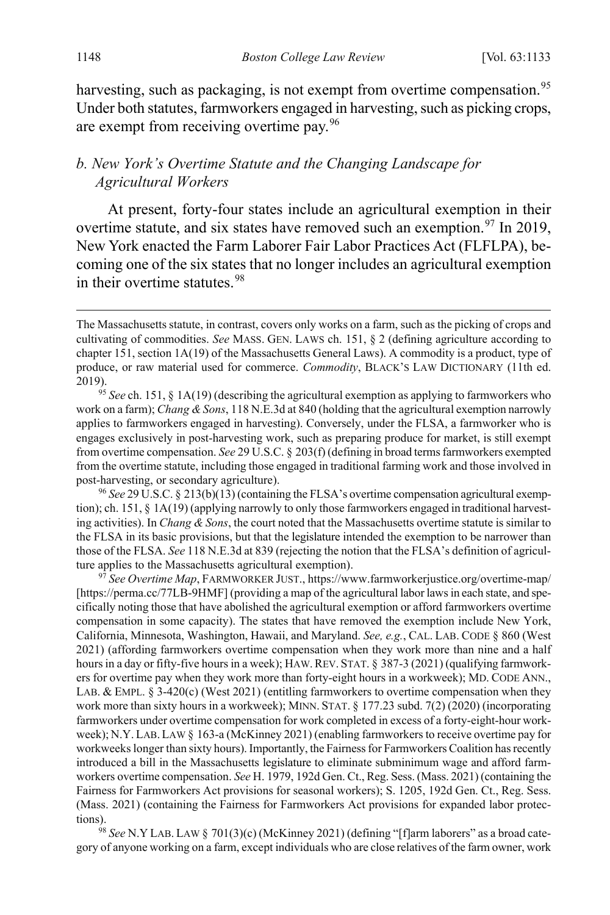<span id="page-16-0"></span>harvesting, such as packaging, is not exempt from overtime compensation.<sup>[95](#page-16-2)</sup> Under both statutes, farmworkers engaged in harvesting, such as picking crops, are exempt from receiving overtime pay.[96](#page-16-3)

#### *b. New York's Overtime Statute and the Changing Landscape for Agricultural Workers*

<span id="page-16-1"></span>At present, forty-four states include an agricultural exemption in their overtime statute, and six states have removed such an exemption.<sup>[97](#page-16-4)</sup> In 2019, New York enacted the Farm Laborer Fair Labor Practices Act (FLFLPA), becoming one of the six states that no longer includes an agricultural exemption in their overtime statutes.<sup>[98](#page-16-5)</sup>

<span id="page-16-3"></span><sup>96</sup> *See* 29 U.S.C. § 213(b)(13) (containing the FLSA's overtime compensation agricultural exemption); ch. 151, § 1A(19) (applying narrowly to only those farmworkers engaged in traditional harvesting activities). In *Chang & Sons*, the court noted that the Massachusetts overtime statute is similar to the FLSA in its basic provisions, but that the legislature intended the exemption to be narrower than those of the FLSA. *See* 118 N.E.3d at 839 (rejecting the notion that the FLSA's definition of agriculture applies to the Massachusetts agricultural exemption).

<span id="page-16-4"></span><sup>97</sup> *See Overtime Map*, FARMWORKER JUST., https://www.farmworkerjustice.org/overtime-map/ [https://perma.cc/77LB-9HMF] (providing a map of the agricultural labor laws in each state, and specifically noting those that have abolished the agricultural exemption or afford farmworkers overtime compensation in some capacity). The states that have removed the exemption include New York, California, Minnesota, Washington, Hawaii, and Maryland. *See, e.g.*, CAL. LAB. CODE § 860 (West 2021) (affording farmworkers overtime compensation when they work more than nine and a half hours in a day or fifty-five hours in a week); HAW. REV. STAT. § 387-3 (2021) (qualifying farmworkers for overtime pay when they work more than forty-eight hours in a workweek); MD. CODE ANN., LAB. & EMPL.  $\S$  3-420(c) (West 2021) (entitling farmworkers to overtime compensation when they work more than sixty hours in a workweek); MINN. STAT. § 177.23 subd. 7(2) (2020) (incorporating farmworkers under overtime compensation for work completed in excess of a forty-eight-hour workweek); N.Y.LAB.LAW § 163-a (McKinney 2021) (enabling farmworkers to receive overtime pay for workweeks longer than sixty hours). Importantly, the Fairness for Farmworkers Coalition has recently introduced a bill in the Massachusetts legislature to eliminate subminimum wage and afford farmworkers overtime compensation. *See* H. 1979, 192d Gen. Ct., Reg. Sess. (Mass. 2021) (containing the Fairness for Farmworkers Act provisions for seasonal workers); S. 1205, 192d Gen. Ct., Reg. Sess. (Mass. 2021) (containing the Fairness for Farmworkers Act provisions for expanded labor protections).

<span id="page-16-5"></span><sup>98</sup> *See* N.Y LAB. LAW § 701(3)(c) (McKinney 2021) (defining "[f]arm laborers" as a broad category of anyone working on a farm, except individuals who are close relatives of the farm owner, work

The Massachusetts statute, in contrast, covers only works on a farm, such as the picking of crops and cultivating of commodities. *See* MASS. GEN. LAWS ch. 151, § 2 (defining agriculture according to chapter 151, section 1A(19) of the Massachusetts General Laws). A commodity is a product, type of produce, or raw material used for commerce. *Commodity*, BLACK'S LAW DICTIONARY (11th ed. 2019). 95 *See* ch. 151, § 1A(19) (describing the agricultural exemption as applying to farmworkers who

<span id="page-16-2"></span>work on a farm); *Chang & Sons*, 118 N.E.3d at 840 (holding that the agricultural exemption narrowly applies to farmworkers engaged in harvesting). Conversely, under the FLSA, a farmworker who is engages exclusively in post-harvesting work, such as preparing produce for market, is still exempt from overtime compensation. *See* 29 U.S.C. § 203(f) (defining in broad terms farmworkers exempted from the overtime statute, including those engaged in traditional farming work and those involved in post-harvesting, or secondary agriculture).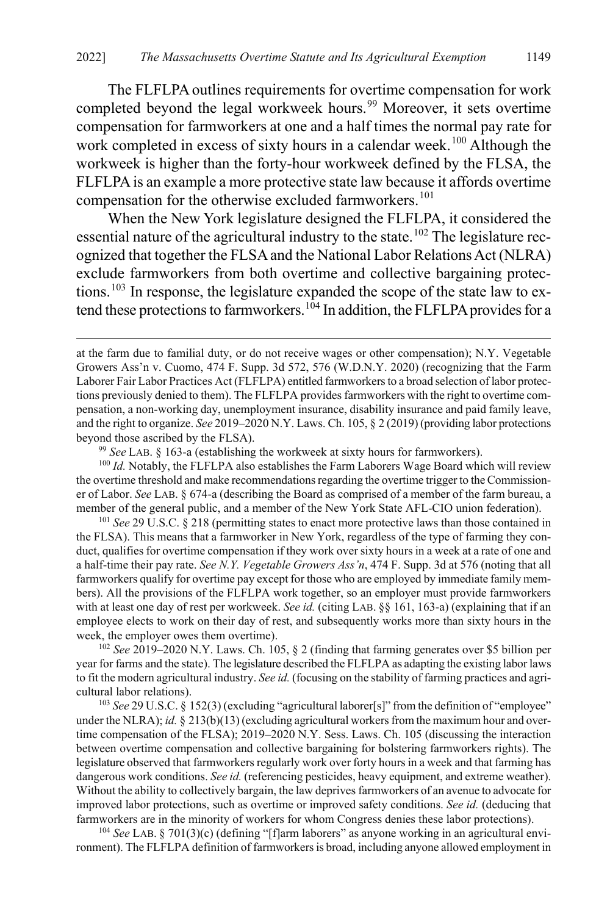The FLFLPA outlines requirements for overtime compensation for work completed beyond the legal workweek hours.<sup>[99](#page-17-0)</sup> Moreover, it sets overtime compensation for farmworkers at one and a half times the normal pay rate for work completed in excess of sixty hours in a calendar week.<sup>[100](#page-17-1)</sup> Although the workweek is higher than the forty-hour workweek defined by the FLSA, the FLFLPA is an example a more protective state law because it affords overtime compensation for the otherwise excluded farmworkers.<sup>[101](#page-17-2)</sup>

When the New York legislature designed the FLFLPA, it considered the essential nature of the agricultural industry to the state.<sup>[102](#page-17-3)</sup> The legislature recognized that together the FLSA and the National Labor Relations Act (NLRA) exclude farmworkers from both overtime and collective bargaining protec-tions.<sup>[103](#page-17-4)</sup> In response, the legislature expanded the scope of the state law to ex-tend these protections to farmworkers.<sup>[104](#page-17-5)</sup> In addition, the FLFLPA provides for a

<sup>99</sup> *See* LAB. § 163-a (establishing the workweek at sixty hours for farmworkers).

 $\overline{a}$ 

<span id="page-17-1"></span><span id="page-17-0"></span><sup>100</sup> *Id.* Notably, the FLFLPA also establishes the Farm Laborers Wage Board which will review the overtime threshold and make recommendations regarding the overtime trigger to the Commissioner of Labor. *See* LAB. § 674-a (describing the Board as comprised of a member of the farm bureau, a member of the general public, and a member of the New York State AFL-CIO union federation).

<span id="page-17-2"></span><sup>101</sup> *See* 29 U.S.C. § 218 (permitting states to enact more protective laws than those contained in the FLSA). This means that a farmworker in New York, regardless of the type of farming they conduct, qualifies for overtime compensation if they work over sixty hours in a week at a rate of one and a half-time their pay rate. *See N.Y. Vegetable Growers Ass'n*, 474 F. Supp. 3d at 576 (noting that all farmworkers qualify for overtime pay except for those who are employed by immediate family members). All the provisions of the FLFLPA work together, so an employer must provide farmworkers with at least one day of rest per workweek. *See id.* (citing LAB. §§ 161, 163-a) (explaining that if an employee elects to work on their day of rest, and subsequently works more than sixty hours in the week, the employer owes them overtime).

<span id="page-17-3"></span><sup>102</sup> *See* 2019–2020 N.Y. Laws. Ch. 105, § 2 (finding that farming generates over \$5 billion per year for farms and the state). The legislature described the FLFLPA as adapting the existing labor laws to fit the modern agricultural industry. *See id.* (focusing on the stability of farming practices and agricultural labor relations).

<span id="page-17-4"></span><sup>103</sup> See 29 U.S.C. § 152(3) (excluding "agricultural laborer[s]" from the definition of "employee" under the NLRA); *id.* § 213(b)(13) (excluding agricultural workers from the maximum hour and overtime compensation of the FLSA); 2019–2020 N.Y. Sess. Laws. Ch. 105 (discussing the interaction between overtime compensation and collective bargaining for bolstering farmworkers rights). The legislature observed that farmworkers regularly work over forty hours in a week and that farming has dangerous work conditions. *See id.* (referencing pesticides, heavy equipment, and extreme weather). Without the ability to collectively bargain, the law deprives farmworkers of an avenue to advocate for improved labor protections, such as overtime or improved safety conditions. *See id.* (deducing that farmworkers are in the minority of workers for whom Congress denies these labor protections).

<span id="page-17-5"></span><sup>104</sup> *See* LAB. § 701(3)(c) (defining "[f]arm laborers" as anyone working in an agricultural environment). The FLFLPA definition of farmworkers is broad, including anyone allowed employment in

at the farm due to familial duty, or do not receive wages or other compensation); N.Y. Vegetable Growers Ass'n v. Cuomo, 474 F. Supp. 3d 572, 576 (W.D.N.Y. 2020) (recognizing that the Farm Laborer Fair Labor Practices Act (FLFLPA) entitled farmworkers to a broad selection of labor protections previously denied to them). The FLFLPA provides farmworkers with the right to overtime compensation, a non-working day, unemployment insurance, disability insurance and paid family leave, and the right to organize. *See* 2019–2020 N.Y. Laws. Ch. 105, § 2 (2019) (providing labor protections beyond those ascribed by the FLSA).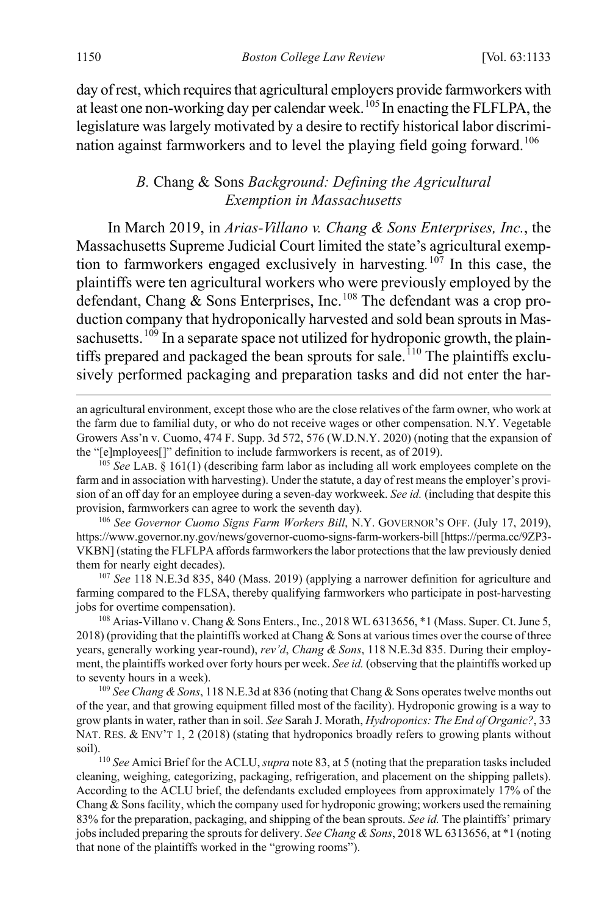day of rest, which requires that agricultural employers provide farmworkers with at least one non-working day per calendar week.<sup>[105](#page-18-2)</sup> In enacting the FLFLPA, the legislature was largely motivated by a desire to rectify historical labor discrimi-nation against farmworkers and to level the playing field going forward.<sup>[106](#page-18-3)</sup>

#### <span id="page-18-1"></span><span id="page-18-0"></span>*B.* Chang & Sons *Background: Defining the Agricultural Exemption in Massachusetts*

In March 2019, in *Arias-Villano v. Chang & Sons Enterprises, Inc.*, the Massachusetts Supreme Judicial Court limited the state's agricultural exemption to farmworkers engaged exclusively in harvesting*.* [107](#page-18-4) In this case, the plaintiffs were ten agricultural workers who were previously employed by the defendant, Chang & Sons Enterprises, Inc.<sup>[108](#page-18-5)</sup> The defendant was a crop production company that hydroponically harvested and sold bean sprouts in Mas-sachusetts.<sup>[109](#page-18-6)</sup> In a separate space not utilized for hydroponic growth, the plain-tiffs prepared and packaged the bean sprouts for sale.<sup>[110](#page-18-7)</sup> The plaintiffs exclusively performed packaging and preparation tasks and did not enter the har-

an agricultural environment, except those who are the close relatives of the farm owner, who work at the farm due to familial duty, or who do not receive wages or other compensation. N.Y. Vegetable Growers Ass'n v. Cuomo, 474 F. Supp. 3d 572, 576 (W.D.N.Y. 2020) (noting that the expansion of the "[e]mployees[]" definition to include farmworkers is recent, as of 2019).

<span id="page-18-2"></span><sup>105</sup> *See* LAB. § 161(1) (describing farm labor as including all work employees complete on the farm and in association with harvesting). Under the statute, a day of rest means the employer's provision of an off day for an employee during a seven-day workweek. *See id.* (including that despite this provision, farmworkers can agree to work the seventh day).

<span id="page-18-3"></span><sup>106</sup> *See Governor Cuomo Signs Farm Workers Bill*, N.Y. GOVERNOR'S OFF. (July 17, 2019), https://www.governor.ny.gov/news/governor-cuomo-signs-farm-workers-bill [https://perma.cc/9ZP3- VKBN] (stating the FLFLPA affords farmworkers the labor protections that the law previously denied them for nearly eight decades).

<span id="page-18-4"></span><sup>107</sup> *See* 118 N.E.3d 835, 840 (Mass. 2019) (applying a narrower definition for agriculture and farming compared to the FLSA, thereby qualifying farmworkers who participate in post-harvesting jobs for overtime compensation).

<span id="page-18-5"></span><sup>108</sup> Arias-Villano v. Chang & Sons Enters., Inc., 2018 WL 6313656, \*1 (Mass. Super. Ct. June 5, 2018) (providing that the plaintiffs worked at Chang & Sons at various times over the course of three years, generally working year-round), *rev'd*, *Chang & Sons*, 118 N.E.3d 835. During their employment, the plaintiffs worked over forty hours per week. *See id.* (observing that the plaintiffs worked up to seventy hours in a week).

<span id="page-18-6"></span><sup>109</sup> *See Chang & Sons*, 118 N.E.3d at 836 (noting that Chang & Sons operates twelve months out of the year, and that growing equipment filled most of the facility). Hydroponic growing is a way to grow plants in water, rather than in soil. *See* Sarah J. Morath, *Hydroponics: The End of Organic?*, 33 NAT. RES. & ENV'T 1, 2 (2018) (stating that hydroponics broadly refers to growing plants without soil).

<span id="page-18-7"></span><sup>110</sup> *See* Amici Brief for the ACLU, *supra* note [83,](#page-13-2) at 5 (noting that the preparation tasks included cleaning, weighing, categorizing, packaging, refrigeration, and placement on the shipping pallets). According to the ACLU brief, the defendants excluded employees from approximately 17% of the Chang & Sons facility, which the company used for hydroponic growing; workers used the remaining 83% for the preparation, packaging, and shipping of the bean sprouts. *See id.* The plaintiffs' primary jobs included preparing the sprouts for delivery. *See Chang & Sons*, 2018 WL 6313656, at \*1 (noting that none of the plaintiffs worked in the "growing rooms").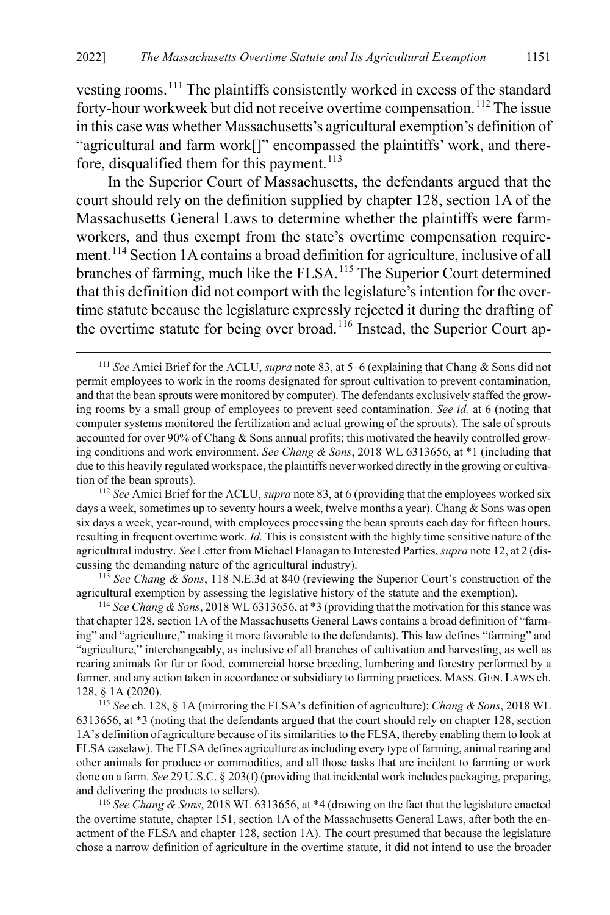vesting rooms.[111](#page-19-0) The plaintiffs consistently worked in excess of the standard forty-hour workweek but did not receive overtime compensation.<sup>[112](#page-19-1)</sup> The issue in this case was whether Massachusetts's agricultural exemption's definition of "agricultural and farm work[]" encompassed the plaintiffs' work, and there-fore, disqualified them for this payment.<sup>[113](#page-19-2)</sup>

In the Superior Court of Massachusetts, the defendants argued that the court should rely on the definition supplied by chapter 128, section 1A of the Massachusetts General Laws to determine whether the plaintiffs were farmworkers, and thus exempt from the state's overtime compensation requirement.[114](#page-19-3) Section 1A contains a broad definition for agriculture, inclusive of all branches of farming, much like the FLSA.<sup>[115](#page-19-4)</sup> The Superior Court determined that this definition did not comport with the legislature's intention for the overtime statute because the legislature expressly rejected it during the drafting of the overtime statute for being over broad.<sup>[116](#page-19-5)</sup> Instead, the Superior Court ap-

<span id="page-19-2"></span><sup>113</sup> *See Chang & Sons*, 118 N.E.3d at 840 (reviewing the Superior Court's construction of the agricultural exemption by assessing the legislative history of the statute and the exemption).

<span id="page-19-3"></span><sup>114</sup> *See Chang & Sons*, 2018 WL 6313656, at \*3 (providing that the motivation for this stance was that chapter 128, section 1A of the Massachusetts General Laws contains a broad definition of "farming" and "agriculture," making it more favorable to the defendants). This law defines "farming" and "agriculture," interchangeably, as inclusive of all branches of cultivation and harvesting, as well as rearing animals for fur or food, commercial horse breeding, lumbering and forestry performed by a farmer, and any action taken in accordance or subsidiary to farming practices. MASS. GEN. LAWS ch. 128, § 1A (2020).

<span id="page-19-4"></span><sup>115</sup> *See* ch. 128, § 1A (mirroring the FLSA's definition of agriculture); *Chang & Sons*, 2018 WL 6313656, at \*3 (noting that the defendants argued that the court should rely on chapter 128, section 1A's definition of agriculture because of its similarities to the FLSA, thereby enabling them to look at FLSA caselaw). The FLSA defines agriculture as including every type of farming, animal rearing and other animals for produce or commodities, and all those tasks that are incident to farming or work done on a farm. *See* 29 U.S.C. § 203(f) (providing that incidental work includes packaging, preparing, and delivering the products to sellers).

<span id="page-19-5"></span><sup>116</sup> *See Chang & Sons*, 2018 WL 6313656, at \*4 (drawing on the fact that the legislature enacted the overtime statute, chapter 151, section 1A of the Massachusetts General Laws, after both the enactment of the FLSA and chapter 128, section 1A). The court presumed that because the legislature chose a narrow definition of agriculture in the overtime statute, it did not intend to use the broader

<span id="page-19-0"></span> <sup>111</sup> *See* Amici Brief for the ACLU, *supra* not[e 83,](#page-13-2) at 5–6 (explaining that Chang & Sons did not permit employees to work in the rooms designated for sprout cultivation to prevent contamination, and that the bean sprouts were monitored by computer). The defendants exclusively staffed the growing rooms by a small group of employees to prevent seed contamination. *See id.* at 6 (noting that computer systems monitored the fertilization and actual growing of the sprouts). The sale of sprouts accounted for over 90% of Chang & Sons annual profits; this motivated the heavily controlled growing conditions and work environment. *See Chang & Sons*, 2018 WL 6313656, at \*1 (including that due to this heavily regulated workspace, the plaintiffs never worked directly in the growing or cultivation of the bean sprouts).

<span id="page-19-1"></span><sup>112</sup> *See* Amici Brief for the ACLU, *supra* not[e 83,](#page-13-2) at 6 (providing that the employees worked six days a week, sometimes up to seventy hours a week, twelve months a year). Chang & Sons was open six days a week, year-round, with employees processing the bean sprouts each day for fifteen hours, resulting in frequent overtime work. *Id.* This is consistent with the highly time sensitive nature of the agricultural industry. *See* Letter from Michael Flanagan to Interested Parties, *supra* not[e 12,](#page-3-6) at 2 (discussing the demanding nature of the agricultural industry).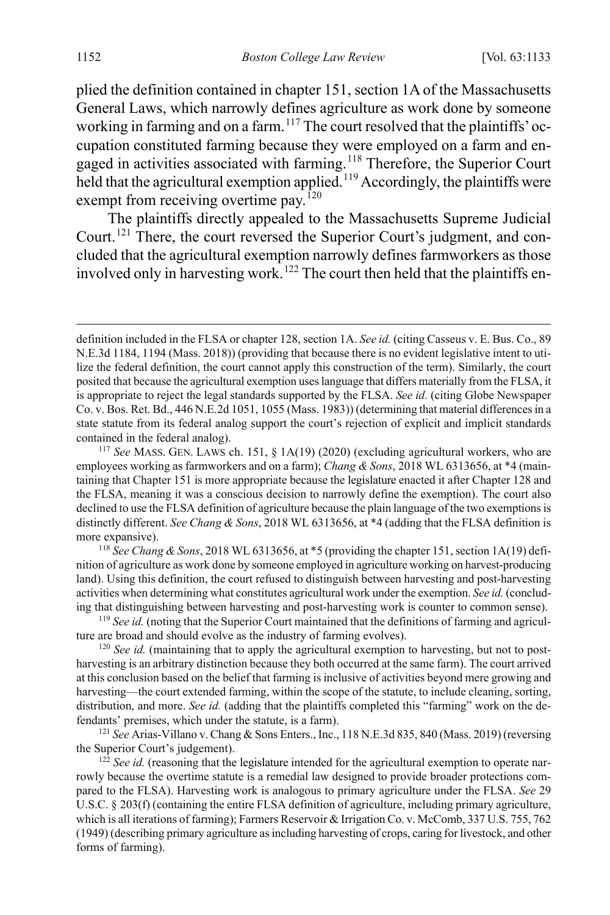plied the definition contained in chapter 151, section 1A of the Massachusetts General Laws, which narrowly defines agriculture as work done by someone working in farming and on a farm.<sup>[117](#page-20-0)</sup> The court resolved that the plaintiffs' occupation constituted farming because they were employed on a farm and en-gaged in activities associated with farming.<sup>[118](#page-20-1)</sup> Therefore, the Superior Court held that the agricultural exemption applied.<sup>[119](#page-20-2)</sup> Accordingly, the plaintiffs were exempt from receiving overtime pay.<sup>[120](#page-20-3)</sup>

The plaintiffs directly appealed to the Massachusetts Supreme Judicial Court.<sup>[121](#page-20-4)</sup> There, the court reversed the Superior Court's judgment, and concluded that the agricultural exemption narrowly defines farmworkers as those involved only in harvesting work.<sup>[122](#page-20-5)</sup> The court then held that the plaintiffs en-

definition included in the FLSA or chapter 128, section 1A. *See id.* (citing Casseus v. E. Bus. Co., 89 N.E.3d 1184, 1194 (Mass. 2018)) (providing that because there is no evident legislative intent to utilize the federal definition, the court cannot apply this construction of the term). Similarly, the court posited that because the agricultural exemption uses language that differs materially from the FLSA, it is appropriate to reject the legal standards supported by the FLSA. *See id.* (citing Globe Newspaper Co. v. Bos. Ret. Bd., 446 N.E.2d 1051, 1055 (Mass. 1983)) (determining that material differences in a state statute from its federal analog support the court's rejection of explicit and implicit standards contained in the federal analog).

<span id="page-20-0"></span><sup>117</sup> *See* MASS. GEN. LAWS ch. 151, § 1A(19) (2020) (excluding agricultural workers, who are employees working as farmworkers and on a farm); *Chang & Sons*, 2018 WL 6313656, at \*4 (maintaining that Chapter 151 is more appropriate because the legislature enacted it after Chapter 128 and the FLSA, meaning it was a conscious decision to narrowly define the exemption). The court also declined to use the FLSA definition of agriculture because the plain language of the two exemptions is distinctly different. *See Chang & Sons*, 2018 WL 6313656, at \*4 (adding that the FLSA definition is more expansive).

<span id="page-20-1"></span><sup>118</sup> *See Chang & Sons*, 2018 WL 6313656, at \*5 (providing the chapter 151, section 1A(19) definition of agriculture as work done by someone employed in agriculture working on harvest-producing land). Using this definition, the court refused to distinguish between harvesting and post-harvesting activities when determining what constitutes agricultural work under the exemption. *See id.* (concluding that distinguishing between harvesting and post-harvesting work is counter to common sense).

<span id="page-20-2"></span><sup>119</sup> *See id.* (noting that the Superior Court maintained that the definitions of farming and agriculture are broad and should evolve as the industry of farming evolves).

<span id="page-20-3"></span><sup>&</sup>lt;sup>120</sup> *See id.* (maintaining that to apply the agricultural exemption to harvesting, but not to postharvesting is an arbitrary distinction because they both occurred at the same farm). The court arrived at this conclusion based on the belief that farming is inclusive of activities beyond mere growing and harvesting—the court extended farming, within the scope of the statute, to include cleaning, sorting, distribution, and more. *See id.* (adding that the plaintiffs completed this "farming" work on the defendants' premises, which under the statute, is a farm).

<span id="page-20-4"></span><sup>121</sup> *See* Arias-Villano v. Chang & Sons Enters., Inc., 118 N.E.3d 835, 840 (Mass. 2019) (reversing the Superior Court's judgement).

<span id="page-20-5"></span><sup>&</sup>lt;sup>122</sup> *See id.* (reasoning that the legislature intended for the agricultural exemption to operate narrowly because the overtime statute is a remedial law designed to provide broader protections compared to the FLSA). Harvesting work is analogous to primary agriculture under the FLSA. *See* 29 U.S.C. § 203(f) (containing the entire FLSA definition of agriculture, including primary agriculture, which is all iterations of farming); Farmers Reservoir & Irrigation Co. v. McComb, 337 U.S. 755, 762 (1949) (describing primary agriculture as including harvesting of crops, caring for livestock, and other forms of farming).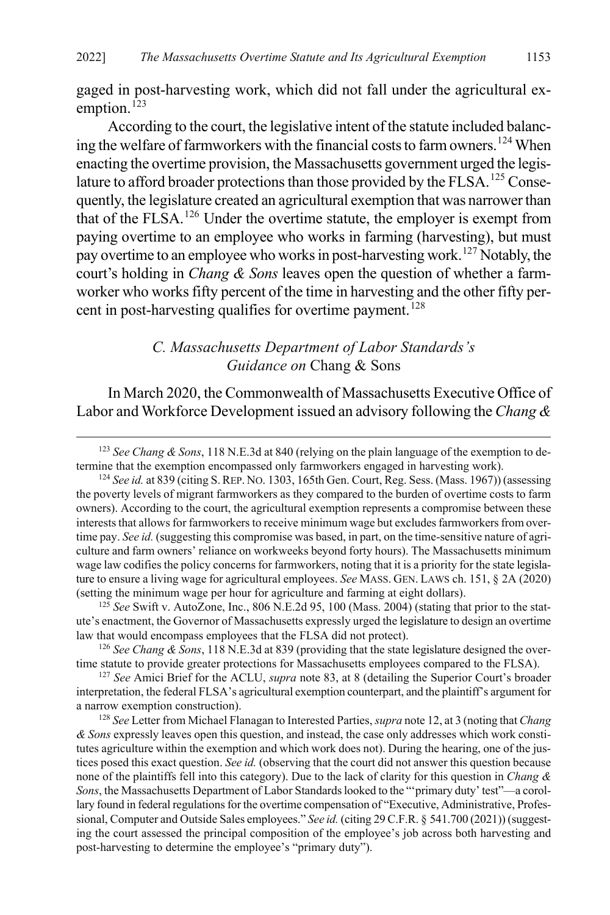gaged in post-harvesting work, which did not fall under the agricultural ex-emption.<sup>[123](#page-21-1)</sup>

According to the court, the legislative intent of the statute included balanc-ing the welfare of farmworkers with the financial costs to farm owners.<sup>[124](#page-21-2)</sup> When enacting the overtime provision, the Massachusetts government urged the legis-lature to afford broader protections than those provided by the FLSA.<sup>[125](#page-21-3)</sup> Consequently, the legislature created an agricultural exemption that was narrower than that of the FLSA.[126](#page-21-4) Under the overtime statute, the employer is exempt from paying overtime to an employee who works in farming (harvesting), but must pay overtime to an employee who works in post-harvesting work.[127](#page-21-5) Notably, the court's holding in *Chang & Sons* leaves open the question of whether a farmworker who works fifty percent of the time in harvesting and the other fifty per-cent in post-harvesting qualifies for overtime payment.<sup>[128](#page-21-6)</sup>

## <span id="page-21-0"></span>*C. Massachusetts Department of Labor Standards's Guidance on* Chang & Sons

In March 2020, the Commonwealth of Massachusetts Executive Office of Labor and Workforce Development issued an advisory following the *Chang &* 

<span id="page-21-3"></span>125 *See* Swift v. AutoZone, Inc., 806 N.E.2d 95, 100 (Mass. 2004) (stating that prior to the statute's enactment, the Governor of Massachusetts expressly urged the legislature to design an overtime law that would encompass employees that the FLSA did not protect).

<span id="page-21-4"></span><sup>126</sup> *See Chang & Sons*, 118 N.E.3d at 839 (providing that the state legislature designed the overtime statute to provide greater protections for Massachusetts employees compared to the FLSA).

<span id="page-21-5"></span><sup>127</sup> *See* Amici Brief for the ACLU, *supra* note [83,](#page-13-2) at 8 (detailing the Superior Court's broader interpretation, the federal FLSA's agricultural exemption counterpart, and the plaintiff's argument for a narrow exemption construction).

<span id="page-21-6"></span><sup>128</sup> *See* Letter from Michael Flanagan to Interested Parties, *supra* not[e 12,](#page-3-6) at 3 (noting that *Chang & Sons* expressly leaves open this question, and instead, the case only addresses which work constitutes agriculture within the exemption and which work does not). During the hearing, one of the justices posed this exact question. *See id.* (observing that the court did not answer this question because none of the plaintiffs fell into this category). Due to the lack of clarity for this question in *Chang & Sons*, the Massachusetts Department of Labor Standards looked to the "'primary duty' test"—a corollary found in federal regulations for the overtime compensation of "Executive, Administrative, Professional, Computer and Outside Sales employees." *See id.* (citing 29 C.F.R. § 541.700 (2021)) (suggesting the court assessed the principal composition of the employee's job across both harvesting and post-harvesting to determine the employee's "primary duty").

<span id="page-21-1"></span> <sup>123</sup> *See Chang & Sons*, 118 N.E.3d at 840 (relying on the plain language of the exemption to determine that the exemption encompassed only farmworkers engaged in harvesting work).

<span id="page-21-2"></span><sup>&</sup>lt;sup>124</sup> See id. at 839 (citing S. REP. No. 1303, 165th Gen. Court, Reg. Sess. (Mass. 1967)) (assessing the poverty levels of migrant farmworkers as they compared to the burden of overtime costs to farm owners). According to the court, the agricultural exemption represents a compromise between these interests that allows for farmworkers to receive minimum wage but excludes farmworkers from overtime pay. *See id.* (suggesting this compromise was based, in part, on the time-sensitive nature of agriculture and farm owners' reliance on workweeks beyond forty hours). The Massachusetts minimum wage law codifies the policy concerns for farmworkers, noting that it is a priority for the state legislature to ensure a living wage for agricultural employees. *See* MASS. GEN. LAWS ch. 151, § 2A (2020) (setting the minimum wage per hour for agriculture and farming at eight dollars).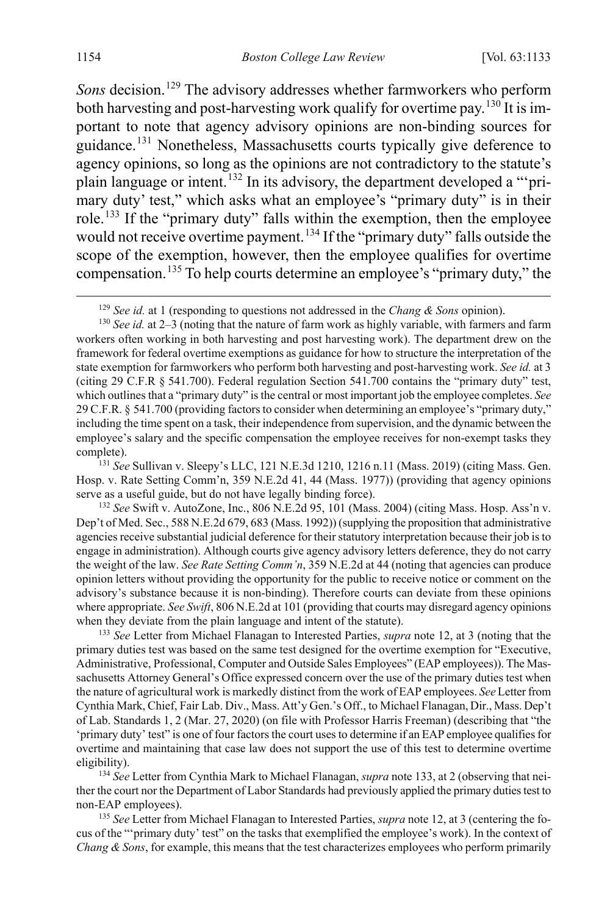<span id="page-22-0"></span>*Sons* decision.<sup>[129](#page-22-2)</sup> The advisory addresses whether farmworkers who perform both harvesting and post-harvesting work qualify for overtime pay.<sup>[130](#page-22-3)</sup> It is important to note that agency advisory opinions are non-binding sources for guidance.[131](#page-22-4) Nonetheless, Massachusetts courts typically give deference to agency opinions, so long as the opinions are not contradictory to the statute's plain language or intent.[132](#page-22-5) In its advisory, the department developed a "'primary duty' test," which asks what an employee's "primary duty" is in their role.<sup>[133](#page-22-6)</sup> If the "primary duty" falls within the exemption, then the employee would not receive overtime payment.<sup>[134](#page-22-7)</sup> If the "primary duty" falls outside the scope of the exemption, however, then the employee qualifies for overtime compensation.[135](#page-22-8) To help courts determine an employee's "primary duty," the

<span id="page-22-4"></span>Hosp. v. Rate Setting Comm'n, 359 N.E.2d 41, 44 (Mass. 1977)) (providing that agency opinions serve as a useful guide, but do not have legally binding force).

<span id="page-22-5"></span><sup>132</sup> *See* Swift v. AutoZone, Inc., 806 N.E.2d 95, 101 (Mass. 2004) (citing Mass. Hosp. Ass'n v. Dep't of Med. Sec., 588 N.E.2d 679, 683 (Mass. 1992)) (supplying the proposition that administrative agencies receive substantial judicial deference for their statutory interpretation because their job is to engage in administration). Although courts give agency advisory letters deference, they do not carry the weight of the law. *See Rate Setting Comm'n*, 359 N.E.2d at 44 (noting that agencies can produce opinion letters without providing the opportunity for the public to receive notice or comment on the advisory's substance because it is non-binding). Therefore courts can deviate from these opinions where appropriate. *See Swift*, 806 N.E.2d at 101 (providing that courts may disregard agency opinions when they deviate from the plain language and intent of the statute).

<span id="page-22-6"></span><sup>133</sup> *See* Letter from Michael Flanagan to Interested Parties, *supra* note [12,](#page-3-6) at 3 (noting that the primary duties test was based on the same test designed for the overtime exemption for "Executive, Administrative, Professional, Computer and Outside Sales Employees" (EAP employees)). The Massachusetts Attorney General's Office expressed concern over the use of the primary duties test when the nature of agricultural work is markedly distinct from the work of EAP employees. *See* Letter from Cynthia Mark, Chief, Fair Lab. Div., Mass. Att'y Gen.'s Off., to Michael Flanagan, Dir., Mass. Dep't of Lab. Standards 1, 2 (Mar. 27, 2020) (on file with Professor Harris Freeman) (describing that "the 'primary duty' test" is one of four factors the court uses to determine if an EAP employee qualifies for overtime and maintaining that case law does not support the use of this test to determine overtime eligibility).

<span id="page-22-7"></span>134 *See* Letter from Cynthia Mark to Michael Flanagan, *supra* not[e 133,](#page-22-1) at 2 (observing that neither the court nor the Department of Labor Standards had previously applied the primary duties test to non-EAP employees). 135 *See* Letter from Michael Flanagan to Interested Parties, *supra* not[e 12,](#page-3-6) at 3 (centering the fo-

<span id="page-22-8"></span>cus of the "'primary duty' test" on the tasks that exemplified the employee's work). In the context of *Chang & Sons*, for example, this means that the test characterizes employees who perform primarily

<span id="page-22-1"></span>

<span id="page-22-3"></span><span id="page-22-2"></span><sup>&</sup>lt;sup>129</sup> *See id.* at 1 (responding to questions not addressed in the *Chang & Sons* opinion). <sup>130</sup> *See id.* at 2–3 (noting that the nature of farm work as highly variable, with farmers and farm workers often working in both harvesting and post harvesting work). The department drew on the framework for federal overtime exemptions as guidance for how to structure the interpretation of the state exemption for farmworkers who perform both harvesting and post-harvesting work. *See id.* at 3 (citing 29 C.F.R § 541.700). Federal regulation Section 541.700 contains the "primary duty" test, which outlines that a "primary duty" is the central or most important job the employee completes. *See*  29 C.F.R. § 541.700 (providing factors to consider when determining an employee's "primary duty," including the time spent on a task, their independence from supervision, and the dynamic between the employee's salary and the specific compensation the employee receives for non-exempt tasks they complete).<br><sup>131</sup> See Sullivan v. Sleepy's LLC, 121 N.E.3d 1210, 1216 n.11 (Mass. 2019) (citing Mass. Gen.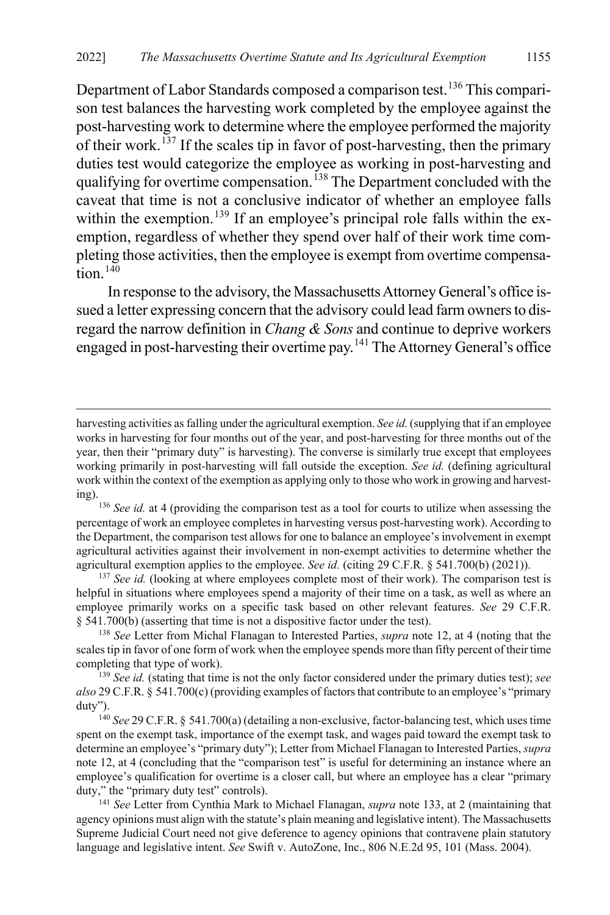Department of Labor Standards composed a comparison test.<sup>[136](#page-23-0)</sup> This comparison test balances the harvesting work completed by the employee against the post-harvesting work to determine where the employee performed the majority of their work.<sup>[137](#page-23-1)</sup> If the scales tip in favor of post-harvesting, then the primary duties test would categorize the employee as working in post-harvesting and qualifying for overtime compensation.<sup>[138](#page-23-2)</sup> The Department concluded with the caveat that time is not a conclusive indicator of whether an employee falls within the exemption.<sup>[139](#page-23-3)</sup> If an employee's principal role falls within the exemption, regardless of whether they spend over half of their work time completing those activities, then the employee is exempt from overtime compensa- $\overline{\text{tion}}$ <sup>[140](#page-23-4)</sup>

In response to the advisory, the Massachusetts Attorney General's office issued a letter expressing concern that the advisory could lead farm owners to disregard the narrow definition in *Chang & Sons* and continue to deprive workers engaged in post-harvesting their overtime pay.[141](#page-23-5) The Attorney General's office

 $\overline{a}$ 

<span id="page-23-1"></span><sup>137</sup> See id. (looking at where employees complete most of their work). The comparison test is helpful in situations where employees spend a majority of their time on a task, as well as where an employee primarily works on a specific task based on other relevant features. *See* 29 C.F.R. § 541.700(b) (asserting that time is not a dispositive factor under the test).

<span id="page-23-2"></span><sup>138</sup> *See* Letter from Michal Flanagan to Interested Parties, *supra* note [12,](#page-3-6) at 4 (noting that the scales tip in favor of one form of work when the employee spends more than fifty percent of their time completing that type of work).

<span id="page-23-3"></span><sup>139</sup> *See id.* (stating that time is not the only factor considered under the primary duties test); *see also* 29 C.F.R. § 541.700(c) (providing examples of factors that contribute to an employee's "primary duty").

<span id="page-23-4"></span><sup>140</sup> *See* 29 C.F.R. § 541.700(a) (detailing a non-exclusive, factor-balancing test, which uses time spent on the exempt task, importance of the exempt task, and wages paid toward the exempt task to determine an employee's "primary duty"); Letter from Michael Flanagan to Interested Parties, *supra*  note [12,](#page-3-6) at 4 (concluding that the "comparison test" is useful for determining an instance where an employee's qualification for overtime is a closer call, but where an employee has a clear "primary duty," the "primary duty test" controls).

<span id="page-23-5"></span><sup>141</sup> *See* Letter from Cynthia Mark to Michael Flanagan, *supra* not[e 133,](#page-22-1) at 2 (maintaining that agency opinions must align with the statute's plain meaning and legislative intent). The Massachusetts Supreme Judicial Court need not give deference to agency opinions that contravene plain statutory language and legislative intent. *See* Swift v. AutoZone, Inc., 806 N.E.2d 95, 101 (Mass. 2004).

harvesting activities as falling under the agricultural exemption. *See id.*(supplying that if an employee works in harvesting for four months out of the year, and post-harvesting for three months out of the year, then their "primary duty" is harvesting). The converse is similarly true except that employees working primarily in post-harvesting will fall outside the exception. *See id.* (defining agricultural work within the context of the exemption as applying only to those who work in growing and harvesting). 136 *See id.* at 4 (providing the comparison test as a tool for courts to utilize when assessing the

<span id="page-23-0"></span>percentage of work an employee completes in harvesting versus post-harvesting work). According to the Department, the comparison test allows for one to balance an employee's involvement in exempt agricultural activities against their involvement in non-exempt activities to determine whether the agricultural exemption applies to the employee. *See id.* (citing 29 C.F.R. § 541.700(b) (2021)).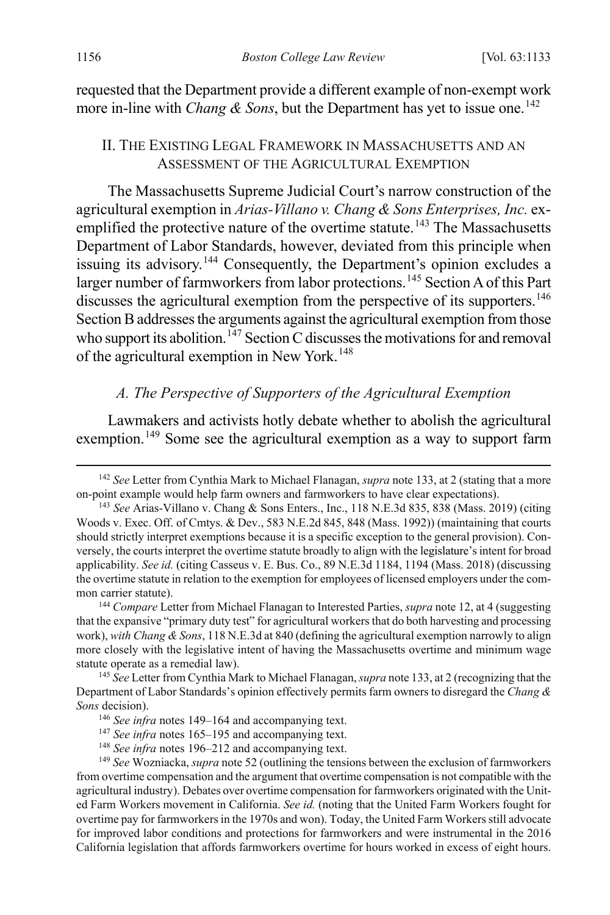requested that the Department provide a different example of non-exempt work more in-line with *Chang & Sons*, but the Department has yet to issue one.<sup>[142](#page-24-3)</sup>

#### <span id="page-24-1"></span><span id="page-24-0"></span>II. THE EXISTING LEGAL FRAMEWORK IN MASSACHUSETTS AND AN ASSESSMENT OF THE AGRICULTURAL EXEMPTION

The Massachusetts Supreme Judicial Court's narrow construction of the agricultural exemption in *Arias-Villano v. Chang & Sons Enterprises, Inc.* ex-emplified the protective nature of the overtime statute.<sup>[143](#page-24-4)</sup> The Massachusetts Department of Labor Standards, however, deviated from this principle when issuing its advisory.<sup>[144](#page-24-5)</sup> Consequently, the Department's opinion excludes a larger number of farmworkers from labor protections.<sup>[145](#page-24-6)</sup> Section A of this Part discusses the agricultural exemption from the perspective of its supporters.<sup>[146](#page-24-7)</sup> Section B addresses the arguments against the agricultural exemption from those who support its abolition.<sup>[147](#page-24-8)</sup> Section C discusses the motivations for and removal of the agricultural exemption in New York.<sup>[148](#page-24-9)</sup>

#### <span id="page-24-2"></span>*A. The Perspective of Supporters of the Agricultural Exemption*

Lawmakers and activists hotly debate whether to abolish the agricultural exemption.<sup>[149](#page-24-10)</sup> Some see the agricultural exemption as a way to support farm

<span id="page-24-5"></span><sup>144</sup> *Compare* Letter from Michael Flanagan to Interested Parties, *supra* not[e 12,](#page-3-6) at 4 (suggesting that the expansive "primary duty test" for agricultural workers that do both harvesting and processing work), *with Chang & Sons*, 118 N.E.3d at 840 (defining the agricultural exemption narrowly to align more closely with the legislative intent of having the Massachusetts overtime and minimum wage statute operate as a remedial law).

<span id="page-24-7"></span><span id="page-24-6"></span><sup>145</sup> *See* Letter from Cynthia Mark to Michael Flanagan, *supra* not[e 133,](#page-22-1) at 2 (recognizing that the Department of Labor Standards's opinion effectively permits farm owners to disregard the *Chang & Sons* decision).

<span id="page-24-10"></span><span id="page-24-9"></span><span id="page-24-8"></span><sup>149</sup> *See* Wozniacka, *supra* not[e 52](#page-9-9) (outlining the tensions between the exclusion of farmworkers from overtime compensation and the argument that overtime compensation is not compatible with the agricultural industry). Debates over overtime compensation for farmworkers originated with the United Farm Workers movement in California. *See id.* (noting that the United Farm Workers fought for overtime pay for farmworkers in the 1970s and won). Today, the United Farm Workers still advocate for improved labor conditions and protections for farmworkers and were instrumental in the 2016 California legislation that affords farmworkers overtime for hours worked in excess of eight hours.

<span id="page-24-3"></span> <sup>142</sup> *See* Letter from Cynthia Mark to Michael Flanagan, *supra* not[e 133,](#page-22-1) at 2 (stating that a more on-point example would help farm owners and farmworkers to have clear expectations).

<span id="page-24-4"></span><sup>143</sup> *See* Arias-Villano v. Chang & Sons Enters., Inc., 118 N.E.3d 835, 838 (Mass. 2019) (citing Woods v. Exec. Off. of Cmtys. & Dev., 583 N.E.2d 845, 848 (Mass. 1992)) (maintaining that courts should strictly interpret exemptions because it is a specific exception to the general provision). Conversely, the courts interpret the overtime statute broadly to align with the legislature's intent for broad applicability. *See id.* (citing Casseus v. E. Bus. Co., 89 N.E.3d 1184, 1194 (Mass. 2018) (discussing the overtime statute in relation to the exemption for employees of licensed employers under the common carrier statute).

<sup>146</sup> *See infra* notes [149–](#page-24-2)[164](#page-27-0) and accompanying text.

<sup>&</sup>lt;sup>147</sup> See infra notes 165-[195](#page-32-0) and accompanying text.

<sup>148</sup> *See infra* notes [196–](#page-32-1)[212](#page-35-1) and accompanying text.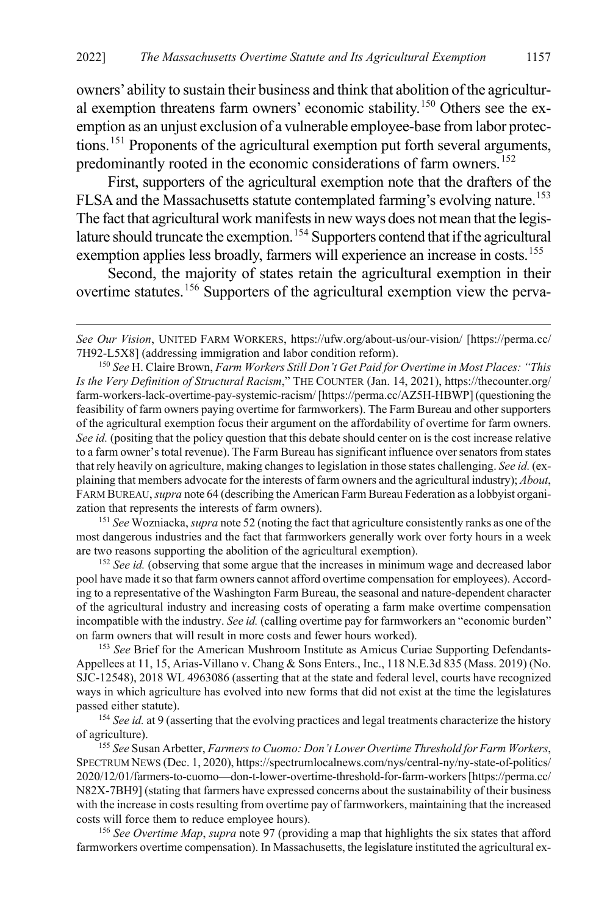<span id="page-25-7"></span>owners' ability to sustain their business and think that abolition of the agricultural exemption threatens farm owners' economic stability.[150](#page-25-0) Others see the exemption as an unjust exclusion of a vulnerable employee-base from labor protections.[151](#page-25-1) Proponents of the agricultural exemption put forth several arguments, predominantly rooted in the economic considerations of farm owners.<sup>[152](#page-25-2)</sup>

First, supporters of the agricultural exemption note that the drafters of the FLSA and the Massachusetts statute contemplated farming's evolving nature.<sup>[153](#page-25-3)</sup> The fact that agricultural work manifests in new ways does not mean that the legis-lature should truncate the exemption.<sup>[154](#page-25-4)</sup> Supporters contend that if the agricultural exemption applies less broadly, farmers will experience an increase in costs.<sup>[155](#page-25-5)</sup>

<span id="page-25-8"></span>Second, the majority of states retain the agricultural exemption in their overtime statutes.[156](#page-25-6) Supporters of the agricultural exemption view the perva-

 $\overline{a}$ 

<span id="page-25-1"></span><sup>151</sup> *See* Wozniacka, *supra* not[e 52](#page-9-9) (noting the fact that agriculture consistently ranks as one of the most dangerous industries and the fact that farmworkers generally work over forty hours in a week are two reasons supporting the abolition of the agricultural exemption).

<span id="page-25-2"></span><sup>152</sup> See id. (observing that some argue that the increases in minimum wage and decreased labor pool have made it so that farm owners cannot afford overtime compensation for employees). According to a representative of the Washington Farm Bureau, the seasonal and nature-dependent character of the agricultural industry and increasing costs of operating a farm make overtime compensation incompatible with the industry. *See id.* (calling overtime pay for farmworkers an "economic burden" on farm owners that will result in more costs and fewer hours worked).

<span id="page-25-3"></span><sup>153</sup> *See* Brief for the American Mushroom Institute as Amicus Curiae Supporting Defendants-Appellees at 11, 15, Arias-Villano v. Chang & Sons Enters., Inc., 118 N.E.3d 835 (Mass. 2019) (No. SJC-12548), 2018 WL 4963086 (asserting that at the state and federal level, courts have recognized ways in which agriculture has evolved into new forms that did not exist at the time the legislatures passed either statute).

<span id="page-25-4"></span><sup>154</sup> See id. at 9 (asserting that the evolving practices and legal treatments characterize the history of agriculture).

<span id="page-25-5"></span><sup>155</sup> *See* Susan Arbetter, *Farmers to Cuomo: Don't Lower Overtime Threshold for Farm Workers*, SPECTRUM NEWS (Dec. 1, 2020), https://spectrumlocalnews.com/nys/central-ny/ny-state-of-politics/ 2020/12/01/farmers-to-cuomo—don-t-lower-overtime-threshold-for-farm-workers [https://perma.cc/ N82X-7BH9] (stating that farmers have expressed concerns about the sustainability of their business with the increase in costs resulting from overtime pay of farmworkers, maintaining that the increased costs will force them to reduce employee hours).

<span id="page-25-6"></span><sup>156</sup> *See Overtime Map*, *supra* not[e 97](#page-16-1) (providing a map that highlights the six states that afford farmworkers overtime compensation). In Massachusetts, the legislature instituted the agricultural ex-

*See Our Vision*, UNITED FARM WORKERS, https://ufw.org/about-us/our-vision/ [https://perma.cc/ 7H92-L5X8] (addressing immigration and labor condition reform).

<span id="page-25-0"></span><sup>150</sup> *See* H. Claire Brown, *Farm Workers Still Don't Get Paid for Overtime in Most Places: "This Is the Very Definition of Structural Racism*," THE COUNTER (Jan. 14, 2021), https://thecounter.org/ farm-workers-lack-overtime-pay-systemic-racism/ [https://perma.cc/AZ5H-HBWP] (questioning the feasibility of farm owners paying overtime for farmworkers). The Farm Bureau and other supporters of the agricultural exemption focus their argument on the affordability of overtime for farm owners. See id. (positing that the policy question that this debate should center on is the cost increase relative to a farm owner's total revenue). The Farm Bureau has significant influence over senators from states that rely heavily on agriculture, making changes to legislation in those states challenging. *See id.* (explaining that members advocate for the interests of farm owners and the agricultural industry); *About*, FARM BUREAU, *supra* not[e 64](#page-11-7) (describing the American Farm Bureau Federation as a lobbyist organization that represents the interests of farm owners).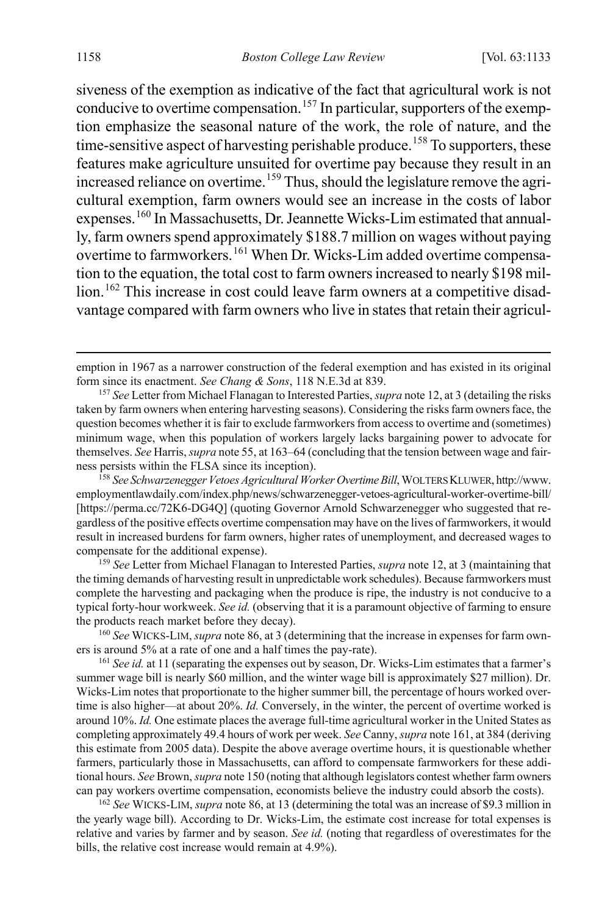siveness of the exemption as indicative of the fact that agricultural work is not conducive to overtime compensation.<sup>[157](#page-26-1)</sup> In particular, supporters of the exemption emphasize the seasonal nature of the work, the role of nature, and the time-sensitive aspect of harvesting perishable produce.<sup>[158](#page-26-2)</sup> To supporters, these features make agriculture unsuited for overtime pay because they result in an increased reliance on overtime.<sup>[159](#page-26-3)</sup> Thus, should the legislature remove the agricultural exemption, farm owners would see an increase in the costs of labor expenses.<sup>[160](#page-26-4)</sup> In Massachusetts, Dr. Jeannette Wicks-Lim estimated that annually, farm owners spend approximately \$188.7 million on wages without paying overtime to farmworkers.<sup>[161](#page-26-5)</sup> When Dr. Wicks-Lim added overtime compensation to the equation, the total cost to farm owners increased to nearly \$198 mil-lion.<sup>[162](#page-26-6)</sup> This increase in cost could leave farm owners at a competitive disadvantage compared with farm owners who live in states that retain their agricul-

<span id="page-26-3"></span><sup>159</sup> *See* Letter from Michael Flanagan to Interested Parties, *supra* note [12,](#page-3-6) at 3 (maintaining that the timing demands of harvesting result in unpredictable work schedules). Because farmworkers must complete the harvesting and packaging when the produce is ripe, the industry is not conducive to a typical forty-hour workweek. *See id.* (observing that it is a paramount objective of farming to ensure the products reach market before they decay).

<span id="page-26-4"></span>160 *See* WICKS-LIM, *supra* not[e 86,](#page-14-4) at 3 (determining that the increase in expenses for farm owners is around 5% at a rate of one and a half times the pay-rate).

<span id="page-26-5"></span><sup>161</sup> *See id.* at 11 (separating the expenses out by season, Dr. Wicks-Lim estimates that a farmer's summer wage bill is nearly \$60 million, and the winter wage bill is approximately \$27 million). Dr. Wicks-Lim notes that proportionate to the higher summer bill, the percentage of hours worked overtime is also higher—at about 20%. *Id.* Conversely, in the winter, the percent of overtime worked is around 10%. *Id.* One estimate places the average full-time agricultural worker in the United States as completing approximately 49.4 hours of work per week. *See* Canny, *supra* not[e 161,](#page-26-0) at 384 (deriving this estimate from 2005 data). Despite the above average overtime hours, it is questionable whether farmers, particularly those in Massachusetts, can afford to compensate farmworkers for these additional hours. *See* Brown, *supra* not[e 150](#page-25-7) (noting that although legislators contest whether farm owners can pay workers overtime compensation, economists believe the industry could absorb the costs).

<span id="page-26-6"></span><sup>162</sup> *See* WICKS-LIM, *supra* not[e 86,](#page-14-4) at 13 (determining the total was an increase of \$9.3 million in the yearly wage bill). According to Dr. Wicks-Lim, the estimate cost increase for total expenses is relative and varies by farmer and by season. *See id.* (noting that regardless of overestimates for the bills, the relative cost increase would remain at 4.9%).

<span id="page-26-0"></span>emption in 1967 as a narrower construction of the federal exemption and has existed in its original form since its enactment. *See Chang & Sons*, 118 N.E.3d at 839.

<span id="page-26-1"></span><sup>157</sup> *See* Letter from Michael Flanagan to Interested Parties, *supra* not[e 12,](#page-3-6) at 3 (detailing the risks taken by farm owners when entering harvesting seasons). Considering the risks farm owners face, the question becomes whether it is fair to exclude farmworkers from access to overtime and (sometimes) minimum wage, when this population of workers largely lacks bargaining power to advocate for themselves. *See* Harris, *supra* not[e 55,](#page-9-0) at 163–64 (concluding that the tension between wage and fairness persists within the FLSA since its inception).

<span id="page-26-2"></span><sup>158</sup> *See Schwarzenegger Vetoes Agricultural Worker Overtime Bill*, WOLTERS KLUWER, http://www. employmentlawdaily.com/index.php/news/schwarzenegger-vetoes-agricultural-worker-overtime-bill/ [https://perma.cc/72K6-DG4Q] (quoting Governor Arnold Schwarzenegger who suggested that regardless of the positive effects overtime compensation may have on the lives of farmworkers, it would result in increased burdens for farm owners, higher rates of unemployment, and decreased wages to compensate for the additional expense).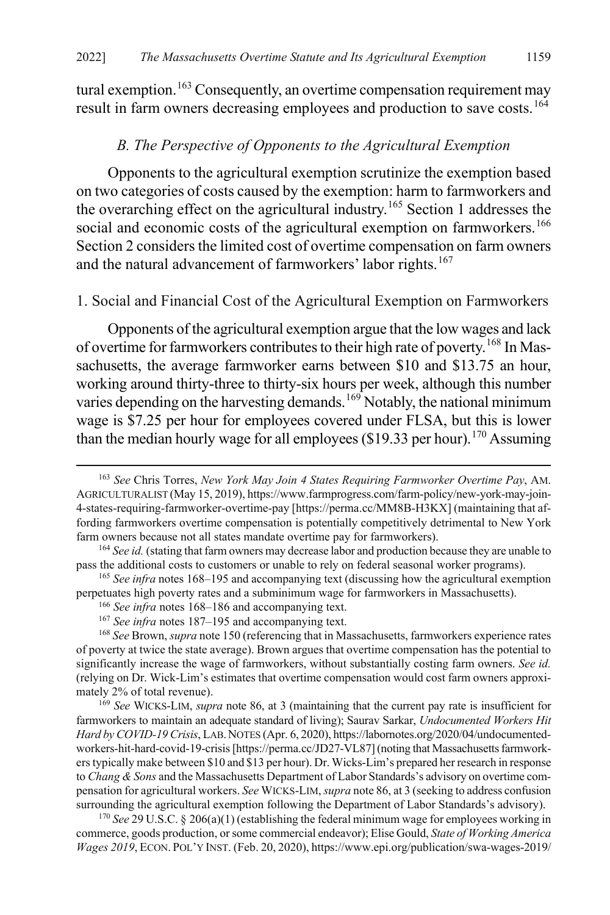tural exemption.<sup>[163](#page-27-3)</sup> Consequently, an overtime compensation requirement may result in farm owners decreasing employees and production to save costs.<sup>[164](#page-27-4)</sup>

#### <span id="page-27-1"></span><span id="page-27-0"></span>*B. The Perspective of Opponents to the Agricultural Exemption*

Opponents to the agricultural exemption scrutinize the exemption based on two categories of costs caused by the exemption: harm to farmworkers and the overarching effect on the agricultural industry.[165](#page-27-5) Section 1 addresses the social and economic costs of the agricultural exemption on farmworkers.<sup>[166](#page-27-6)</sup> Section 2 considers the limited cost of overtime compensation on farm owners and the natural advancement of farmworkers' labor rights.<sup>[167](#page-27-7)</sup>

#### 1. Social and Financial Cost of the Agricultural Exemption on Farmworkers

<span id="page-27-11"></span><span id="page-27-2"></span>Opponents of the agricultural exemption argue that the low wages and lack of overtime for farmworkers contributes to their high rate of poverty.<sup>[168](#page-27-8)</sup> In Massachusetts, the average farmworker earns between \$10 and \$13.75 an hour, working around thirty-three to thirty-six hours per week, although this number varies depending on the harvesting demands.<sup>[169](#page-27-9)</sup> Notably, the national minimum wage is \$7.25 per hour for employees covered under FLSA, but this is lower than the median hourly wage for all employees (\$19.33 per hour).<sup>[170](#page-27-10)</sup> Assuming

<span id="page-27-3"></span> <sup>163</sup> *See* Chris Torres, *New York May Join 4 States Requiring Farmworker Overtime Pay*, AM. AGRICULTURALIST (May 15, 2019), https://www.farmprogress.com/farm-policy/new-york-may-join-4-states-requiring-farmworker-overtime-pay [https://perma.cc/MM8B-H3KX] (maintaining that affording farmworkers overtime compensation is potentially competitively detrimental to New York farm owners because not all states mandate overtime pay for farmworkers).

<span id="page-27-4"></span><sup>&</sup>lt;sup>164</sup> *See id.* (stating that farm owners may decrease labor and production because they are unable to pass the additional costs to customers or unable to rely on federal seasonal worker programs).

<span id="page-27-6"></span><span id="page-27-5"></span><sup>165</sup> *See infra* note[s 168](#page-27-2)[–195](#page-32-0) and accompanying text (discussing how the agricultural exemption perpetuates high poverty rates and a subminimum wage for farmworkers in Massachusetts).

<sup>166</sup> *See infra* notes [168–](#page-27-2)[186](#page-30-0) and accompanying text.

<sup>167</sup> *See infra* notes [187–](#page-30-1)[195](#page-32-0) and accompanying text.

<span id="page-27-8"></span><span id="page-27-7"></span><sup>168</sup> *See* Brown, *supra* not[e 150](#page-25-7) (referencing that in Massachusetts, farmworkers experience rates of poverty at twice the state average). Brown argues that overtime compensation has the potential to significantly increase the wage of farmworkers, without substantially costing farm owners. *See id.*  (relying on Dr. Wick-Lim's estimates that overtime compensation would cost farm owners approximately 2% of total revenue).

<span id="page-27-9"></span><sup>169</sup> *See* WICKS-LIM, *supra* note [86,](#page-14-4) at 3 (maintaining that the current pay rate is insufficient for farmworkers to maintain an adequate standard of living); Saurav Sarkar, *Undocumented Workers Hit Hard by COVID-19 Crisis*, LAB.NOTES (Apr. 6, 2020), https://labornotes.org/2020/04/undocumentedworkers-hit-hard-covid-19-crisis [https://perma.cc/JD27-VL87] (noting that Massachusetts farmworkers typically make between \$10 and \$13 per hour). Dr. Wicks-Lim's prepared her research in response to *Chang & Sons* and the Massachusetts Department of Labor Standards's advisory on overtime compensation for agricultural workers. *See* WICKS-LIM, *supra* not[e 86,](#page-14-4) at 3 (seeking to address confusion

<span id="page-27-10"></span><sup>&</sup>lt;sup>170</sup> See 29 U.S.C. § 206(a)(1) (establishing the federal minimum wage for employees working in commerce, goods production, or some commercial endeavor); Elise Gould, *State of Working America Wages 2019*, ECON. POL'Y INST. (Feb. 20, 2020), https://www.epi.org/publication/swa-wages-2019/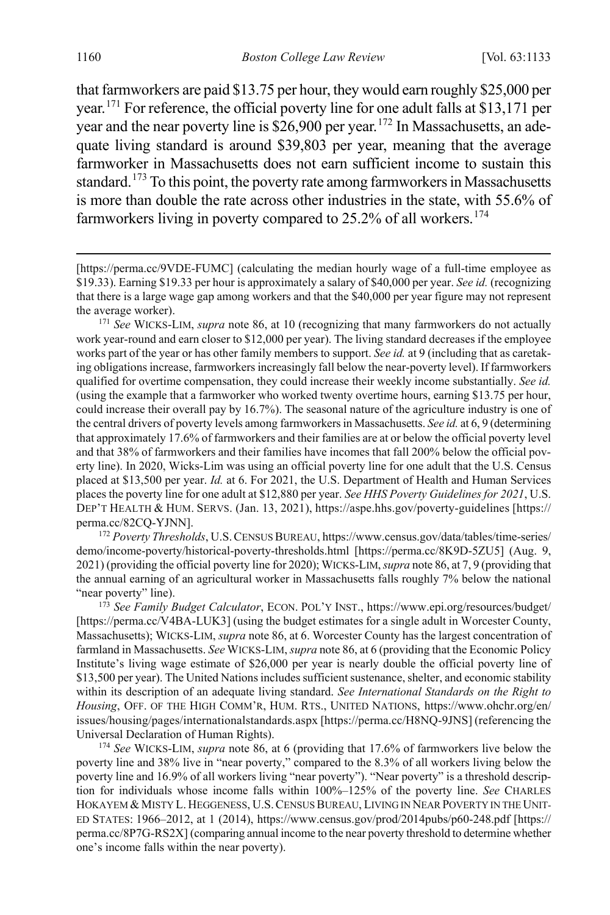that farmworkers are paid \$13.75 per hour, they would earn roughly \$25,000 per year.[171](#page-28-0) For reference, the official poverty line for one adult falls at \$13,171 per year and the near poverty line is  $\frac{$26,900}{$26,900}$  per year.<sup>[172](#page-28-1)</sup> In Massachusetts, an adequate living standard is around \$39,803 per year, meaning that the average farmworker in Massachusetts does not earn sufficient income to sustain this standard.<sup>[173](#page-28-2)</sup> To this point, the poverty rate among farmworkers in Massachusetts is more than double the rate across other industries in the state, with 55.6% of farmworkers living in poverty compared to  $25.2\%$  of all workers.<sup>[174](#page-28-3)</sup>

<span id="page-28-0"></span><sup>171</sup> *See* WICKS-LIM, *supra* note [86,](#page-14-4) at 10 (recognizing that many farmworkers do not actually work year-round and earn closer to \$12,000 per year). The living standard decreases if the employee works part of the year or has other family members to support. *See id.* at 9 (including that as caretaking obligations increase, farmworkers increasingly fall below the near-poverty level). If farmworkers qualified for overtime compensation, they could increase their weekly income substantially. *See id.* (using the example that a farmworker who worked twenty overtime hours, earning \$13.75 per hour, could increase their overall pay by 16.7%). The seasonal nature of the agriculture industry is one of the central drivers of poverty levels among farmworkers in Massachusetts. *See id.* at 6, 9 (determining that approximately 17.6% of farmworkers and their families are at or below the official poverty level and that 38% of farmworkers and their families have incomes that fall 200% below the official poverty line). In 2020, Wicks-Lim was using an official poverty line for one adult that the U.S. Census placed at \$13,500 per year. *Id.* at 6. For 2021, the U.S. Department of Health and Human Services places the poverty line for one adult at \$12,880 per year. *See HHS Poverty Guidelines for 2021*, U.S. DEP'T HEALTH & HUM. SERVS. (Jan. 13, 2021), https://aspe.hhs.gov/poverty-guidelines [https:// perma.cc/82CQ-YJNN].

<span id="page-28-1"></span><sup>172</sup> *Poverty Thresholds*, U.S.CENSUS BUREAU, https://www.census.gov/data/tables/time-series/ demo/income-poverty/historical-poverty-thresholds.html [https://perma.cc/8K9D-5ZU5] (Aug. 9, 2021) (providing the official poverty line for 2020); WICKS-LIM, *supra* not[e 86,](#page-14-4) at 7, 9 (providing that the annual earning of an agricultural worker in Massachusetts falls roughly 7% below the national "near poverty" line).

<span id="page-28-2"></span><sup>173</sup> See Family Budget Calculator, ECON. POL'Y INST., https://www.epi.org/resources/budget/ [https://perma.cc/V4BA-LUK3] (using the budget estimates for a single adult in Worcester County, Massachusetts); WICKS-LIM, *supra* not[e 86,](#page-14-4) at 6. Worcester County has the largest concentration of farmland in Massachusetts. *See* WICKS-LIM, *supra* not[e 86,](#page-14-4) at 6 (providing that the Economic Policy Institute's living wage estimate of \$26,000 per year is nearly double the official poverty line of \$13,500 per year). The United Nations includes sufficient sustenance, shelter, and economic stability within its description of an adequate living standard. *See International Standards on the Right to Housing*, OFF. OF THE HIGH COMM'R, HUM. RTS., UNITED NATIONS, https://www.ohchr.org/en/ issues/housing/pages/internationalstandards.aspx [https://perma.cc/H8NQ-9JNS] (referencing the Universal Declaration of Human Rights).

<span id="page-28-3"></span><sup>174</sup> *See* WICKS-LIM, *supra* note [86,](#page-14-4) at 6 (providing that 17.6% of farmworkers live below the poverty line and 38% live in "near poverty," compared to the 8.3% of all workers living below the poverty line and 16.9% of all workers living "near poverty"). "Near poverty" is a threshold description for individuals whose income falls within 100%–125% of the poverty line. *See* CHARLES HOKAYEM & MISTY L. HEGGENESS, U.S.CENSUS BUREAU, LIVING IN NEAR POVERTY IN THE UNIT-ED STATES: 1966–2012, at 1 (2014), https://www.census.gov/prod/2014pubs/p60-248.pdf [https:// perma.cc/8P7G-RS2X] (comparing annual income to the near poverty threshold to determine whether one's income falls within the near poverty).

<sup>[</sup>https://perma.cc/9VDE-FUMC] (calculating the median hourly wage of a full-time employee as \$19.33). Earning \$19.33 per hour is approximately a salary of \$40,000 per year. *See id.* (recognizing that there is a large wage gap among workers and that the \$40,000 per year figure may not represent the average worker).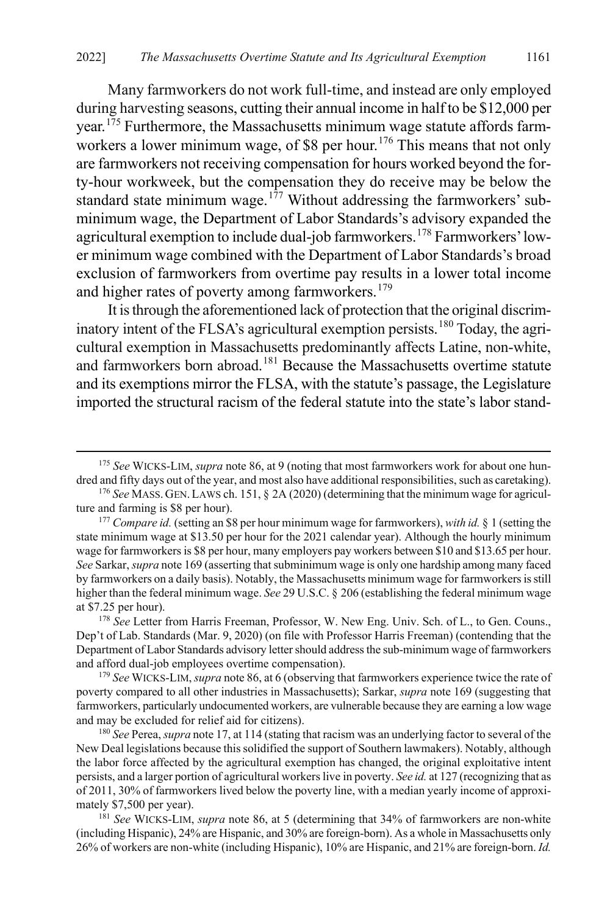Many farmworkers do not work full-time, and instead are only employed during harvesting seasons, cutting their annual income in half to be \$12,000 per year.<sup>[175](#page-29-0)</sup> Furthermore, the Massachusetts minimum wage statute affords farm-workers a lower minimum wage, of \$8 per hour.<sup>[176](#page-29-1)</sup> This means that not only are farmworkers not receiving compensation for hours worked beyond the forty-hour workweek, but the compensation they do receive may be below the standard state minimum wage.<sup>[177](#page-29-2)</sup> Without addressing the farmworkers' subminimum wage, the Department of Labor Standards's advisory expanded the agricultural exemption to include dual-job farmworkers.<sup>[178](#page-29-3)</sup> Farmworkers' lower minimum wage combined with the Department of Labor Standards's broad exclusion of farmworkers from overtime pay results in a lower total income and higher rates of poverty among farmworkers.<sup>[179](#page-29-4)</sup>

It is through the aforementioned lack of protection that the original discrim-inatory intent of the FLSA's agricultural exemption persists.<sup>[180](#page-29-5)</sup> Today, the agricultural exemption in Massachusetts predominantly affects Latine, non-white, and farmworkers born abroad. [181](#page-29-6) Because the Massachusetts overtime statute and its exemptions mirror the FLSA, with the statute's passage, the Legislature imported the structural racism of the federal statute into the state's labor stand-

<span id="page-29-0"></span> <sup>175</sup> *See* WICKS-LIM, *supra* not[e 86,](#page-14-4) at 9 (noting that most farmworkers work for about one hundred and fifty days out of the year, and most also have additional responsibilities, such as caretaking).

<span id="page-29-1"></span><sup>176</sup> *See* MASS. GEN.LAWS ch. 151, § 2A (2020) (determining that the minimum wage for agriculture and farming is \$8 per hour).

<span id="page-29-2"></span><sup>177</sup> *Compare id.* (setting an \$8 per hour minimum wage for farmworkers), *with id.* § 1 (setting the state minimum wage at \$13.50 per hour for the 2021 calendar year). Although the hourly minimum wage for farmworkers is \$8 per hour, many employers pay workers between \$10 and \$13.65 per hour. *See* Sarkar, *supra* not[e 169](#page-27-11) (asserting that subminimum wage is only one hardship among many faced by farmworkers on a daily basis). Notably, the Massachusetts minimum wage for farmworkers is still higher than the federal minimum wage. *See* 29 U.S.C. § 206 (establishing the federal minimum wage at \$7.25 per hour).

<span id="page-29-3"></span><sup>&</sup>lt;sup>178</sup> See Letter from Harris Freeman, Professor, W. New Eng. Univ. Sch. of L., to Gen. Couns., Dep't of Lab. Standards (Mar. 9, 2020) (on file with Professor Harris Freeman) (contending that the Department of Labor Standards advisory letter should address the sub-minimum wage of farmworkers and afford dual-job employees overtime compensation). 179 *See* WICKS-LIM, *supra* not[e 86,](#page-14-4) at 6 (observing that farmworkers experience twice the rate of

<span id="page-29-4"></span>poverty compared to all other industries in Massachusetts); Sarkar, *supra* not[e 169](#page-27-11) (suggesting that farmworkers, particularly undocumented workers, are vulnerable because they are earning a low wage and may be excluded for relief aid for citizens).

<span id="page-29-5"></span><sup>180</sup> *See* Perea,*supra* not[e 17,](#page-4-8) at 114 (stating that racism was an underlying factor to several of the New Deal legislations because this solidified the support of Southern lawmakers). Notably, although the labor force affected by the agricultural exemption has changed, the original exploitative intent persists, and a larger portion of agricultural workers live in poverty. *See id.* at 127 (recognizing that as of 2011, 30% of farmworkers lived below the poverty line, with a median yearly income of approximately \$7,500 per year).

<span id="page-29-6"></span><sup>181</sup> *See* WICKS-LIM, *supra* note [86,](#page-14-4) at 5 (determining that 34% of farmworkers are non-white (including Hispanic), 24% are Hispanic, and 30% are foreign-born). As a whole in Massachusetts only 26% of workers are non-white (including Hispanic), 10% are Hispanic, and 21% are foreign-born. *Id.*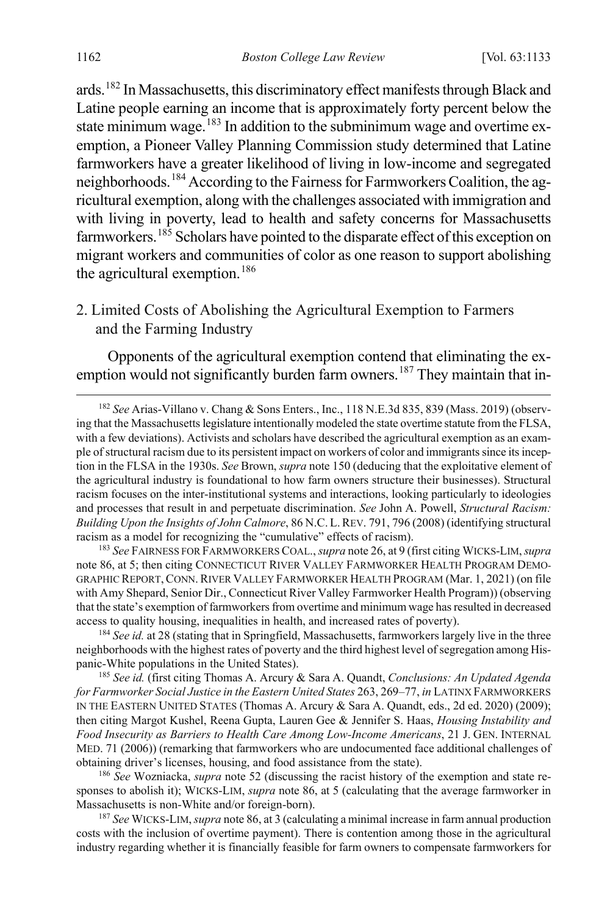ards.[182](#page-30-2) In Massachusetts, this discriminatory effect manifests through Black and Latine people earning an income that is approximately forty percent below the state minimum wage.<sup>[183](#page-30-3)</sup> In addition to the subminimum wage and overtime exemption, a Pioneer Valley Planning Commission study determined that Latine farmworkers have a greater likelihood of living in low-income and segregated neighborhoods.[184](#page-30-4) According to the Fairness for Farmworkers Coalition, the agricultural exemption, along with the challenges associated with immigration and with living in poverty, lead to health and safety concerns for Massachusetts farmworkers.<sup>[185](#page-30-5)</sup> Scholars have pointed to the disparate effect of this exception on migrant workers and communities of color as one reason to support abolishing the agricultural exemption.<sup>[186](#page-30-6)</sup>

<span id="page-30-0"></span>2. Limited Costs of Abolishing the Agricultural Exemption to Farmers and the Farming Industry

<span id="page-30-1"></span>Opponents of the agricultural exemption contend that eliminating the ex-emption would not significantly burden farm owners.<sup>[187](#page-30-7)</sup> They maintain that in-

<span id="page-30-2"></span> 182 *See* Arias-Villano v. Chang & Sons Enters., Inc., 118 N.E.3d 835, 839 (Mass. 2019) (observing that the Massachusetts legislature intentionally modeled the state overtime statute from the FLSA, with a few deviations). Activists and scholars have described the agricultural exemption as an example of structural racism due to its persistent impact on workers of color and immigrants since its inception in the FLSA in the 1930s. *See* Brown, *supra* not[e 150](#page-25-7) (deducing that the exploitative element of the agricultural industry is foundational to how farm owners structure their businesses). Structural racism focuses on the inter-institutional systems and interactions, looking particularly to ideologies and processes that result in and perpetuate discrimination. *See* John A. Powell, *Structural Racism: Building Upon the Insights of John Calmore*, 86 N.C. L.REV. 791, 796 (2008) (identifying structural racism as a model for recognizing the "cumulative" effects of racism).

<span id="page-30-3"></span><sup>183</sup> *See* FAIRNESS FOR FARMWORKERS COAL., *supra* not[e 26,](#page-5-9) at 9 (first citing WICKS-LIM, *supra*  not[e 86,](#page-14-4) at 5; then citing CONNECTICUT RIVER VALLEY FARMWORKER HEALTH PROGRAM DEMO-GRAPHIC REPORT,CONN.RIVER VALLEY FARMWORKER HEALTH PROGRAM (Mar. 1, 2021) (on file with Amy Shepard, Senior Dir., Connecticut River Valley Farmworker Health Program)) (observing that the state's exemption of farmworkers from overtime and minimum wage has resulted in decreased access to quality housing, inequalities in health, and increased rates of poverty).

<span id="page-30-4"></span><sup>184</sup> *See id.* at 28 (stating that in Springfield, Massachusetts, farmworkers largely live in the three neighborhoods with the highest rates of poverty and the third highest level of segregation among Hispanic-White populations in the United States).

<span id="page-30-5"></span><sup>185</sup> *See id.* (first citing Thomas A. Arcury & Sara A. Quandt, *Conclusions: An Updated Agenda for Farmworker Social Justice in the Eastern United States* 263, 269–77, *in* LATINX FARMWORKERS IN THE EASTERN UNITED STATES (Thomas A. Arcury & Sara A. Quandt, eds., 2d ed. 2020) (2009); then citing Margot Kushel, Reena Gupta, Lauren Gee & Jennifer S. Haas, *Housing Instability and Food Insecurity as Barriers to Health Care Among Low-Income Americans*, 21 J. GEN. INTERNAL MED. 71 (2006)) (remarking that farmworkers who are undocumented face additional challenges of obtaining driver's licenses, housing, and food assistance from the state).

<span id="page-30-6"></span><sup>186</sup> *See* Wozniacka, *supra* not[e 52](#page-9-9) (discussing the racist history of the exemption and state responses to abolish it); WICKS-LIM, *supra* not[e 86,](#page-14-4) at 5 (calculating that the average farmworker in Massachusetts is non-White and/or foreign-born). 187 *See* WICKS-LIM, *supra* not[e 86,](#page-14-4) at 3 (calculating a minimal increase in farm annual production

<span id="page-30-7"></span>costs with the inclusion of overtime payment). There is contention among those in the agricultural industry regarding whether it is financially feasible for farm owners to compensate farmworkers for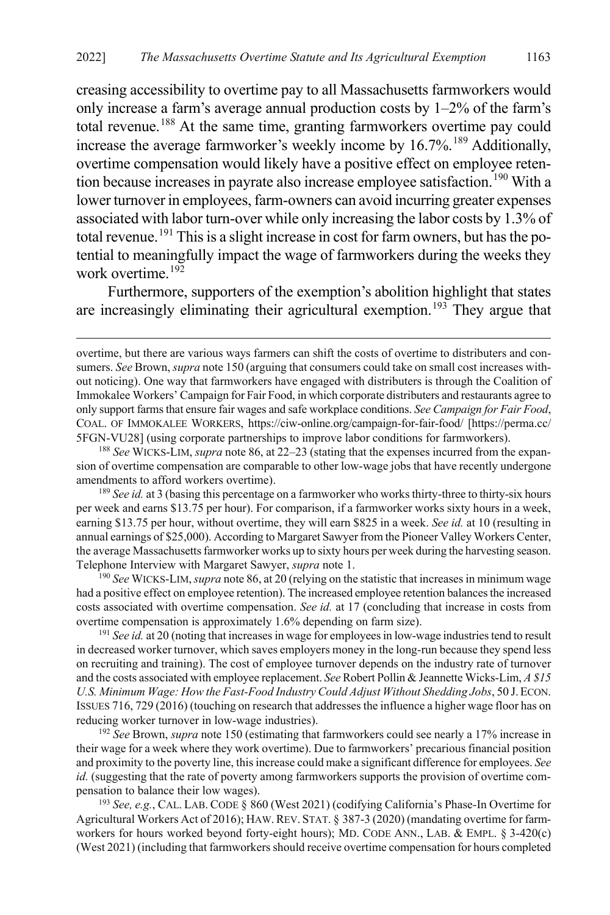creasing accessibility to overtime pay to all Massachusetts farmworkers would only increase a farm's average annual production costs by 1–2% of the farm's total revenue.<sup>[188](#page-31-0)</sup> At the same time, granting farmworkers overtime pay could increase the average farmworker's weekly income by  $16.7\%$ .<sup>[189](#page-31-1)</sup> Additionally, overtime compensation would likely have a positive effect on employee reten-tion because increases in payrate also increase employee satisfaction.<sup>[190](#page-31-2)</sup> With a lower turnover in employees, farm-owners can avoid incurring greater expenses associated with labor turn-over while only increasing the labor costs by 1.3% of total revenue.<sup>[191](#page-31-3)</sup> This is a slight increase in cost for farm owners, but has the potential to meaningfully impact the wage of farmworkers during the weeks they work overtime. $192$ 

Furthermore, supporters of the exemption's abolition highlight that states are increasingly eliminating their agricultural exemption.<sup>[193](#page-31-5)</sup> They argue that

 $\overline{a}$ 

<span id="page-31-0"></span>188 *See* WICKS-LIM, *supra* not[e 86,](#page-14-4) at 22–23 (stating that the expenses incurred from the expansion of overtime compensation are comparable to other low-wage jobs that have recently undergone amendments to afford workers overtime).

<span id="page-31-1"></span><sup>189</sup> *See id.* at 3 (basing this percentage on a farmworker who works thirty-three to thirty-six hours per week and earns \$13.75 per hour). For comparison, if a farmworker works sixty hours in a week, earning \$13.75 per hour, without overtime, they will earn \$825 in a week. *See id.* at 10 (resulting in annual earnings of \$25,000). According to Margaret Sawyer from the Pioneer Valley Workers Center, the average Massachusetts farmworker works up to sixty hours per week during the harvesting season. Telephone Interview with Margaret Sawyer, *supra* not[e 1.](#page-1-1) 190 *See* WICKS-LIM, *supra* not[e 86,](#page-14-4) at 20 (relying on the statistic that increases in minimum wage

<span id="page-31-2"></span>had a positive effect on employee retention). The increased employee retention balances the increased costs associated with overtime compensation. *See id.* at 17 (concluding that increase in costs from overtime compensation is approximately 1.6% depending on farm size).

<span id="page-31-3"></span><sup>191</sup> *See id.* at 20 (noting that increases in wage for employees in low-wage industries tend to result in decreased worker turnover, which saves employers money in the long-run because they spend less on recruiting and training). The cost of employee turnover depends on the industry rate of turnover and the costs associated with employee replacement. *See* Robert Pollin & Jeannette Wicks-Lim, *A \$15 U.S. Minimum Wage: How the Fast-Food Industry Could Adjust Without Shedding Jobs*, 50 J.ECON. ISSUES 716, 729 (2016) (touching on research that addresses the influence a higher wage floor has on reducing worker turnover in low-wage industries).

<span id="page-31-4"></span><sup>192</sup> *See* Brown, *supra* not[e 150](#page-25-7) (estimating that farmworkers could see nearly a 17% increase in their wage for a week where they work overtime). Due to farmworkers' precarious financial position and proximity to the poverty line, this increase could make a significant difference for employees. *See id.* (suggesting that the rate of poverty among farmworkers supports the provision of overtime compensation to balance their low wages).

<span id="page-31-5"></span><sup>193</sup> *See, e.g.*, CAL. LAB. CODE § 860 (West 2021) (codifying California's Phase-In Overtime for Agricultural Workers Act of 2016); HAW.REV. STAT. § 387-3 (2020) (mandating overtime for farmworkers for hours worked beyond forty-eight hours); MD. CODE ANN., LAB. & EMPL. § 3-420(c) (West 2021) (including that farmworkers should receive overtime compensation for hours completed

overtime, but there are various ways farmers can shift the costs of overtime to distributers and consumers. *See* Brown, *supra* not[e 150](#page-25-7) (arguing that consumers could take on small cost increases without noticing). One way that farmworkers have engaged with distributers is through the Coalition of Immokalee Workers' Campaign for Fair Food, in which corporate distributers and restaurants agree to only support farms that ensure fair wages and safe workplace conditions. *See Campaign for Fair Food*, COAL. OF IMMOKALEE WORKERS, https://ciw-online.org/campaign-for-fair-food/ [https://perma.cc/ 5FGN-VU28] (using corporate partnerships to improve labor conditions for farmworkers).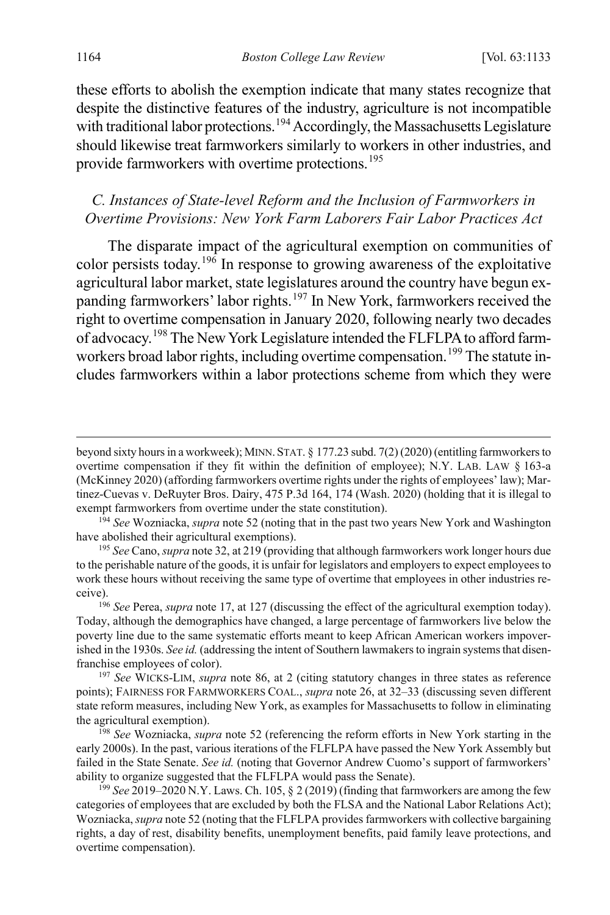these efforts to abolish the exemption indicate that many states recognize that despite the distinctive features of the industry, agriculture is not incompatible with traditional labor protections.<sup>[194](#page-32-2)</sup> Accordingly, the Massachusetts Legislature should likewise treat farmworkers similarly to workers in other industries, and provide farmworkers with overtime protections.<sup>[195](#page-32-3)</sup>

#### <span id="page-32-0"></span>*C. Instances of State-level Reform and the Inclusion of Farmworkers in Overtime Provisions: New York Farm Laborers Fair Labor Practices Act*

<span id="page-32-1"></span>The disparate impact of the agricultural exemption on communities of color persists today.<sup>[196](#page-32-4)</sup> In response to growing awareness of the exploitative agricultural labor market, state legislatures around the country have begun ex-panding farmworkers' labor rights.<sup>[197](#page-32-5)</sup> In New York, farmworkers received the right to overtime compensation in January 2020, following nearly two decades of advocacy.[198](#page-32-6) The New York Legislature intended the FLFLPA to afford farm-workers broad labor rights, including overtime compensation.<sup>[199](#page-32-7)</sup> The statute includes farmworkers within a labor protections scheme from which they were

beyond sixty hours in a workweek); MINN. STAT. § 177.23 subd. 7(2) (2020) (entitling farmworkers to overtime compensation if they fit within the definition of employee); N.Y. LAB. LAW § 163-a (McKinney 2020) (affording farmworkers overtime rights under the rights of employees' law); Martinez-Cuevas v. DeRuyter Bros. Dairy, 475 P.3d 164, 174 (Wash. 2020) (holding that it is illegal to exempt farmworkers from overtime under the state constitution).

<span id="page-32-2"></span><sup>194</sup> *See* Wozniacka, *supra* not[e 52](#page-9-9) (noting that in the past two years New York and Washington have abolished their agricultural exemptions).

<span id="page-32-3"></span><sup>195</sup> *See* Cano, *supra* not[e 32,](#page-6-0) at 219 (providing that although farmworkers work longer hours due to the perishable nature of the goods, it is unfair for legislators and employers to expect employees to work these hours without receiving the same type of overtime that employees in other industries receive). 196 *See* Perea, *supra* not[e 17,](#page-4-8) at 127 (discussing the effect of the agricultural exemption today).

<span id="page-32-4"></span>Today, although the demographics have changed, a large percentage of farmworkers live below the poverty line due to the same systematic efforts meant to keep African American workers impoverished in the 1930s. *See id.* (addressing the intent of Southern lawmakers to ingrain systems that disenfranchise employees of color).

<span id="page-32-5"></span><sup>197</sup> *See* WICKS-LIM, *supra* note [86,](#page-14-4) at 2 (citing statutory changes in three states as reference points); FAIRNESS FOR FARMWORKERS COAL., *supra* not[e 26,](#page-5-9) at 32–33 (discussing seven different state reform measures, including New York, as examples for Massachusetts to follow in eliminating the agricultural exemption).

<span id="page-32-6"></span><sup>198</sup> *See* Wozniacka, *supra* note [52](#page-9-9) (referencing the reform efforts in New York starting in the early 2000s). In the past, various iterations of the FLFLPA have passed the New York Assembly but failed in the State Senate. *See id.* (noting that Governor Andrew Cuomo's support of farmworkers' ability to organize suggested that the FLFLPA would pass the Senate).

<span id="page-32-7"></span><sup>199</sup> *See* 2019–2020 N.Y. Laws. Ch. 105, § 2 (2019) (finding that farmworkers are among the few categories of employees that are excluded by both the FLSA and the National Labor Relations Act); Wozniacka, *supra* not[e 52](#page-9-9) (noting that the FLFLPA provides farmworkers with collective bargaining rights, a day of rest, disability benefits, unemployment benefits, paid family leave protections, and overtime compensation).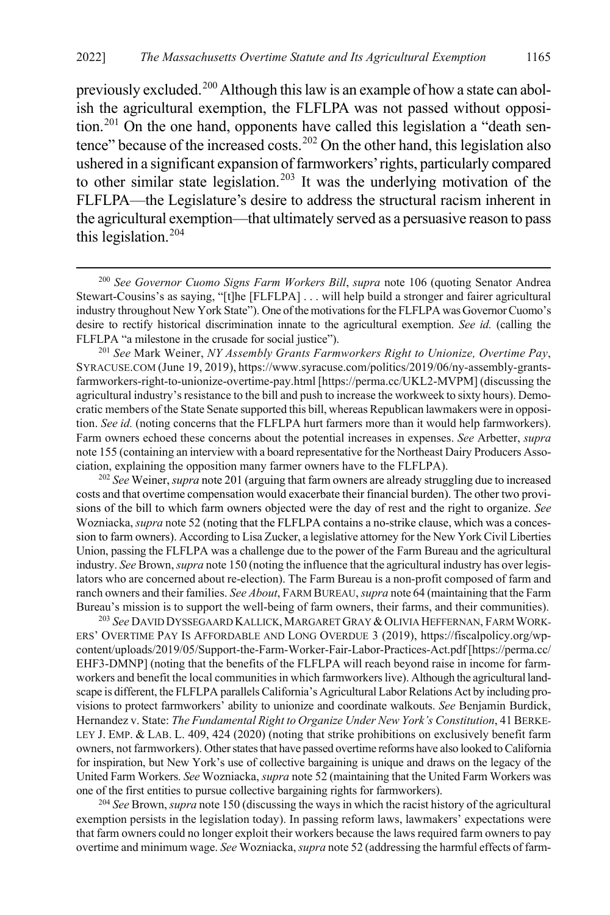<span id="page-33-6"></span><span id="page-33-0"></span>previously excluded.[200](#page-33-1) Although this law is an example of how a state can abolish the agricultural exemption, the FLFLPA was not passed without opposi-tion.<sup>[201](#page-33-2)</sup> On the one hand, opponents have called this legislation a "death sen-tence" because of the increased costs.<sup>[202](#page-33-3)</sup> On the other hand, this legislation also ushered in a significant expansion of farmworkers' rights, particularly compared to other similar state legislation.<sup>[203](#page-33-4)</sup> It was the underlying motivation of the FLFLPA—the Legislature's desire to address the structural racism inherent in the agricultural exemption—that ultimately served as a persuasive reason to pass this legislation.[204](#page-33-5)

<span id="page-33-2"></span><sup>201</sup> *See* Mark Weiner, *NY Assembly Grants Farmworkers Right to Unionize, Overtime Pay*, SYRACUSE.COM (June 19, 2019), https://www.syracuse.com/politics/2019/06/ny-assembly-grantsfarmworkers-right-to-unionize-overtime-pay.html [https://perma.cc/UKL2-MVPM] (discussing the agricultural industry's resistance to the bill and push to increase the workweek to sixty hours). Democratic members of the State Senate supported this bill, whereas Republican lawmakers were in opposition. *See id.* (noting concerns that the FLFLPA hurt farmers more than it would help farmworkers). Farm owners echoed these concerns about the potential increases in expenses. *See* Arbetter, *supra* not[e 155](#page-25-8) (containing an interview with a board representative for the Northeast Dairy Producers Association, explaining the opposition many farmer owners have to the FLFLPA).

<span id="page-33-3"></span><sup>202</sup> *See* Weiner, *supra* not[e 201](#page-33-0) (arguing that farm owners are already struggling due to increased costs and that overtime compensation would exacerbate their financial burden). The other two provisions of the bill to which farm owners objected were the day of rest and the right to organize. *See*  Wozniacka, *supra* not[e 52](#page-9-9) (noting that the FLFLPA contains a no-strike clause, which was a concession to farm owners). According to Lisa Zucker, a legislative attorney for the New York Civil Liberties Union, passing the FLFLPA was a challenge due to the power of the Farm Bureau and the agricultural industry. *See* Brown, *supra* not[e 150](#page-25-7) (noting the influence that the agricultural industry has over legislators who are concerned about re-election). The Farm Bureau is a non-profit composed of farm and ranch owners and their families. *See About*, FARM BUREAU, *supra* not[e 64](#page-11-7) (maintaining that the Farm Bureau's mission is to support the well-being of farm owners, their farms, and their communities).

<span id="page-33-4"></span><sup>203</sup> See DAVID DYSSEGAARD KALLICK, MARGARET GRAY & OLIVIA HEFFERNAN, FARM WORK-ERS' OVERTIME PAY IS AFFORDABLE AND LONG OVERDUE 3 (2019), https://fiscalpolicy.org/wpcontent/uploads/2019/05/Support-the-Farm-Worker-Fair-Labor-Practices-Act.pdf [https://perma.cc/ EHF3-DMNP] (noting that the benefits of the FLFLPA will reach beyond raise in income for farmworkers and benefit the local communities in which farmworkers live). Although the agricultural landscape is different, the FLFLPA parallels California's Agricultural Labor Relations Act by including provisions to protect farmworkers' ability to unionize and coordinate walkouts. *See* Benjamin Burdick, Hernandez v. State: *The Fundamental Right to Organize Under New York's Constitution*, 41 BERKE-LEY J. EMP. & LAB. L. 409, 424 (2020) (noting that strike prohibitions on exclusively benefit farm owners, not farmworkers). Other states that have passed overtime reforms have also looked to California for inspiration, but New York's use of collective bargaining is unique and draws on the legacy of the United Farm Workers. *See* Wozniacka, *supra* not[e 52](#page-9-9) (maintaining that the United Farm Workers was one of the first entities to pursue collective bargaining rights for farmworkers).

<span id="page-33-5"></span><sup>204</sup> *See* Brown, *supra* not[e 150](#page-25-7) (discussing the ways in which the racist history of the agricultural exemption persists in the legislation today). In passing reform laws, lawmakers' expectations were that farm owners could no longer exploit their workers because the laws required farm owners to pay overtime and minimum wage. *See* Wozniacka, *supra* not[e 52](#page-9-9) (addressing the harmful effects of farm-

<span id="page-33-7"></span><span id="page-33-1"></span> <sup>200</sup> *See Governor Cuomo Signs Farm Workers Bill*, *supra* note [106](#page-18-1) (quoting Senator Andrea Stewart-Cousins's as saying, "[t]he [FLFLPA] . . . will help build a stronger and fairer agricultural industry throughout New York State"). One of the motivations for the FLFLPA was Governor Cuomo's desire to rectify historical discrimination innate to the agricultural exemption. *See id.* (calling the FLFLPA "a milestone in the crusade for social justice").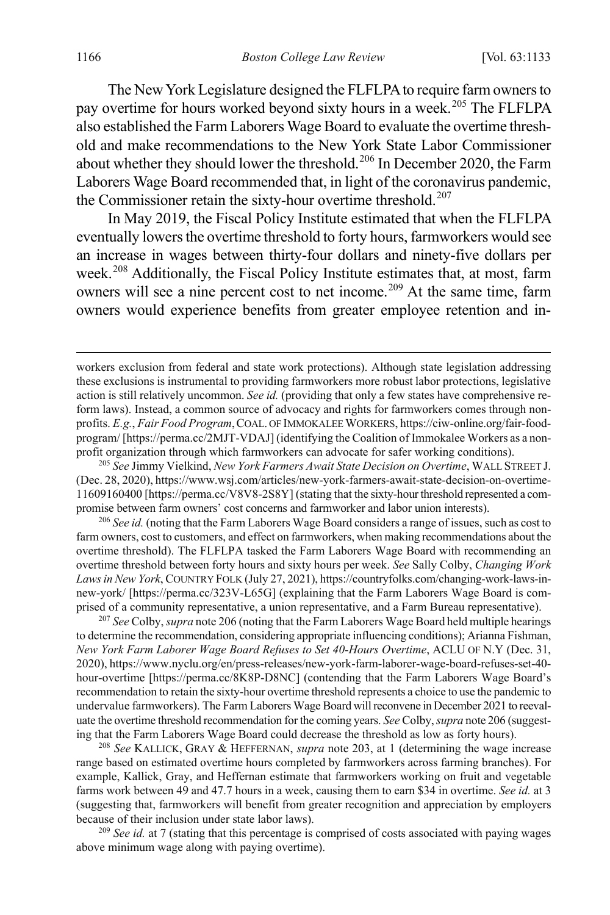The New York Legislature designed the FLFLPA to require farm owners to pay overtime for hours worked beyond sixty hours in a week.<sup>[205](#page-34-1)</sup> The FLFLPA also established the Farm Laborers Wage Board to evaluate the overtime threshold and make recommendations to the New York State Labor Commissioner about whether they should lower the threshold.<sup>[206](#page-34-2)</sup> In December 2020, the Farm Laborers Wage Board recommended that, in light of the coronavirus pandemic, the Commissioner retain the sixty-hour overtime threshold.<sup>[207](#page-34-3)</sup>

<span id="page-34-0"></span>In May 2019, the Fiscal Policy Institute estimated that when the FLFLPA eventually lowers the overtime threshold to forty hours, farmworkers would see an increase in wages between thirty-four dollars and ninety-five dollars per week.<sup>[208](#page-34-4)</sup> Additionally, the Fiscal Policy Institute estimates that, at most, farm owners will see a nine percent cost to net income.<sup>[209](#page-34-5)</sup> At the same time, farm owners would experience benefits from greater employee retention and in-

<span id="page-34-1"></span><sup>205</sup> *See* Jimmy Vielkind, *New York Farmers Await State Decision on Overtime*, WALL STREET J. (Dec. 28, 2020), https://www.wsj.com/articles/new-york-farmers-await-state-decision-on-overtime-11609160400 [https://perma.cc/V8V8-2S8Y] (stating that the sixty-hour threshold represented a compromise between farm owners' cost concerns and farmworker and labor union interests).

<span id="page-34-2"></span><sup>206</sup> *See id.* (noting that the Farm Laborers Wage Board considers a range of issues, such as cost to farm owners, cost to customers, and effect on farmworkers, when making recommendations about the overtime threshold). The FLFLPA tasked the Farm Laborers Wage Board with recommending an overtime threshold between forty hours and sixty hours per week. *See* Sally Colby, *Changing Work Laws in New York*, COUNTRY FOLK (July 27, 2021), https://countryfolks.com/changing-work-laws-innew-york/ [https://perma.cc/323V-L65G] (explaining that the Farm Laborers Wage Board is comprised of a community representative, a union representative, and a Farm Bureau representative).

<span id="page-34-3"></span><sup>207</sup> *See* Colby, *supra* not[e 206](#page-34-0) (noting that the Farm Laborers Wage Board held multiple hearings to determine the recommendation, considering appropriate influencing conditions); Arianna Fishman, *New York Farm Laborer Wage Board Refuses to Set 40-Hours Overtime*, ACLU OF N.Y (Dec. 31, 2020), https://www.nyclu.org/en/press-releases/new-york-farm-laborer-wage-board-refuses-set-40 hour-overtime [https://perma.cc/8K8P-D8NC] (contending that the Farm Laborers Wage Board's recommendation to retain the sixty-hour overtime threshold represents a choice to use the pandemic to undervalue farmworkers). The Farm Laborers Wage Board will reconvene in December 2021 to reevaluate the overtime threshold recommendation for the coming years. *See* Colby, *supra* not[e 206](#page-34-0) (suggesting that the Farm Laborers Wage Board could decrease the threshold as low as forty hours).

<span id="page-34-4"></span><sup>208</sup> *See* KALLICK, GRAY & HEFFERNAN, *supra* note [203,](#page-33-6) at 1 (determining the wage increase range based on estimated overtime hours completed by farmworkers across farming branches). For example, Kallick, Gray, and Heffernan estimate that farmworkers working on fruit and vegetable farms work between 49 and 47.7 hours in a week, causing them to earn \$34 in overtime. *See id.* at 3 (suggesting that, farmworkers will benefit from greater recognition and appreciation by employers because of their inclusion under state labor laws).

<span id="page-34-5"></span><sup>209</sup> *See id.* at 7 (stating that this percentage is comprised of costs associated with paying wages above minimum wage along with paying overtime).

workers exclusion from federal and state work protections). Although state legislation addressing these exclusions is instrumental to providing farmworkers more robust labor protections, legislative action is still relatively uncommon. *See id.* (providing that only a few states have comprehensive reform laws). Instead, a common source of advocacy and rights for farmworkers comes through nonprofits. *E.g.*, *Fair Food Program*,COAL. OF IMMOKALEE WORKERS, https://ciw-online.org/fair-foodprogram/ [https://perma.cc/2MJT-VDAJ] (identifying the Coalition of Immokalee Workers as a nonprofit organization through which farmworkers can advocate for safer working conditions).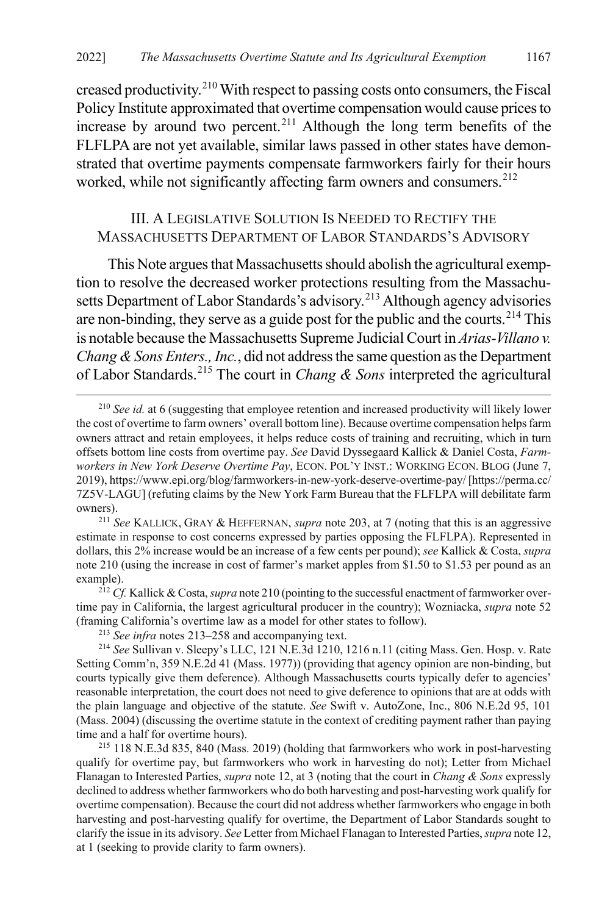<span id="page-35-2"></span>creased productivity.[210](#page-35-3) With respect to passing costs onto consumers, the Fiscal Policy Institute approximated that overtime compensation would cause prices to increase by around two percent.<sup>[211](#page-35-4)</sup> Although the long term benefits of the FLFLPA are not yet available, similar laws passed in other states have demonstrated that overtime payments compensate farmworkers fairly for their hours worked, while not significantly affecting farm owners and consumers.<sup>[212](#page-35-5)</sup>

### <span id="page-35-1"></span><span id="page-35-0"></span>III. A LEGISLATIVE SOLUTION IS NEEDED TO RECTIFY THE MASSACHUSETTS DEPARTMENT OF LABOR STANDARDS'S ADVISORY

This Note argues that Massachusetts should abolish the agricultural exemption to resolve the decreased worker protections resulting from the Massachu-setts Department of Labor Standards's advisory.<sup>[213](#page-35-6)</sup> Although agency advisories are non-binding, they serve as a guide post for the public and the courts.<sup>[214](#page-35-7)</sup> This is notable because the Massachusetts Supreme Judicial Court in *Arias-Villano v. Chang & Sons Enters., Inc.*, did not address the same question as the Department of Labor Standards.[215](#page-35-8) The court in *Chang & Sons* interpreted the agricultural

<span id="page-35-4"></span><sup>211</sup> *See* KALLICK, GRAY & HEFFERNAN, *supra* note [203,](#page-33-6) at 7 (noting that this is an aggressive estimate in response to cost concerns expressed by parties opposing the FLFLPA). Represented in dollars, this 2% increase would be an increase of a few cents per pound); *see* Kallick & Costa, *supra*  note [210](#page-35-2) (using the increase in cost of farmer's market apples from \$1.50 to \$1.53 per pound as an example). 212 *Cf.* Kallick & Costa, *supra* not[e 210](#page-35-2) (pointing to the successful enactment of farmworker over-

<span id="page-35-5"></span>time pay in California, the largest agricultural producer in the country); Wozniacka, *supra* note [52](#page-9-9) (framing California's overtime law as a model for other states to follow).

<sup>213</sup> *See infra* notes [213–](#page-35-0)[258](#page-43-0) and accompanying text.

<span id="page-35-7"></span><span id="page-35-6"></span><sup>214</sup> *See* Sullivan v. Sleepy's LLC, 121 N.E.3d 1210, 1216 n.11 (citing Mass. Gen. Hosp. v. Rate Setting Comm'n, 359 N.E.2d 41 (Mass. 1977)) (providing that agency opinion are non-binding, but courts typically give them deference). Although Massachusetts courts typically defer to agencies' reasonable interpretation, the court does not need to give deference to opinions that are at odds with the plain language and objective of the statute. *See* Swift v. AutoZone, Inc., 806 N.E.2d 95, 101 (Mass. 2004) (discussing the overtime statute in the context of crediting payment rather than paying time and a half for overtime hours).

<span id="page-35-8"></span><sup>215</sup> 118 N.E.3d 835, 840 (Mass. 2019) (holding that farmworkers who work in post-harvesting qualify for overtime pay, but farmworkers who work in harvesting do not); Letter from Michael Flanagan to Interested Parties, *supra* note [12,](#page-3-6) at 3 (noting that the court in *Chang & Sons* expressly declined to address whether farmworkers who do both harvesting and post-harvesting work qualify for overtime compensation). Because the court did not address whether farmworkers who engage in both harvesting and post-harvesting qualify for overtime, the Department of Labor Standards sought to clarify the issue in its advisory. *See* Letter from Michael Flanagan to Interested Parties, *supra* not[e 12,](#page-3-6) at 1 (seeking to provide clarity to farm owners).

<span id="page-35-3"></span> <sup>210</sup> *See id.* at 6 (suggesting that employee retention and increased productivity will likely lower the cost of overtime to farm owners' overall bottom line). Because overtime compensation helps farm owners attract and retain employees, it helps reduce costs of training and recruiting, which in turn offsets bottom line costs from overtime pay. *See* David Dyssegaard Kallick & Daniel Costa, *Farmworkers in New York Deserve Overtime Pay*, ECON. POL'Y INST.: WORKING ECON. BLOG (June 7, 2019), https://www.epi.org/blog/farmworkers-in-new-york-deserve-overtime-pay/ [https://perma.cc/ 7Z5V-LAGU] (refuting claims by the New York Farm Bureau that the FLFLPA will debilitate farm owners).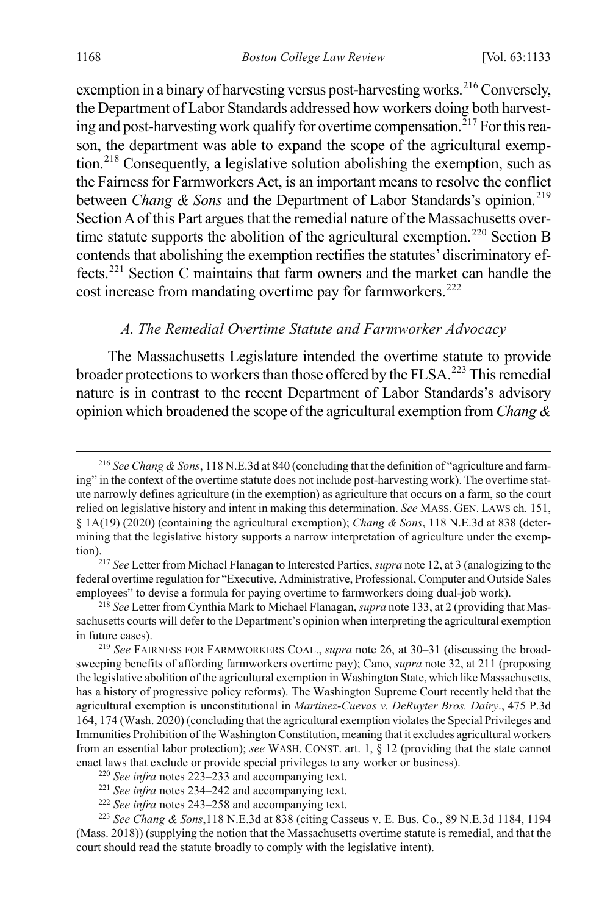exemption in a binary of harvesting versus post-harvesting works.<sup>[216](#page-36-1)</sup> Conversely, the Department of Labor Standards addressed how workers doing both harvesting and post-harvesting work qualify for overtime compensation.<sup> $217$ </sup> For this reason, the department was able to expand the scope of the agricultural exemption.[218](#page-36-3) Consequently, a legislative solution abolishing the exemption, such as the Fairness for Farmworkers Act, is an important means to resolve the conflict between *Chang & Sons* and the Department of Labor Standards's opinion.<sup>[219](#page-36-4)</sup> Section A of this Part argues that the remedial nature of the Massachusetts over-time statute supports the abolition of the agricultural exemption.<sup>[220](#page-36-5)</sup> Section B contends that abolishing the exemption rectifies the statutes' discriminatory effects.[221](#page-36-6) Section C maintains that farm owners and the market can handle the cost increase from mandating overtime pay for farmworkers.<sup>[222](#page-36-7)</sup>

#### <span id="page-36-0"></span>*A. The Remedial Overtime Statute and Farmworker Advocacy*

The Massachusetts Legislature intended the overtime statute to provide broader protections to workers than those offered by the FLSA.<sup>[223](#page-36-8)</sup> This remedial nature is in contrast to the recent Department of Labor Standards's advisory opinion which broadened the scope of the agricultural exemption from *Chang &* 

<span id="page-36-1"></span> <sup>216</sup> *See Chang & Sons*, 118 N.E.3d at 840 (concluding that the definition of "agriculture and farming" in the context of the overtime statute does not include post-harvesting work). The overtime statute narrowly defines agriculture (in the exemption) as agriculture that occurs on a farm, so the court relied on legislative history and intent in making this determination. *See* MASS. GEN. LAWS ch. 151, § 1A(19) (2020) (containing the agricultural exemption); *Chang & Sons*, 118 N.E.3d at 838 (determining that the legislative history supports a narrow interpretation of agriculture under the exemp-

<span id="page-36-2"></span>tion).217 *See* Letter from Michael Flanagan to Interested Parties, *supra* not[e 12,](#page-3-6) at 3 (analogizing to the federal overtime regulation for "Executive, Administrative, Professional, Computer and Outside Sales employees" to devise a formula for paying overtime to farmworkers doing dual-job work).

<span id="page-36-3"></span><sup>218</sup> *See* Letter from Cynthia Mark to Michael Flanagan, *supra* not[e 133,](#page-22-1) at 2 (providing that Massachusetts courts will defer to the Department's opinion when interpreting the agricultural exemption in future cases).

<span id="page-36-4"></span><sup>219</sup> *See* FAIRNESS FOR FARMWORKERS COAL., *supra* note [26,](#page-5-9) at 30–31 (discussing the broadsweeping benefits of affording farmworkers overtime pay); Cano, *supra* not[e 32,](#page-6-0) at 211 (proposing the legislative abolition of the agricultural exemption in Washington State, which like Massachusetts, has a history of progressive policy reforms). The Washington Supreme Court recently held that the agricultural exemption is unconstitutional in *Martinez-Cuevas v. DeRuyter Bros. Dairy*., 475 P.3d 164, 174 (Wash. 2020) (concluding that the agricultural exemption violates the Special Privileges and Immunities Prohibition of the Washington Constitution, meaning that it excludes agricultural workers from an essential labor protection); *see* WASH. CONST. art. 1, § 12 (providing that the state cannot enact laws that exclude or provide special privileges to any worker or business). 220 *See infra* notes [223–](#page-36-0)[233](#page-38-0) and accompanying text.

<sup>221</sup> *See infra* notes [234–](#page-38-1)[242](#page-40-0) and accompanying text.

<sup>222</sup> *See infra* notes [243–](#page-40-1)[258](#page-43-0) and accompanying text.

<span id="page-36-8"></span><span id="page-36-7"></span><span id="page-36-6"></span><span id="page-36-5"></span><sup>223</sup> *See Chang & Sons*,118 N.E.3d at 838 (citing Casseus v. E. Bus. Co., 89 N.E.3d 1184, 1194 (Mass. 2018)) (supplying the notion that the Massachusetts overtime statute is remedial, and that the court should read the statute broadly to comply with the legislative intent).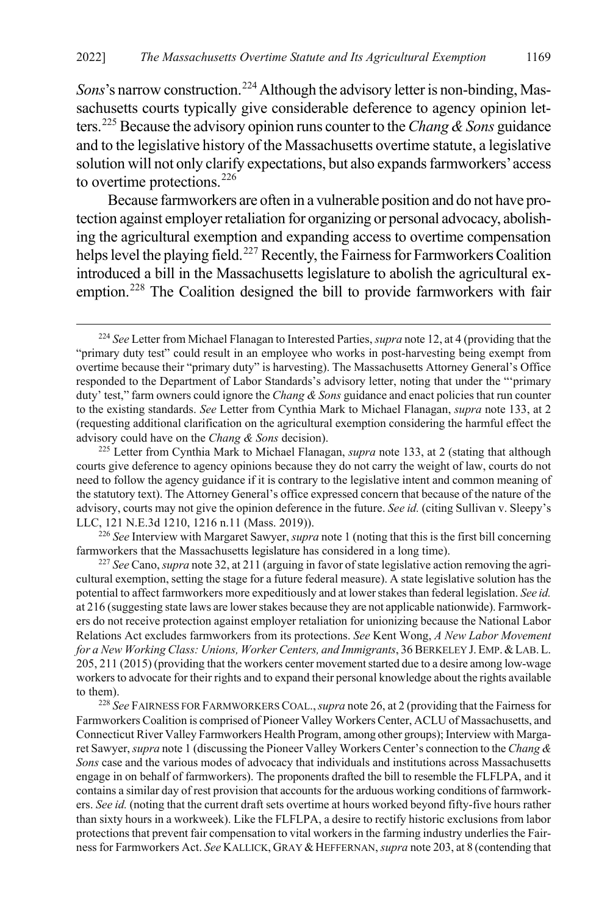*Sons*'s narrow construction.<sup>[224](#page-37-0)</sup> Although the advisory letter is non-binding, Massachusetts courts typically give considerable deference to agency opinion letters.[225](#page-37-1) Because the advisory opinion runs counter to the *Chang & Sons* guidance and to the legislative history of the Massachusetts overtime statute, a legislative solution will not only clarify expectations, but also expands farmworkers' access to overtime protections.<sup>[226](#page-37-2)</sup>

Because farmworkers are often in a vulnerable position and do not have protection against employer retaliation for organizing or personal advocacy, abolishing the agricultural exemption and expanding access to overtime compensation helps level the playing field.<sup>[227](#page-37-3)</sup> Recently, the Fairness for Farmworkers Coalition introduced a bill in the Massachusetts legislature to abolish the agricultural exemption.[228](#page-37-4) The Coalition designed the bill to provide farmworkers with fair

<span id="page-37-2"></span><sup>226</sup> *See* Interview with Margaret Sawyer, *supra* not[e 1](#page-1-1) (noting that this is the first bill concerning farmworkers that the Massachusetts legislature has considered in a long time).

<span id="page-37-3"></span><sup>227</sup> *See* Cano, *supra* not[e 32,](#page-6-0) at 211 (arguing in favor of state legislative action removing the agricultural exemption, setting the stage for a future federal measure). A state legislative solution has the potential to affect farmworkers more expeditiously and at lower stakes than federal legislation. *See id.*  at 216 (suggesting state laws are lower stakes because they are not applicable nationwide). Farmworkers do not receive protection against employer retaliation for unionizing because the National Labor Relations Act excludes farmworkers from its protections. *See* Kent Wong, *A New Labor Movement for a New Working Class: Unions, Worker Centers, and Immigrants*, 36 BERKELEY J.EMP.&LAB.L. 205, 211 (2015) (providing that the workers center movement started due to a desire among low-wage workers to advocate for their rights and to expand their personal knowledge about the rights available to them).

<span id="page-37-4"></span><sup>228</sup> *See* FAIRNESS FOR FARMWORKERS COAL.,*supra* not[e 26,](#page-5-9) at 2 (providing that the Fairness for Farmworkers Coalition is comprised of Pioneer Valley Workers Center, ACLU of Massachusetts, and Connecticut River Valley Farmworkers Health Program, among other groups); Interview with Margaret Sawyer, *supra* not[e 1 \(](#page-1-1)discussing the Pioneer Valley Workers Center's connection to the *Chang & Sons* case and the various modes of advocacy that individuals and institutions across Massachusetts engage in on behalf of farmworkers). The proponents drafted the bill to resemble the FLFLPA, and it contains a similar day of rest provision that accounts for the arduous working conditions of farmworkers. *See id.* (noting that the current draft sets overtime at hours worked beyond fifty-five hours rather than sixty hours in a workweek). Like the FLFLPA, a desire to rectify historic exclusions from labor protections that prevent fair compensation to vital workers in the farming industry underlies the Fairness for Farmworkers Act. See KALLICK, GRAY & HEFFERNAN, *supra* not[e 203,](#page-33-6) at 8 (contending that

<span id="page-37-0"></span> <sup>224</sup> *See* Letter from Michael Flanagan to Interested Parties, *supra* not[e 12,](#page-3-6) at 4 (providing that the "primary duty test" could result in an employee who works in post-harvesting being exempt from overtime because their "primary duty" is harvesting). The Massachusetts Attorney General's Office responded to the Department of Labor Standards's advisory letter, noting that under the "'primary duty' test," farm owners could ignore the *Chang & Sons* guidance and enact policies that run counter to the existing standards. *See* Letter from Cynthia Mark to Michael Flanagan, *supra* not[e 133,](#page-22-1) at 2 (requesting additional clarification on the agricultural exemption considering the harmful effect the advisory could have on the *Chang & Sons* decision). 225 Letter from Cynthia Mark to Michael Flanagan, *supra* not[e 133,](#page-22-1) at 2 (stating that although

<span id="page-37-1"></span>courts give deference to agency opinions because they do not carry the weight of law, courts do not need to follow the agency guidance if it is contrary to the legislative intent and common meaning of the statutory text). The Attorney General's office expressed concern that because of the nature of the advisory, courts may not give the opinion deference in the future. *See id.* (citing Sullivan v. Sleepy's LLC, 121 N.E.3d 1210, 1216 n.11 (Mass. 2019)).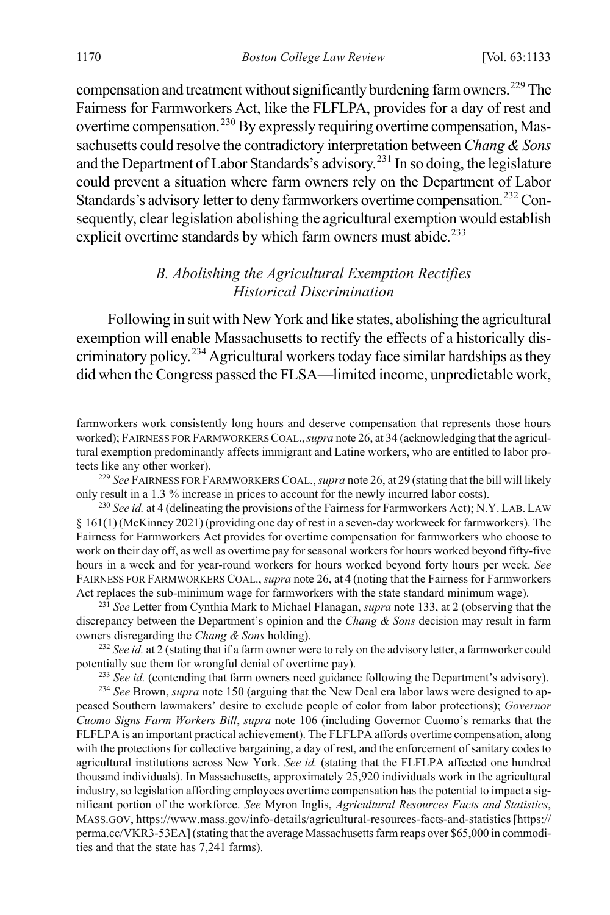compensation and treatment without significantly burdening farm owners.<sup>[229](#page-38-2)</sup> The Fairness for Farmworkers Act, like the FLFLPA, provides for a day of rest and overtime compensation.<sup>[230](#page-38-3)</sup> By expressly requiring overtime compensation, Massachusetts could resolve the contradictory interpretation between *Chang & Sons* and the Department of Labor Standards's advisory.<sup>[231](#page-38-4)</sup> In so doing, the legislature could prevent a situation where farm owners rely on the Department of Labor Standards's advisory letter to deny farmworkers overtime compensation.<sup>[232](#page-38-5)</sup> Consequently, clear legislation abolishing the agricultural exemption would establish explicit overtime standards by which farm owners must abide.<sup>[233](#page-38-6)</sup>

### <span id="page-38-1"></span><span id="page-38-0"></span>*B. Abolishing the Agricultural Exemption Rectifies Historical Discrimination*

Following in suit with New York and like states, abolishing the agricultural exemption will enable Massachusetts to rectify the effects of a historically discriminatory policy.[234](#page-38-7) Agricultural workers today face similar hardships as they did when the Congress passed the FLSA—limited income, unpredictable work,

<span id="page-38-2"></span><sup>229</sup> *See* FAIRNESS FOR FARMWORKERS COAL.,*supra* not[e 26,](#page-5-9) at 29 (stating that the bill will likely only result in a 1.3 % increase in prices to account for the newly incurred labor costs).

<span id="page-38-4"></span><sup>231</sup> *See* Letter from Cynthia Mark to Michael Flanagan, *supra* not[e 133,](#page-22-1) at 2 (observing that the discrepancy between the Department's opinion and the *Chang & Sons* decision may result in farm owners disregarding the *Chang & Sons* holding).

<span id="page-38-5"></span><sup>232</sup> *See id.* at 2 (stating that if a farm owner were to rely on the advisory letter, a farmworker could potentially sue them for wrongful denial of overtime pay).

<sup>233</sup> *See id.* (contending that farm owners need guidance following the Department's advisory).

<span id="page-38-7"></span><span id="page-38-6"></span><sup>234</sup> *See* Brown, *supra* note [150](#page-25-7) (arguing that the New Deal era labor laws were designed to appeased Southern lawmakers' desire to exclude people of color from labor protections); *Governor Cuomo Signs Farm Workers Bill*, *supra* note [106](#page-18-1) (including Governor Cuomo's remarks that the FLFLPA is an important practical achievement). The FLFLPA affords overtime compensation, along with the protections for collective bargaining, a day of rest, and the enforcement of sanitary codes to agricultural institutions across New York. *See id.* (stating that the FLFLPA affected one hundred thousand individuals). In Massachusetts, approximately 25,920 individuals work in the agricultural industry, so legislation affording employees overtime compensation has the potential to impact a significant portion of the workforce. *See* Myron Inglis, *Agricultural Resources Facts and Statistics*, MASS.GOV, https://www.mass.gov/info-details/agricultural-resources-facts-and-statistics [https:// perma.cc/VKR3-53EA] (stating that the average Massachusetts farm reaps over \$65,000 in commodities and that the state has 7,241 farms).

farmworkers work consistently long hours and deserve compensation that represents those hours worked); FAIRNESS FOR FARMWORKERS COAL.,*supra* not[e 26,](#page-5-9) at 34 (acknowledging that the agricultural exemption predominantly affects immigrant and Latine workers, who are entitled to labor protects like any other worker).

<span id="page-38-3"></span><sup>&</sup>lt;sup>230</sup> *See id.* at 4 (delineating the provisions of the Fairness for Farmworkers Act); N.Y. LAB. LAW § 161(1) (McKinney 2021) (providing one day of rest in a seven-day workweek for farmworkers). The Fairness for Farmworkers Act provides for overtime compensation for farmworkers who choose to work on their day off, as well as overtime pay for seasonal workers for hours worked beyond fifty-five hours in a week and for year-round workers for hours worked beyond forty hours per week. *See*  FAIRNESS FOR FARMWORKERS COAL.,*supra* not[e 26,](#page-5-9) at 4 (noting that the Fairness for Farmworkers Act replaces the sub-minimum wage for farmworkers with the state standard minimum wage).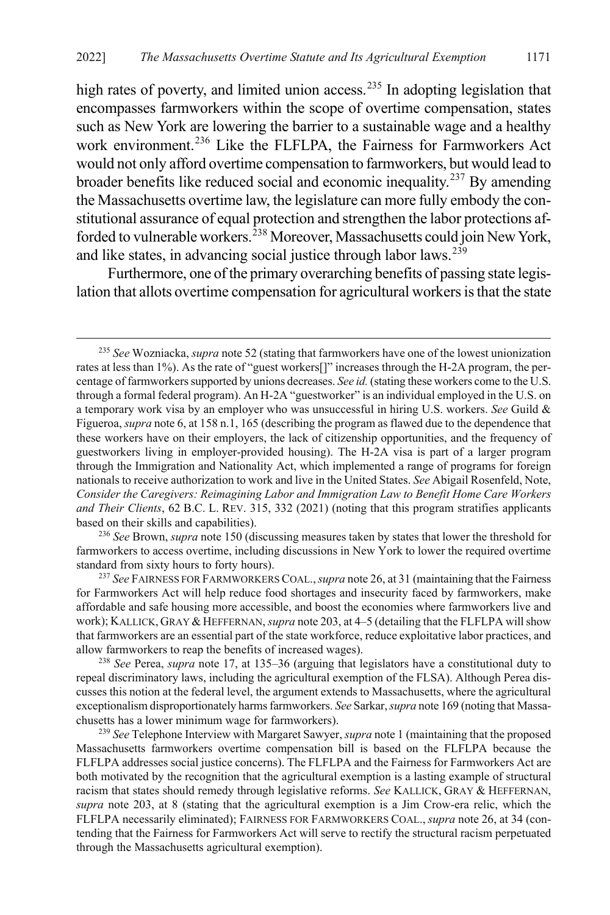high rates of poverty, and limited union access.<sup>[235](#page-39-0)</sup> In adopting legislation that encompasses farmworkers within the scope of overtime compensation, states such as New York are lowering the barrier to a sustainable wage and a healthy work environment.<sup>[236](#page-39-1)</sup> Like the FLFLPA, the Fairness for Farmworkers Act would not only afford overtime compensation to farmworkers, but would lead to broader benefits like reduced social and economic inequality.[237](#page-39-2) By amending the Massachusetts overtime law, the legislature can more fully embody the constitutional assurance of equal protection and strengthen the labor protections af-forded to vulnerable workers.<sup>[238](#page-39-3)</sup> Moreover, Massachusetts could join New York, and like states, in advancing social justice through labor laws.  $239$ 

Furthermore, one of the primary overarching benefits of passing state legislation that allots overtime compensation for agricultural workers is that the state

<span id="page-39-1"></span><sup>236</sup> *See* Brown, *supra* not[e 150](#page-25-7) (discussing measures taken by states that lower the threshold for farmworkers to access overtime, including discussions in New York to lower the required overtime standard from sixty hours to forty hours).

<span id="page-39-2"></span><sup>237</sup> *See* FAIRNESS FOR FARMWORKERS COAL.,*supra* not[e 26,](#page-5-9) at 31 (maintaining that the Fairness for Farmworkers Act will help reduce food shortages and insecurity faced by farmworkers, make affordable and safe housing more accessible, and boost the economies where farmworkers live and work); KALLICK, GRAY & HEFFERNAN, *supra* not[e 203,](#page-33-6) at 4–5 (detailing that the FLFLPA will show that farmworkers are an essential part of the state workforce, reduce exploitative labor practices, and allow farmworkers to reap the benefits of increased wages).

<span id="page-39-3"></span><sup>238</sup> *See* Perea, *supra* note [17,](#page-4-8) at 135–36 (arguing that legislators have a constitutional duty to repeal discriminatory laws, including the agricultural exemption of the FLSA). Although Perea discusses this notion at the federal level, the argument extends to Massachusetts, where the agricultural exceptionalism disproportionately harms farmworkers. *See* Sarkar, *supra* not[e 169](#page-27-11) (noting that Massachusetts has a lower minimum wage for farmworkers).

<span id="page-39-4"></span><sup>239</sup> *See* Telephone Interview with Margaret Sawyer, *supra* not[e 1](#page-1-1) (maintaining that the proposed Massachusetts farmworkers overtime compensation bill is based on the FLFLPA because the FLFLPA addresses social justice concerns). The FLFLPA and the Fairness for Farmworkers Act are both motivated by the recognition that the agricultural exemption is a lasting example of structural racism that states should remedy through legislative reforms. *See* KALLICK, GRAY & HEFFERNAN, *supra* note [203,](#page-33-6) at 8 (stating that the agricultural exemption is a Jim Crow-era relic, which the FLFLPA necessarily eliminated); FAIRNESS FOR FARMWORKERS COAL., *supra* not[e 26,](#page-5-9) at 34 (contending that the Fairness for Farmworkers Act will serve to rectify the structural racism perpetuated through the Massachusetts agricultural exemption).

<span id="page-39-0"></span> <sup>235</sup> *See* Wozniacka, *supra* not[e 52](#page-9-9) (stating that farmworkers have one of the lowest unionization rates at less than 1%). As the rate of "guest workers[]" increases through the H-2A program, the percentage of farmworkers supported by unions decreases. *See id.* (stating these workers come to the U.S. through a formal federal program). An H-2A "guestworker" is an individual employed in the U.S. on a temporary work visa by an employer who was unsuccessful in hiring U.S. workers. *See* Guild & Figueroa, *supra* not[e 6,](#page-2-0) at 158 n.1, 165 (describing the program as flawed due to the dependence that these workers have on their employers, the lack of citizenship opportunities, and the frequency of guestworkers living in employer-provided housing). The H-2A visa is part of a larger program through the Immigration and Nationality Act, which implemented a range of programs for foreign nationals to receive authorization to work and live in the United States. *See* Abigail Rosenfeld, Note, *Consider the Caregivers: Reimagining Labor and Immigration Law to Benefit Home Care Workers and Their Clients*, 62 B.C. L. REV. 315, 332 (2021) (noting that this program stratifies applicants based on their skills and capabilities).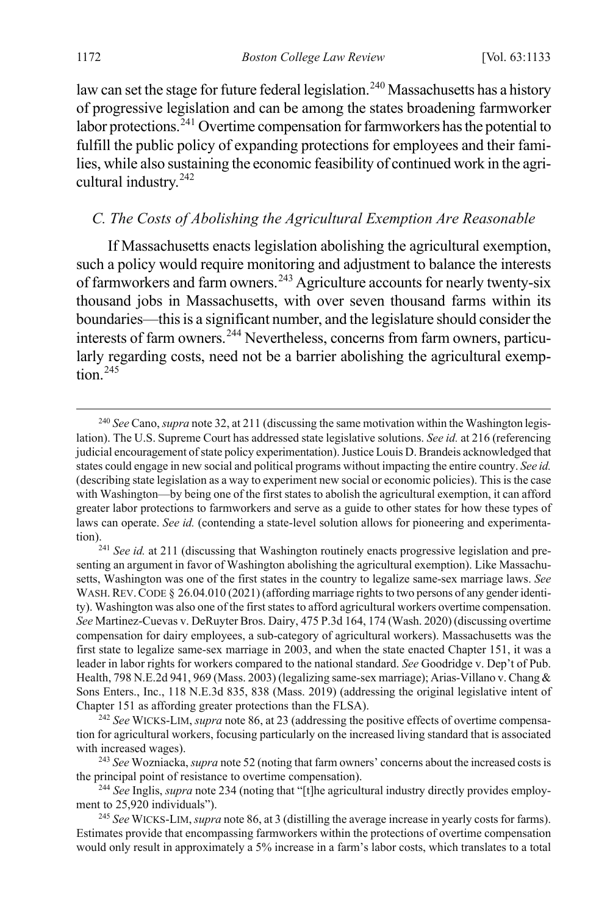law can set the stage for future federal legislation.<sup>[240](#page-40-2)</sup> Massachusetts has a history of progressive legislation and can be among the states broadening farmworker labor protections.<sup>[241](#page-40-3)</sup> Overtime compensation for farmworkers has the potential to fulfill the public policy of expanding protections for employees and their families, while also sustaining the economic feasibility of continued work in the agricultural industry.[242](#page-40-4)

#### <span id="page-40-1"></span><span id="page-40-0"></span>*C. The Costs of Abolishing the Agricultural Exemption Are Reasonable*

If Massachusetts enacts legislation abolishing the agricultural exemption, such a policy would require monitoring and adjustment to balance the interests of farmworkers and farm owners.<sup>[243](#page-40-5)</sup> Agriculture accounts for nearly twenty-six thousand jobs in Massachusetts, with over seven thousand farms within its boundaries—this is a significant number, and the legislature should consider the interests of farm owners.<sup>[244](#page-40-6)</sup> Nevertheless, concerns from farm owners, particularly regarding costs, need not be a barrier abolishing the agricultural exemp $t$ <sub>ion</sub> $245$ 

<span id="page-40-2"></span> <sup>240</sup> *See* Cano, *supra* not[e 32,](#page-6-0) at 211 (discussing the same motivation within the Washington legislation). The U.S. Supreme Court has addressed state legislative solutions. *See id.* at 216 (referencing judicial encouragement of state policy experimentation). Justice Louis D. Brandeis acknowledged that states could engage in new social and political programs without impacting the entire country. *See id.*  (describing state legislation as a way to experiment new social or economic policies). This is the case with Washington—by being one of the first states to abolish the agricultural exemption, it can afford greater labor protections to farmworkers and serve as a guide to other states for how these types of laws can operate. *See id.* (contending a state-level solution allows for pioneering and experimenta-

<span id="page-40-3"></span>tion).<br><sup>241</sup> *See id.* at 211 (discussing that Washington routinely enacts progressive legislation and presenting an argument in favor of Washington abolishing the agricultural exemption). Like Massachusetts, Washington was one of the first states in the country to legalize same-sex marriage laws. *See*  WASH. REV. CODE § 26.04.010 (2021) (affording marriage rights to two persons of any gender identity). Washington was also one of the first states to afford agricultural workers overtime compensation. *See* Martinez-Cuevas v. DeRuyter Bros. Dairy, 475 P.3d 164, 174 (Wash. 2020) (discussing overtime compensation for dairy employees, a sub-category of agricultural workers). Massachusetts was the first state to legalize same-sex marriage in 2003, and when the state enacted Chapter 151, it was a leader in labor rights for workers compared to the national standard. *See* Goodridge v. Dep't of Pub. Health, 798 N.E.2d 941, 969 (Mass. 2003) (legalizing same-sex marriage); Arias-Villano v. Chang & Sons Enters., Inc., 118 N.E.3d 835, 838 (Mass. 2019) (addressing the original legislative intent of Chapter 151 as affording greater protections than the FLSA).

<span id="page-40-4"></span><sup>242</sup> *See* WICKS-LIM, *supra* not[e 86,](#page-14-4) at 23 (addressing the positive effects of overtime compensation for agricultural workers, focusing particularly on the increased living standard that is associated with increased wages).

<span id="page-40-5"></span><sup>243</sup> *See* Wozniacka, *supra* not[e 52](#page-9-9) (noting that farm owners' concerns about the increased costs is the principal point of resistance to overtime compensation).

<span id="page-40-6"></span><sup>244</sup> *See* Inglis, *supra* note [234](#page-38-1) (noting that "[t]he agricultural industry directly provides employment to 25,920 individuals").

<span id="page-40-7"></span><sup>245</sup> *See* WICKS-LIM, *supra* not[e 86,](#page-14-4) at 3 (distilling the average increase in yearly costs for farms). Estimates provide that encompassing farmworkers within the protections of overtime compensation would only result in approximately a 5% increase in a farm's labor costs, which translates to a total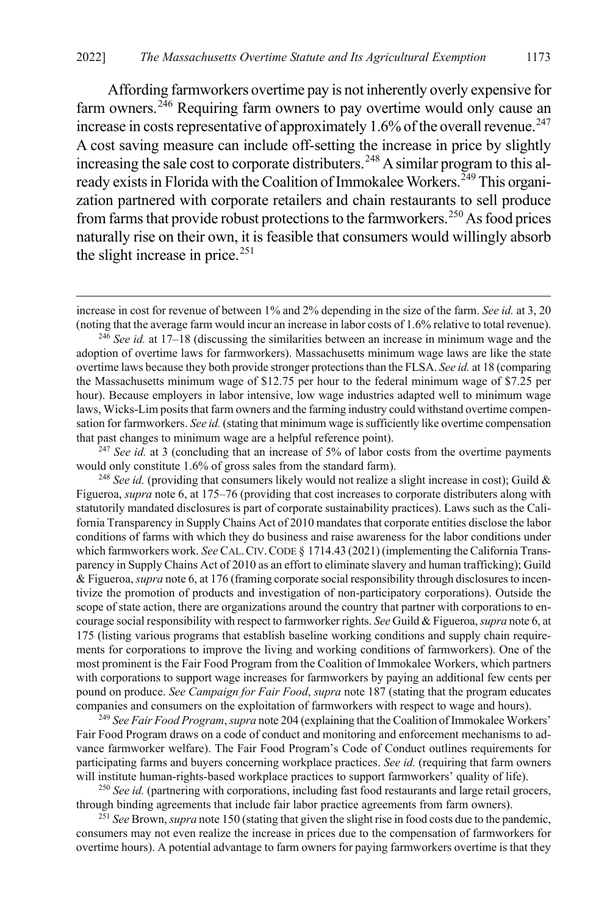Affording farmworkers overtime pay is not inherently overly expensive for farm owners. $246$  Requiring farm owners to pay overtime would only cause an increase in costs representative of approximately 1.6% of the overall revenue.<sup>[247](#page-41-1)</sup> A cost saving measure can include off-setting the increase in price by slightly increasing the sale cost to corporate distributers.<sup>[248](#page-41-2)</sup> A similar program to this al-ready exists in Florida with the Coalition of Immokalee Workers.<sup>[249](#page-41-3)</sup> This organization partnered with corporate retailers and chain restaurants to sell produce from farms that provide robust protections to the farmworkers.<sup>[250](#page-41-4)</sup> As food prices naturally rise on their own, it is feasible that consumers would willingly absorb the slight increase in price. $251$ 

 $\overline{a}$ 

<span id="page-41-0"></span><sup>246</sup> *See id.* at 17–18 (discussing the similarities between an increase in minimum wage and the adoption of overtime laws for farmworkers). Massachusetts minimum wage laws are like the state overtime laws because they both provide stronger protections than the FLSA. *See id.* at 18 (comparing the Massachusetts minimum wage of \$12.75 per hour to the federal minimum wage of \$7.25 per hour). Because employers in labor intensive, low wage industries adapted well to minimum wage laws, Wicks-Lim posits that farm owners and the farming industry could withstand overtime compensation for farmworkers. *See id.* (stating that minimum wage is sufficiently like overtime compensation that past changes to minimum wage are a helpful reference point).

<span id="page-41-1"></span><sup>247</sup> See id. at 3 (concluding that an increase of 5% of labor costs from the overtime payments would only constitute 1.6% of gross sales from the standard farm).

<span id="page-41-2"></span><sup>248</sup> *See id.* (providing that consumers likely would not realize a slight increase in cost); Guild & Figueroa, *supra* not[e 6,](#page-2-0) at 175–76 (providing that cost increases to corporate distributers along with statutorily mandated disclosures is part of corporate sustainability practices). Laws such as the California Transparency in Supply Chains Act of 2010 mandates that corporate entities disclose the labor conditions of farms with which they do business and raise awareness for the labor conditions under which farmworkers work. *See* CAL. CIV. CODE § 1714.43 (2021) (implementing the California Transparency in Supply Chains Act of 2010 as an effort to eliminate slavery and human trafficking); Guild & Figueroa, *supra* not[e 6,](#page-2-0) at 176 (framing corporate social responsibility through disclosures to incentivize the promotion of products and investigation of non-participatory corporations). Outside the scope of state action, there are organizations around the country that partner with corporations to encourage social responsibility with respect to farmworker rights. *See* Guild & Figueroa,*supra* not[e 6,](#page-2-0) at 175 (listing various programs that establish baseline working conditions and supply chain requirements for corporations to improve the living and working conditions of farmworkers). One of the most prominent is the Fair Food Program from the Coalition of Immokalee Workers, which partners with corporations to support wage increases for farmworkers by paying an additional few cents per pound on produce. *See Campaign for Fair Food*, *supra* not[e 187](#page-30-1) (stating that the program educates companies and consumers on the exploitation of farmworkers with respect to wage and hours).

<span id="page-41-3"></span><sup>249</sup> *See Fair Food Program*, *supra* not[e 204](#page-33-7) (explaining that the Coalition of Immokalee Workers' Fair Food Program draws on a code of conduct and monitoring and enforcement mechanisms to advance farmworker welfare). The Fair Food Program's Code of Conduct outlines requirements for participating farms and buyers concerning workplace practices. *See id.* (requiring that farm owners will institute human-rights-based workplace practices to support farmworkers' quality of life).

<span id="page-41-4"></span><sup>250</sup> See id. (partnering with corporations, including fast food restaurants and large retail grocers, through binding agreements that include fair labor practice agreements from farm owners).

<span id="page-41-5"></span><sup>251</sup> *See* Brown, *supra* not[e 150](#page-25-7) (stating that given the slight rise in food costs due to the pandemic, consumers may not even realize the increase in prices due to the compensation of farmworkers for overtime hours). A potential advantage to farm owners for paying farmworkers overtime is that they

increase in cost for revenue of between 1% and 2% depending in the size of the farm. *See id.* at 3, 20 (noting that the average farm would incur an increase in labor costs of 1.6% relative to total revenue).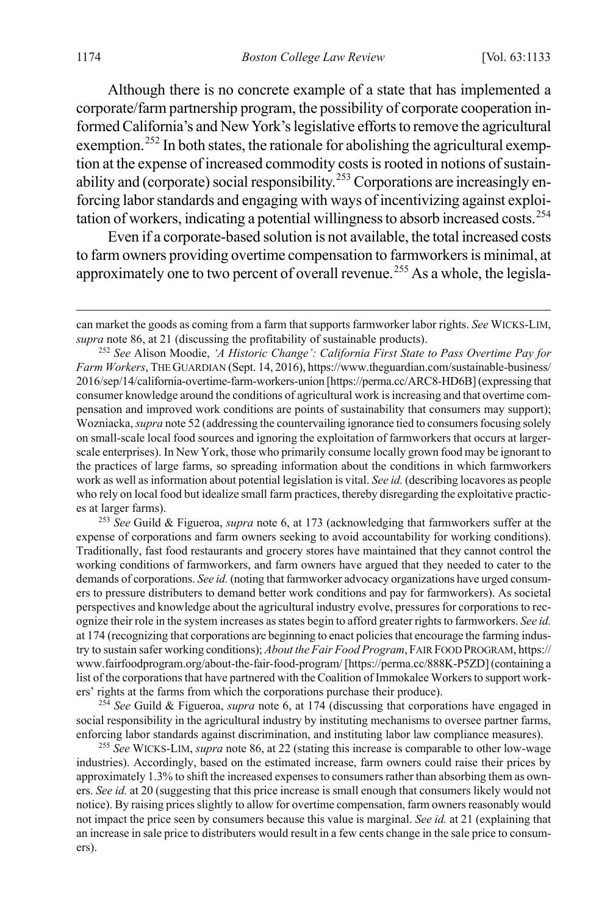Although there is no concrete example of a state that has implemented a corporate/farm partnership program, the possibility of corporate cooperation informed California's and New York's legislative efforts to remove the agricultural exemption.<sup>[252](#page-42-0)</sup> In both states, the rationale for abolishing the agricultural exemption at the expense of increased commodity costs is rooted in notions of sustain-ability and (corporate) social responsibility.<sup>[253](#page-42-1)</sup> Corporations are increasingly enforcing labor standards and engaging with ways of incentivizing against exploitation of workers, indicating a potential willingness to absorb increased costs.[254](#page-42-2)

Even if a corporate-based solution is not available, the total increased costs to farm owners providing overtime compensation to farmworkers is minimal, at approximately one to two percent of overall revenue.<sup>[255](#page-42-3)</sup> As a whole, the legisla-

<span id="page-42-1"></span><sup>253</sup> *See* Guild & Figueroa, *supra* note [6,](#page-2-0) at 173 (acknowledging that farmworkers suffer at the expense of corporations and farm owners seeking to avoid accountability for working conditions). Traditionally, fast food restaurants and grocery stores have maintained that they cannot control the working conditions of farmworkers, and farm owners have argued that they needed to cater to the demands of corporations. *See id.* (noting that farmworker advocacy organizations have urged consumers to pressure distributers to demand better work conditions and pay for farmworkers). As societal perspectives and knowledge about the agricultural industry evolve, pressures for corporations to recognize their role in the system increases as states begin to afford greater rights to farmworkers. *See id.*  at 174 (recognizing that corporations are beginning to enact policies that encourage the farming industry to sustain safer working conditions); *About the Fair Food Program*,FAIR FOOD PROGRAM, https:// www.fairfoodprogram.org/about-the-fair-food-program/ [https://perma.cc/888K-P5ZD](containing a list of the corporations that have partnered with the Coalition of Immokalee Workers to support workers' rights at the farms from which the corporations purchase their produce).

<span id="page-42-2"></span><sup>254</sup> *See* Guild & Figueroa, *supra* note [6,](#page-2-0) at 174 (discussing that corporations have engaged in social responsibility in the agricultural industry by instituting mechanisms to oversee partner farms, enforcing labor standards against discrimination, and instituting labor law compliance measures).

<span id="page-42-3"></span><sup>255</sup> *See* WICKS-LIM, *supra* not[e 86,](#page-14-4) at 22 (stating this increase is comparable to other low-wage industries). Accordingly, based on the estimated increase, farm owners could raise their prices by approximately 1.3% to shift the increased expenses to consumers rather than absorbing them as owners. *See id.* at 20 (suggesting that this price increase is small enough that consumers likely would not notice). By raising prices slightly to allow for overtime compensation, farm owners reasonably would not impact the price seen by consumers because this value is marginal. *See id.* at 21 (explaining that an increase in sale price to distributers would result in a few cents change in the sale price to consumers).

can market the goods as coming from a farm that supports farmworker labor rights. *See* WICKS-LIM, *supra* not[e 86,](#page-14-4) at 21 (discussing the profitability of sustainable products).

<span id="page-42-0"></span><sup>252</sup> *See* Alison Moodie, *'A Historic Change': California First State to Pass Overtime Pay for Farm Workers*, THE GUARDIAN (Sept. 14, 2016), https://www.theguardian.com/sustainable-business/ 2016/sep/14/california-overtime-farm-workers-union [https://perma.cc/ARC8-HD6B] (expressing that consumer knowledge around the conditions of agricultural work is increasing and that overtime compensation and improved work conditions are points of sustainability that consumers may support); Wozniacka, *supra* not[e 52](#page-9-9) (addressing the countervailing ignorance tied to consumers focusing solely on small-scale local food sources and ignoring the exploitation of farmworkers that occurs at largerscale enterprises). In New York, those who primarily consume locally grown food may be ignorant to the practices of large farms, so spreading information about the conditions in which farmworkers work as well as information about potential legislation is vital. *See id.* (describing locavores as people who rely on local food but idealize small farm practices, thereby disregarding the exploitative practices at larger farms).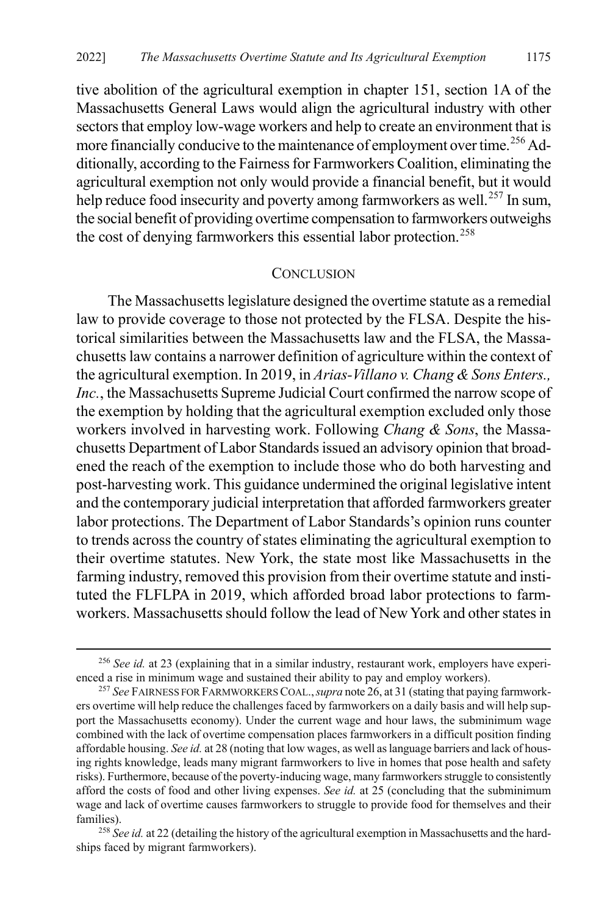tive abolition of the agricultural exemption in chapter 151, section 1A of the Massachusetts General Laws would align the agricultural industry with other sectors that employ low-wage workers and help to create an environment that is more financially conducive to the maintenance of employment over time.<sup>[256](#page-43-1)</sup> Additionally, according to the Fairness for Farmworkers Coalition, eliminating the agricultural exemption not only would provide a financial benefit, but it would help reduce food insecurity and poverty among farmworkers as well.<sup>[257](#page-43-2)</sup> In sum, the social benefit of providing overtime compensation to farmworkers outweighs the cost of denying farmworkers this essential labor protection.<sup>[258](#page-43-3)</sup>

#### <span id="page-43-0"></span>**CONCLUSION**

The Massachusetts legislature designed the overtime statute as a remedial law to provide coverage to those not protected by the FLSA. Despite the historical similarities between the Massachusetts law and the FLSA, the Massachusetts law contains a narrower definition of agriculture within the context of the agricultural exemption. In 2019, in *Arias-Villano v. Chang & Sons Enters., Inc.*, the Massachusetts Supreme Judicial Court confirmed the narrow scope of the exemption by holding that the agricultural exemption excluded only those workers involved in harvesting work. Following *Chang & Sons*, the Massachusetts Department of Labor Standards issued an advisory opinion that broadened the reach of the exemption to include those who do both harvesting and post-harvesting work. This guidance undermined the original legislative intent and the contemporary judicial interpretation that afforded farmworkers greater labor protections. The Department of Labor Standards's opinion runs counter to trends across the country of states eliminating the agricultural exemption to their overtime statutes. New York, the state most like Massachusetts in the farming industry, removed this provision from their overtime statute and instituted the FLFLPA in 2019, which afforded broad labor protections to farmworkers. Massachusetts should follow the lead of New York and other states in

<span id="page-43-1"></span> <sup>256</sup> *See id.* at 23 (explaining that in a similar industry, restaurant work, employers have experienced a rise in minimum wage and sustained their ability to pay and employ workers).

<span id="page-43-2"></span><sup>257</sup> *See* FAIRNESS FOR FARMWORKERS COAL.,*supra* not[e 26,](#page-5-9) at 31 (stating that paying farmworkers overtime will help reduce the challenges faced by farmworkers on a daily basis and will help support the Massachusetts economy). Under the current wage and hour laws, the subminimum wage combined with the lack of overtime compensation places farmworkers in a difficult position finding affordable housing. *See id.* at 28 (noting that low wages, as well as language barriers and lack of housing rights knowledge, leads many migrant farmworkers to live in homes that pose health and safety risks). Furthermore, because of the poverty-inducing wage, many farmworkers struggle to consistently afford the costs of food and other living expenses. *See id.* at 25 (concluding that the subminimum wage and lack of overtime causes farmworkers to struggle to provide food for themselves and their families).

<span id="page-43-3"></span><sup>&</sup>lt;sup>258</sup> See id. at 22 (detailing the history of the agricultural exemption in Massachusetts and the hardships faced by migrant farmworkers).